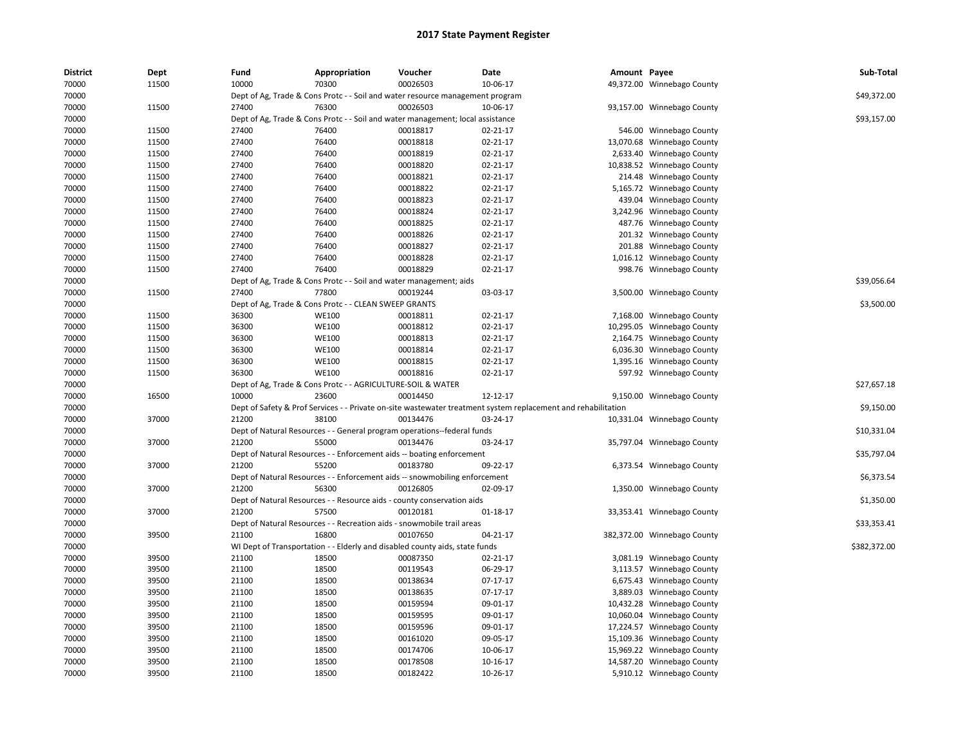| <b>District</b> | Dept  | Fund  | Appropriation                                                      | Voucher                                                                        | Date                                                                                                          | Amount Payee |                             | Sub-Total    |
|-----------------|-------|-------|--------------------------------------------------------------------|--------------------------------------------------------------------------------|---------------------------------------------------------------------------------------------------------------|--------------|-----------------------------|--------------|
| 70000           | 11500 | 10000 | 70300                                                              | 00026503                                                                       | 10-06-17                                                                                                      |              | 49,372.00 Winnebago County  |              |
| 70000           |       |       |                                                                    | Dept of Ag, Trade & Cons Protc - - Soil and water resource management program  |                                                                                                               |              |                             | \$49,372.00  |
| 70000           | 11500 | 27400 | 76300                                                              | 00026503                                                                       | 10-06-17                                                                                                      |              | 93,157.00 Winnebago County  |              |
| 70000           |       |       |                                                                    | Dept of Ag, Trade & Cons Protc - - Soil and water management; local assistance |                                                                                                               |              |                             | \$93,157.00  |
| 70000           | 11500 | 27400 | 76400                                                              | 00018817                                                                       | 02-21-17                                                                                                      |              | 546.00 Winnebago County     |              |
| 70000           | 11500 | 27400 | 76400                                                              | 00018818                                                                       | 02-21-17                                                                                                      |              | 13,070.68 Winnebago County  |              |
| 70000           | 11500 | 27400 | 76400                                                              | 00018819                                                                       | 02-21-17                                                                                                      |              | 2,633.40 Winnebago County   |              |
| 70000           | 11500 | 27400 | 76400                                                              | 00018820                                                                       | 02-21-17                                                                                                      |              | 10,838.52 Winnebago County  |              |
| 70000           | 11500 | 27400 | 76400                                                              | 00018821                                                                       | $02 - 21 - 17$                                                                                                |              | 214.48 Winnebago County     |              |
| 70000           | 11500 | 27400 | 76400                                                              | 00018822                                                                       | 02-21-17                                                                                                      |              | 5,165.72 Winnebago County   |              |
| 70000           | 11500 | 27400 | 76400                                                              | 00018823                                                                       | $02 - 21 - 17$                                                                                                |              | 439.04 Winnebago County     |              |
| 70000           | 11500 | 27400 | 76400                                                              | 00018824                                                                       | 02-21-17                                                                                                      |              | 3,242.96 Winnebago County   |              |
| 70000           | 11500 | 27400 | 76400                                                              | 00018825                                                                       | 02-21-17                                                                                                      |              | 487.76 Winnebago County     |              |
| 70000           | 11500 | 27400 | 76400                                                              | 00018826                                                                       | 02-21-17                                                                                                      |              | 201.32 Winnebago County     |              |
| 70000           | 11500 | 27400 | 76400                                                              | 00018827                                                                       | 02-21-17                                                                                                      |              | 201.88 Winnebago County     |              |
| 70000           | 11500 | 27400 | 76400                                                              | 00018828                                                                       | $02 - 21 - 17$                                                                                                |              | 1,016.12 Winnebago County   |              |
| 70000           | 11500 | 27400 | 76400                                                              | 00018829                                                                       | 02-21-17                                                                                                      |              | 998.76 Winnebago County     |              |
| 70000           |       |       | Dept of Ag, Trade & Cons Protc - - Soil and water management; aids |                                                                                |                                                                                                               |              |                             | \$39,056.64  |
| 70000           | 11500 | 27400 | 77800                                                              | 00019244                                                                       | 03-03-17                                                                                                      |              | 3,500.00 Winnebago County   |              |
| 70000           |       |       | Dept of Ag, Trade & Cons Protc - - CLEAN SWEEP GRANTS              |                                                                                |                                                                                                               |              |                             | \$3,500.00   |
| 70000           | 11500 | 36300 | <b>WE100</b>                                                       | 00018811                                                                       | 02-21-17                                                                                                      |              | 7,168.00 Winnebago County   |              |
| 70000           | 11500 | 36300 | <b>WE100</b>                                                       | 00018812                                                                       | $02 - 21 - 17$                                                                                                |              | 10,295.05 Winnebago County  |              |
| 70000           | 11500 | 36300 | <b>WE100</b>                                                       | 00018813                                                                       | $02 - 21 - 17$                                                                                                |              | 2,164.75 Winnebago County   |              |
| 70000           | 11500 | 36300 | <b>WE100</b>                                                       | 00018814                                                                       | 02-21-17                                                                                                      |              | 6,036.30 Winnebago County   |              |
| 70000           | 11500 | 36300 | <b>WE100</b>                                                       | 00018815                                                                       | 02-21-17                                                                                                      |              | 1,395.16 Winnebago County   |              |
| 70000           | 11500 | 36300 | <b>WE100</b>                                                       | 00018816                                                                       | $02 - 21 - 17$                                                                                                |              | 597.92 Winnebago County     |              |
| 70000           |       |       | Dept of Ag, Trade & Cons Protc - - AGRICULTURE-SOIL & WATER        |                                                                                |                                                                                                               |              |                             | \$27,657.18  |
| 70000           | 16500 | 10000 | 23600                                                              | 00014450                                                                       | 12-12-17                                                                                                      |              | 9,150.00 Winnebago County   |              |
| 70000           |       |       |                                                                    |                                                                                | Dept of Safety & Prof Services - - Private on-site wastewater treatment system replacement and rehabilitation |              |                             | \$9,150.00   |
| 70000           | 37000 | 21200 | 38100                                                              | 00134476                                                                       | 03-24-17                                                                                                      |              | 10,331.04 Winnebago County  |              |
| 70000           |       |       |                                                                    | Dept of Natural Resources - - General program operations--federal funds        |                                                                                                               |              |                             | \$10,331.04  |
| 70000           | 37000 | 21200 | 55000                                                              | 00134476                                                                       | 03-24-17                                                                                                      |              | 35,797.04 Winnebago County  |              |
| 70000           |       |       |                                                                    | Dept of Natural Resources - - Enforcement aids -- boating enforcement          |                                                                                                               |              |                             | \$35,797.04  |
| 70000           | 37000 | 21200 | 55200                                                              | 00183780                                                                       | 09-22-17                                                                                                      |              | 6,373.54 Winnebago County   |              |
| 70000           |       |       |                                                                    | Dept of Natural Resources - - Enforcement aids -- snowmobiling enforcement     |                                                                                                               |              |                             | \$6,373.54   |
| 70000           | 37000 | 21200 | 56300                                                              | 00126805                                                                       | 02-09-17                                                                                                      |              | 1,350.00 Winnebago County   |              |
| 70000           |       |       |                                                                    | Dept of Natural Resources - - Resource aids - county conservation aids         |                                                                                                               |              |                             | \$1,350.00   |
| 70000           | 37000 | 21200 | 57500                                                              | 00120181                                                                       | 01-18-17                                                                                                      |              | 33,353.41 Winnebago County  |              |
| 70000           |       |       |                                                                    | Dept of Natural Resources - - Recreation aids - snowmobile trail areas         |                                                                                                               |              |                             | \$33,353.41  |
| 70000           | 39500 | 21100 | 16800                                                              | 00107650                                                                       | 04-21-17                                                                                                      |              | 382,372.00 Winnebago County |              |
| 70000           |       |       |                                                                    | WI Dept of Transportation - - Elderly and disabled county aids, state funds    |                                                                                                               |              |                             | \$382,372.00 |
| 70000           | 39500 | 21100 | 18500                                                              | 00087350                                                                       | 02-21-17                                                                                                      |              | 3,081.19 Winnebago County   |              |
| 70000           | 39500 | 21100 | 18500                                                              | 00119543                                                                       | 06-29-17                                                                                                      |              | 3,113.57 Winnebago County   |              |
| 70000           | 39500 | 21100 | 18500                                                              | 00138634                                                                       | 07-17-17                                                                                                      |              | 6,675.43 Winnebago County   |              |
| 70000           | 39500 | 21100 | 18500                                                              | 00138635                                                                       | 07-17-17                                                                                                      |              | 3,889.03 Winnebago County   |              |
| 70000           | 39500 | 21100 | 18500                                                              | 00159594                                                                       | 09-01-17                                                                                                      |              | 10,432.28 Winnebago County  |              |
| 70000           | 39500 | 21100 | 18500                                                              | 00159595                                                                       | 09-01-17                                                                                                      |              | 10,060.04 Winnebago County  |              |
| 70000           | 39500 | 21100 | 18500                                                              | 00159596                                                                       | 09-01-17                                                                                                      |              | 17,224.57 Winnebago County  |              |
| 70000           | 39500 | 21100 | 18500                                                              | 00161020                                                                       | 09-05-17                                                                                                      |              | 15,109.36 Winnebago County  |              |
| 70000           | 39500 | 21100 | 18500                                                              | 00174706                                                                       | 10-06-17                                                                                                      |              | 15,969.22 Winnebago County  |              |
| 70000           | 39500 | 21100 | 18500                                                              | 00178508                                                                       | 10-16-17                                                                                                      |              | 14,587.20 Winnebago County  |              |
| 70000           | 39500 | 21100 | 18500                                                              | 00182422                                                                       | 10-26-17                                                                                                      |              | 5,910.12 Winnebago County   |              |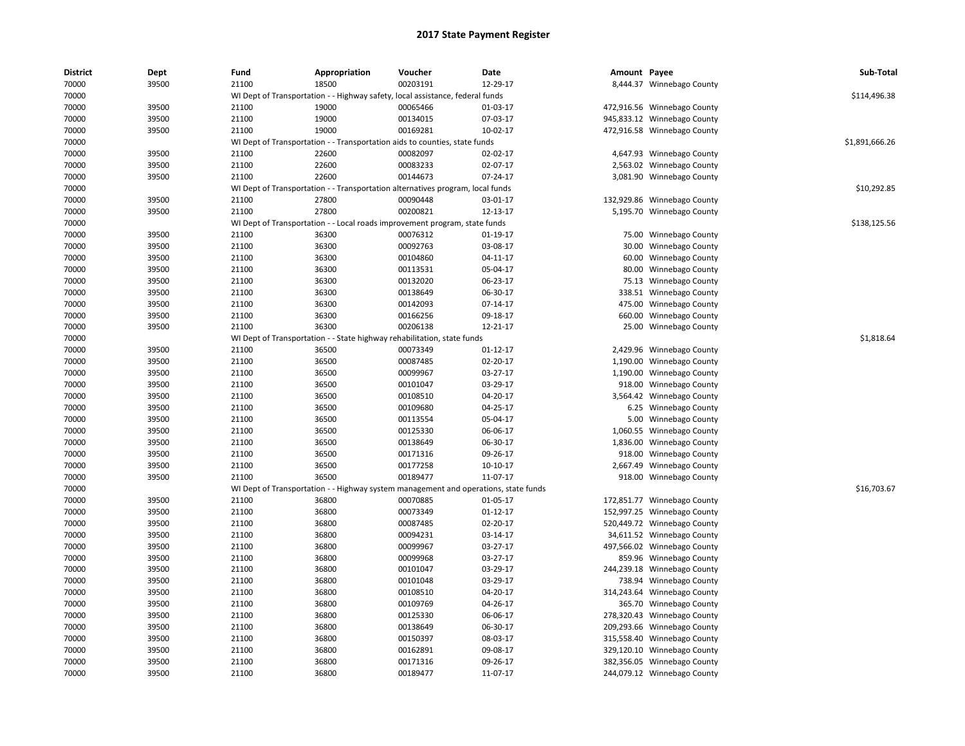| <b>District</b> | Dept  | Fund  | Appropriation                                                                       | Voucher  | Date           | Amount Payee |                             | Sub-Total      |
|-----------------|-------|-------|-------------------------------------------------------------------------------------|----------|----------------|--------------|-----------------------------|----------------|
| 70000           | 39500 | 21100 | 18500                                                                               | 00203191 | 12-29-17       |              | 8,444.37 Winnebago County   |                |
| 70000           |       |       | WI Dept of Transportation - - Highway safety, local assistance, federal funds       |          |                |              |                             | \$114,496.38   |
| 70000           | 39500 | 21100 | 19000                                                                               | 00065466 | 01-03-17       |              | 472,916.56 Winnebago County |                |
| 70000           | 39500 | 21100 | 19000                                                                               | 00134015 | 07-03-17       |              | 945,833.12 Winnebago County |                |
| 70000           | 39500 | 21100 | 19000                                                                               | 00169281 | 10-02-17       |              | 472,916.58 Winnebago County |                |
| 70000           |       |       | WI Dept of Transportation - - Transportation aids to counties, state funds          |          |                |              |                             | \$1,891,666.26 |
| 70000           | 39500 | 21100 | 22600                                                                               | 00082097 | 02-02-17       |              | 4,647.93 Winnebago County   |                |
| 70000           | 39500 | 21100 | 22600                                                                               | 00083233 | 02-07-17       |              | 2,563.02 Winnebago County   |                |
| 70000           | 39500 | 21100 | 22600                                                                               | 00144673 | 07-24-17       |              | 3,081.90 Winnebago County   |                |
| 70000           |       |       | WI Dept of Transportation - - Transportation alternatives program, local funds      |          |                |              |                             | \$10,292.85    |
| 70000           | 39500 | 21100 | 27800                                                                               | 00090448 | 03-01-17       |              | 132,929.86 Winnebago County |                |
| 70000           | 39500 | 21100 | 27800                                                                               | 00200821 | 12-13-17       |              | 5,195.70 Winnebago County   |                |
| 70000           |       |       | WI Dept of Transportation - - Local roads improvement program, state funds          |          |                |              |                             | \$138,125.56   |
| 70000           | 39500 | 21100 | 36300                                                                               | 00076312 | 01-19-17       | 75.00        | Winnebago County            |                |
| 70000           | 39500 | 21100 | 36300                                                                               | 00092763 | 03-08-17       | 30.00        | Winnebago County            |                |
| 70000           | 39500 | 21100 | 36300                                                                               | 00104860 | 04-11-17       | 60.00        | Winnebago County            |                |
| 70000           | 39500 | 21100 | 36300                                                                               | 00113531 | 05-04-17       | 80.00        | Winnebago County            |                |
| 70000           | 39500 | 21100 | 36300                                                                               | 00132020 | 06-23-17       |              | 75.13 Winnebago County      |                |
| 70000           | 39500 | 21100 | 36300                                                                               | 00138649 | 06-30-17       | 338.51       | Winnebago County            |                |
| 70000           | 39500 | 21100 | 36300                                                                               | 00142093 | 07-14-17       | 475.00       | Winnebago County            |                |
| 70000           | 39500 | 21100 | 36300                                                                               | 00166256 | 09-18-17       | 660.00       | Winnebago County            |                |
| 70000           | 39500 | 21100 | 36300                                                                               | 00206138 | $12 - 21 - 17$ | 25.00        | Winnebago County            |                |
| 70000           |       |       | WI Dept of Transportation - - State highway rehabilitation, state funds             |          |                |              |                             | \$1,818.64     |
| 70000           | 39500 | 21100 | 36500                                                                               | 00073349 | 01-12-17       | 2,429.96     | Winnebago County            |                |
| 70000           | 39500 | 21100 | 36500                                                                               | 00087485 | 02-20-17       | 1,190.00     | Winnebago County            |                |
| 70000           | 39500 | 21100 | 36500                                                                               | 00099967 | 03-27-17       |              | 1,190.00 Winnebago County   |                |
| 70000           | 39500 | 21100 | 36500                                                                               | 00101047 | 03-29-17       | 918.00       | Winnebago County            |                |
| 70000           | 39500 | 21100 | 36500                                                                               | 00108510 | 04-20-17       | 3,564.42     | Winnebago County            |                |
| 70000           | 39500 | 21100 | 36500                                                                               | 00109680 | 04-25-17       | 6.25         | Winnebago County            |                |
| 70000           | 39500 | 21100 | 36500                                                                               | 00113554 | 05-04-17       | 5.00         | Winnebago County            |                |
| 70000           | 39500 | 21100 | 36500                                                                               | 00125330 | 06-06-17       | 1,060.55     | Winnebago County            |                |
| 70000           | 39500 | 21100 | 36500                                                                               | 00138649 | 06-30-17       | 1,836.00     | Winnebago County            |                |
| 70000           | 39500 | 21100 | 36500                                                                               | 00171316 | 09-26-17       | 918.00       | Winnebago County            |                |
| 70000           | 39500 | 21100 | 36500                                                                               | 00177258 | $10-10-17$     | 2,667.49     | Winnebago County            |                |
| 70000           | 39500 | 21100 | 36500                                                                               | 00189477 | 11-07-17       |              | 918.00 Winnebago County     |                |
| 70000           |       |       | WI Dept of Transportation - - Highway system management and operations, state funds |          |                |              |                             | \$16,703.67    |
| 70000           | 39500 | 21100 | 36800                                                                               | 00070885 | 01-05-17       |              | 172,851.77 Winnebago County |                |
| 70000           | 39500 | 21100 | 36800                                                                               | 00073349 | $01 - 12 - 17$ |              | 152,997.25 Winnebago County |                |
| 70000           | 39500 | 21100 | 36800                                                                               | 00087485 | 02-20-17       |              | 520,449.72 Winnebago County |                |
| 70000           | 39500 | 21100 | 36800                                                                               | 00094231 | 03-14-17       |              | 34,611.52 Winnebago County  |                |
| 70000           | 39500 | 21100 | 36800                                                                               | 00099967 | 03-27-17       |              | 497,566.02 Winnebago County |                |
| 70000           | 39500 | 21100 | 36800                                                                               | 00099968 | 03-27-17       | 859.96       | Winnebago County            |                |
| 70000           | 39500 | 21100 | 36800                                                                               | 00101047 | 03-29-17       |              | 244,239.18 Winnebago County |                |
| 70000           | 39500 | 21100 | 36800                                                                               | 00101048 | 03-29-17       | 738.94       | Winnebago County            |                |
| 70000           | 39500 | 21100 | 36800                                                                               | 00108510 | 04-20-17       | 314,243.64   | Winnebago County            |                |
| 70000           | 39500 | 21100 | 36800                                                                               | 00109769 | 04-26-17       | 365.70       | Winnebago County            |                |
| 70000           | 39500 | 21100 | 36800                                                                               | 00125330 | 06-06-17       |              | 278,320.43 Winnebago County |                |
| 70000           | 39500 | 21100 | 36800                                                                               | 00138649 | 06-30-17       |              | 209,293.66 Winnebago County |                |
| 70000           | 39500 | 21100 | 36800                                                                               | 00150397 | 08-03-17       |              | 315,558.40 Winnebago County |                |
| 70000           | 39500 | 21100 | 36800                                                                               | 00162891 | 09-08-17       |              | 329,120.10 Winnebago County |                |
| 70000           | 39500 | 21100 | 36800                                                                               | 00171316 | 09-26-17       |              | 382,356.05 Winnebago County |                |
| 70000           | 39500 | 21100 | 36800                                                                               | 00189477 | 11-07-17       |              | 244,079.12 Winnebago County |                |
|                 |       |       |                                                                                     |          |                |              |                             |                |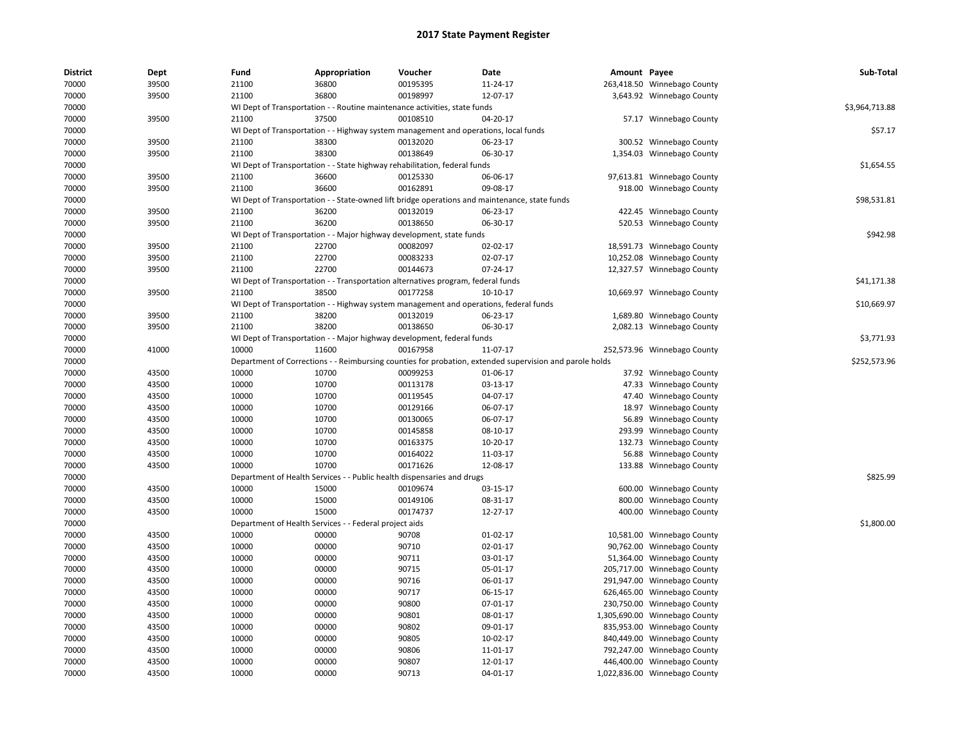| District | Dept  | Fund  | Appropriation                                                                                           | Voucher  | <b>Date</b> | Amount Payee |                               | Sub-Total      |
|----------|-------|-------|---------------------------------------------------------------------------------------------------------|----------|-------------|--------------|-------------------------------|----------------|
| 70000    | 39500 | 21100 | 36800                                                                                                   | 00195395 | 11-24-17    |              | 263,418.50 Winnebago County   |                |
| 70000    | 39500 | 21100 | 36800                                                                                                   | 00198997 | 12-07-17    |              | 3,643.92 Winnebago County     |                |
| 70000    |       |       | WI Dept of Transportation - - Routine maintenance activities, state funds                               |          |             |              |                               | \$3,964,713.88 |
| 70000    | 39500 | 21100 | 37500                                                                                                   | 00108510 | 04-20-17    |              | 57.17 Winnebago County        |                |
| 70000    |       |       | WI Dept of Transportation - - Highway system management and operations, local funds                     |          |             |              |                               | \$57.17        |
| 70000    | 39500 | 21100 | 38300                                                                                                   | 00132020 | 06-23-17    |              | 300.52 Winnebago County       |                |
| 70000    | 39500 | 21100 | 38300                                                                                                   | 00138649 | 06-30-17    |              | 1,354.03 Winnebago County     |                |
| 70000    |       |       | WI Dept of Transportation - - State highway rehabilitation, federal funds                               |          |             |              |                               | \$1,654.55     |
| 70000    | 39500 | 21100 | 36600                                                                                                   | 00125330 | 06-06-17    |              | 97,613.81 Winnebago County    |                |
| 70000    | 39500 | 21100 | 36600                                                                                                   | 00162891 | 09-08-17    |              | 918.00 Winnebago County       |                |
| 70000    |       |       | WI Dept of Transportation - - State-owned lift bridge operations and maintenance, state funds           |          |             |              |                               | \$98,531.81    |
| 70000    | 39500 | 21100 | 36200                                                                                                   | 00132019 | 06-23-17    | 422.45       | Winnebago County              |                |
| 70000    | 39500 | 21100 | 36200                                                                                                   | 00138650 | 06-30-17    |              | 520.53 Winnebago County       |                |
| 70000    |       |       | WI Dept of Transportation - - Major highway development, state funds                                    |          |             |              |                               | \$942.98       |
| 70000    | 39500 | 21100 | 22700                                                                                                   | 00082097 | 02-02-17    |              | 18,591.73 Winnebago County    |                |
| 70000    | 39500 | 21100 | 22700                                                                                                   | 00083233 | 02-07-17    |              | 10,252.08 Winnebago County    |                |
| 70000    | 39500 | 21100 | 22700                                                                                                   | 00144673 | 07-24-17    |              | 12,327.57 Winnebago County    |                |
| 70000    |       |       | WI Dept of Transportation - - Transportation alternatives program, federal funds                        |          |             |              |                               | \$41,171.38    |
| 70000    | 39500 | 21100 | 38500                                                                                                   | 00177258 | 10-10-17    |              | 10,669.97 Winnebago County    |                |
| 70000    |       |       | WI Dept of Transportation - - Highway system management and operations, federal funds                   |          |             |              |                               | \$10,669.97    |
| 70000    | 39500 | 21100 | 38200                                                                                                   | 00132019 | 06-23-17    |              | 1,689.80 Winnebago County     |                |
| 70000    | 39500 | 21100 | 38200                                                                                                   | 00138650 | 06-30-17    |              | 2,082.13 Winnebago County     |                |
| 70000    |       |       | WI Dept of Transportation - - Major highway development, federal funds                                  |          |             |              |                               | \$3,771.93     |
| 70000    | 41000 | 10000 | 11600                                                                                                   | 00167958 | 11-07-17    |              | 252,573.96 Winnebago County   |                |
| 70000    |       |       | Department of Corrections - - Reimbursing counties for probation, extended supervision and parole holds |          |             |              |                               | \$252,573.96   |
| 70000    | 43500 | 10000 | 10700                                                                                                   | 00099253 | 01-06-17    |              | 37.92 Winnebago County        |                |
| 70000    | 43500 | 10000 | 10700                                                                                                   | 00113178 | 03-13-17    |              | 47.33 Winnebago County        |                |
| 70000    | 43500 | 10000 | 10700                                                                                                   | 00119545 | 04-07-17    | 47.40        | Winnebago County              |                |
| 70000    | 43500 | 10000 | 10700                                                                                                   | 00129166 | 06-07-17    |              | 18.97 Winnebago County        |                |
| 70000    | 43500 | 10000 | 10700                                                                                                   | 00130065 | 06-07-17    |              | 56.89 Winnebago County        |                |
| 70000    | 43500 | 10000 | 10700                                                                                                   | 00145858 | 08-10-17    | 293.99       | Winnebago County              |                |
| 70000    | 43500 | 10000 | 10700                                                                                                   | 00163375 | 10-20-17    |              | 132.73 Winnebago County       |                |
| 70000    | 43500 | 10000 | 10700                                                                                                   | 00164022 | 11-03-17    | 56.88        | Winnebago County              |                |
| 70000    | 43500 | 10000 | 10700                                                                                                   | 00171626 | 12-08-17    | 133.88       | Winnebago County              |                |
| 70000    |       |       | Department of Health Services - - Public health dispensaries and drugs                                  |          |             |              |                               | \$825.99       |
| 70000    | 43500 | 10000 | 15000                                                                                                   | 00109674 | 03-15-17    |              | 600.00 Winnebago County       |                |
| 70000    | 43500 | 10000 | 15000                                                                                                   | 00149106 | 08-31-17    |              | 800.00 Winnebago County       |                |
| 70000    | 43500 | 10000 | 15000                                                                                                   | 00174737 | 12-27-17    |              | 400.00 Winnebago County       |                |
| 70000    |       |       | Department of Health Services - - Federal project aids                                                  |          |             |              |                               | \$1,800.00     |
| 70000    | 43500 | 10000 | 00000                                                                                                   | 90708    | 01-02-17    |              | 10,581.00 Winnebago County    |                |
| 70000    | 43500 | 10000 | 00000                                                                                                   | 90710    | 02-01-17    |              | 90,762.00 Winnebago County    |                |
| 70000    | 43500 | 10000 | 00000                                                                                                   | 90711    | 03-01-17    |              | 51,364.00 Winnebago County    |                |
| 70000    | 43500 | 10000 | 00000                                                                                                   | 90715    | 05-01-17    |              | 205,717.00 Winnebago County   |                |
| 70000    | 43500 | 10000 | 00000                                                                                                   | 90716    | 06-01-17    | 291,947.00   | Winnebago County              |                |
| 70000    | 43500 | 10000 | 00000                                                                                                   | 90717    | 06-15-17    | 626,465.00   | Winnebago County              |                |
| 70000    | 43500 | 10000 | 00000                                                                                                   | 90800    | 07-01-17    |              | 230,750.00 Winnebago County   |                |
| 70000    | 43500 | 10000 | 00000                                                                                                   | 90801    | 08-01-17    |              | 1,305,690.00 Winnebago County |                |
| 70000    | 43500 | 10000 | 00000                                                                                                   | 90802    | 09-01-17    |              | 835,953.00 Winnebago County   |                |
| 70000    | 43500 | 10000 | 00000                                                                                                   | 90805    | 10-02-17    |              | 840,449.00 Winnebago County   |                |
| 70000    | 43500 | 10000 | 00000                                                                                                   | 90806    | 11-01-17    |              | 792,247.00 Winnebago County   |                |
| 70000    | 43500 | 10000 | 00000                                                                                                   | 90807    | 12-01-17    |              | 446,400.00 Winnebago County   |                |
| 70000    | 43500 | 10000 | 00000                                                                                                   | 90713    | 04-01-17    |              | 1,022,836.00 Winnebago County |                |
|          |       |       |                                                                                                         |          |             |              |                               |                |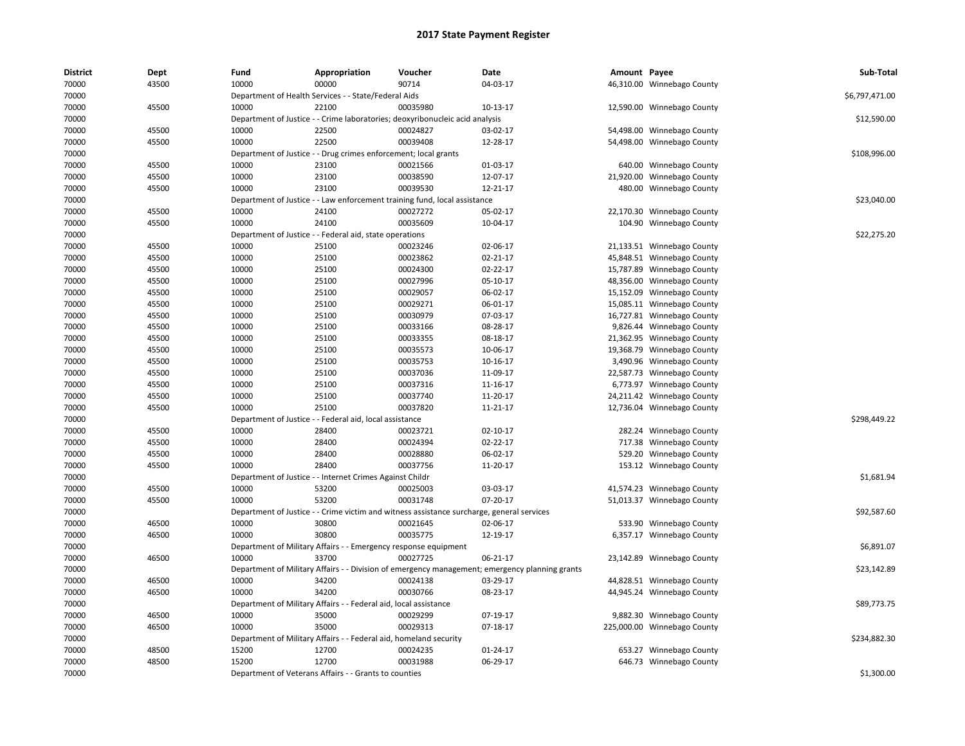| <b>District</b> | Dept  | Fund                             | Appropriation                                                                             | Voucher                         | <b>Date</b>                                                                                    | Amount Payee |                             | Sub-Total      |
|-----------------|-------|----------------------------------|-------------------------------------------------------------------------------------------|---------------------------------|------------------------------------------------------------------------------------------------|--------------|-----------------------------|----------------|
| 70000           | 43500 | 10000                            | 00000                                                                                     | 90714                           | 04-03-17                                                                                       |              | 46,310.00 Winnebago County  |                |
| 70000           |       |                                  | Department of Health Services - - State/Federal Aids                                      |                                 |                                                                                                |              |                             | \$6,797,471.00 |
| 70000           | 45500 | 10000                            | 22100                                                                                     | 00035980                        | 10-13-17                                                                                       |              | 12,590.00 Winnebago County  |                |
| 70000           |       |                                  | Department of Justice - - Crime laboratories; deoxyribonucleic acid analysis              |                                 |                                                                                                |              |                             | \$12,590.00    |
| 70000           | 45500 | 10000                            | 22500                                                                                     | 00024827                        | 03-02-17                                                                                       |              | 54,498.00 Winnebago County  |                |
| 70000           | 45500 | 10000                            | 22500                                                                                     | 00039408                        | 12-28-17                                                                                       |              | 54,498.00 Winnebago County  |                |
| 70000           |       |                                  | Department of Justice - - Drug crimes enforcement; local grants                           |                                 |                                                                                                |              |                             | \$108,996.00   |
| 70000           | 45500 | 10000                            | 23100                                                                                     | 00021566                        | 01-03-17                                                                                       |              | 640.00 Winnebago County     |                |
| 70000           | 45500 | 10000                            | 23100                                                                                     | 00038590                        | 12-07-17                                                                                       |              | 21,920.00 Winnebago County  |                |
| 70000           | 45500 | 10000                            | 23100                                                                                     | 00039530                        | 12-21-17                                                                                       |              | 480.00 Winnebago County     |                |
| 70000           |       |                                  | Department of Justice - - Law enforcement training fund, local assistance                 |                                 |                                                                                                |              |                             | \$23,040.00    |
| 70000           | 45500 | 10000                            | 24100                                                                                     | 00027272                        | 05-02-17                                                                                       |              | 22,170.30 Winnebago County  |                |
| 70000           | 45500 | 10000                            | 24100                                                                                     | 00035609                        | 10-04-17                                                                                       |              | 104.90 Winnebago County     |                |
| 70000           |       |                                  | Department of Justice - - Federal aid, state operations                                   |                                 |                                                                                                |              |                             | \$22,275.20    |
| 70000           | 45500 | 10000                            | 25100                                                                                     | 00023246                        | 02-06-17                                                                                       |              | 21,133.51 Winnebago County  |                |
| 70000           | 45500 | 10000                            | 25100                                                                                     | 00023862                        | 02-21-17                                                                                       |              | 45,848.51 Winnebago County  |                |
| 70000           | 45500 | 10000                            | 25100                                                                                     | 00024300                        | 02-22-17                                                                                       |              | 15,787.89 Winnebago County  |                |
| 70000           | 45500 | 10000                            | 25100                                                                                     | 00027996                        | 05-10-17                                                                                       |              | 48,356.00 Winnebago County  |                |
| 70000           | 45500 | 10000                            | 25100                                                                                     | 00029057                        | 06-02-17                                                                                       |              | 15,152.09 Winnebago County  |                |
| 70000           | 45500 | 10000                            | 25100                                                                                     | 00029271                        | 06-01-17                                                                                       |              | 15,085.11 Winnebago County  |                |
| 70000           | 45500 | 10000                            | 25100                                                                                     | 00030979                        | 07-03-17                                                                                       |              | 16,727.81 Winnebago County  |                |
| 70000           | 45500 | 10000                            | 25100                                                                                     | 00033166                        | 08-28-17                                                                                       |              | 9,826.44 Winnebago County   |                |
| 70000           | 45500 | 10000                            | 25100                                                                                     | 00033355                        | 08-18-17                                                                                       |              | 21,362.95 Winnebago County  |                |
| 70000           | 45500 | 10000                            | 25100                                                                                     | 00035573                        | 10-06-17                                                                                       |              | 19,368.79 Winnebago County  |                |
| 70000           | 45500 | 10000                            | 25100                                                                                     | 00035753                        | 10-16-17                                                                                       |              | 3,490.96 Winnebago County   |                |
| 70000           | 45500 | 10000                            | 25100                                                                                     | 00037036                        | 11-09-17                                                                                       |              | 22,587.73 Winnebago County  |                |
| 70000           | 45500 | 10000                            | 25100                                                                                     | 00037316                        | 11-16-17                                                                                       |              | 6,773.97 Winnebago County   |                |
| 70000           | 45500 | 10000                            | 25100                                                                                     | 00037740                        | 11-20-17                                                                                       |              | 24,211.42 Winnebago County  |                |
| 70000           | 45500 | 10000                            | 25100                                                                                     | 00037820                        | 11-21-17                                                                                       |              | 12,736.04 Winnebago County  |                |
| 70000           |       |                                  | Department of Justice - - Federal aid, local assistance                                   |                                 |                                                                                                |              |                             | \$298,449.22   |
| 70000           | 45500 | 10000                            | 28400                                                                                     | 00023721                        | 02-10-17                                                                                       |              | 282.24 Winnebago County     |                |
| 70000           | 45500 | 10000                            | 28400                                                                                     | 00024394                        | 02-22-17                                                                                       |              | 717.38 Winnebago County     |                |
| 70000           | 45500 | 10000                            | 28400                                                                                     | 00028880                        | 06-02-17                                                                                       |              | 529.20 Winnebago County     |                |
| 70000           | 45500 | 10000                            | 28400                                                                                     | 00037756                        | 11-20-17                                                                                       |              | 153.12 Winnebago County     |                |
| 70000           |       |                                  | Department of Justice - - Internet Crimes Against Childr                                  |                                 |                                                                                                |              |                             | \$1,681.94     |
| 70000           | 45500 | 10000                            | 53200                                                                                     | 00025003                        | 03-03-17                                                                                       |              | 41,574.23 Winnebago County  |                |
| 70000           | 45500 | 10000                            | 53200                                                                                     | 00031748                        | 07-20-17                                                                                       |              | 51,013.37 Winnebago County  |                |
| 70000           |       |                                  | Department of Justice - - Crime victim and witness assistance surcharge, general services |                                 |                                                                                                |              |                             | \$92,587.60    |
| 70000           | 46500 | 10000                            | 30800                                                                                     | 00021645                        | 02-06-17                                                                                       |              | 533.90 Winnebago County     |                |
| 70000           | 46500 | 10000                            | 30800                                                                                     | 00035775                        | 12-19-17                                                                                       |              | 6,357.17 Winnebago County   |                |
| 70000           |       |                                  | Department of Military Affairs - - Emergency response equipment                           |                                 |                                                                                                |              |                             | \$6,891.07     |
| 70000           | 46500 | 10000                            | 33700                                                                                     | 00027725                        | 06-21-17                                                                                       |              | 23,142.89 Winnebago County  |                |
| 70000           |       |                                  |                                                                                           |                                 | Department of Military Affairs - - Division of emergency management; emergency planning grants |              |                             | \$23,142.89    |
| 70000           | 46500 | 10000                            | 34200                                                                                     | 00024138                        | 03-29-17                                                                                       |              | 44,828.51 Winnebago County  |                |
| 70000           | 46500 | 10000                            | 34200                                                                                     | 00030766                        | 08-23-17                                                                                       |              | 44,945.24 Winnebago County  |                |
| 70000           |       | Department of Military Affairs - |                                                                                           | - Federal aid, local assistance |                                                                                                |              |                             | \$89,773.75    |
| 70000           | 46500 | 10000                            | 35000                                                                                     | 00029299                        | 07-19-17                                                                                       |              | 9,882.30 Winnebago County   |                |
| 70000           | 46500 | 10000                            | 35000                                                                                     | 00029313                        | 07-18-17                                                                                       |              | 225,000.00 Winnebago County |                |
| 70000           |       |                                  | Department of Military Affairs - - Federal aid, homeland security                         |                                 |                                                                                                |              |                             | \$234,882.30   |
| 70000           | 48500 | 15200                            | 12700                                                                                     | 00024235                        | 01-24-17                                                                                       |              | 653.27 Winnebago County     |                |
| 70000           | 48500 | 15200                            | 12700                                                                                     | 00031988                        | 06-29-17                                                                                       |              | 646.73 Winnebago County     |                |
| 70000           |       |                                  | Department of Veterans Affairs - - Grants to counties                                     |                                 |                                                                                                |              |                             | \$1,300.00     |
|                 |       |                                  |                                                                                           |                                 |                                                                                                |              |                             |                |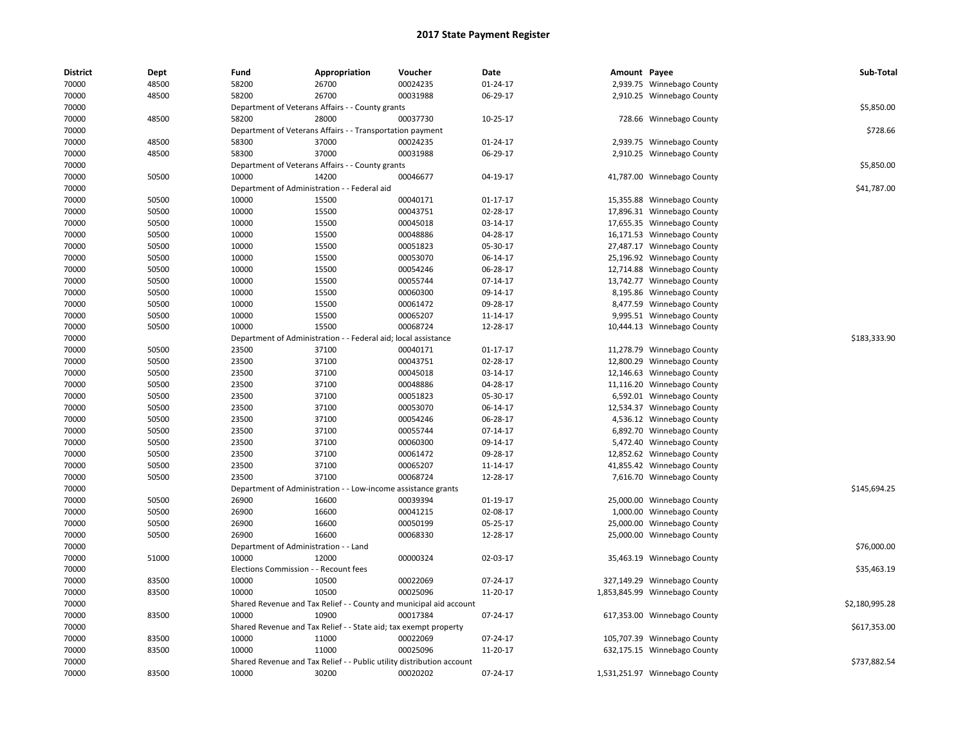| <b>District</b> | Dept  | Fund                         | Appropriation                                                         | Voucher                           | Date           | Amount Payee |                               | Sub-Total      |
|-----------------|-------|------------------------------|-----------------------------------------------------------------------|-----------------------------------|----------------|--------------|-------------------------------|----------------|
| 70000           | 48500 | 58200                        | 26700                                                                 | 00024235                          | 01-24-17       |              | 2,939.75 Winnebago County     |                |
| 70000           | 48500 | 58200                        | 26700                                                                 | 00031988                          | 06-29-17       |              | 2,910.25 Winnebago County     |                |
| 70000           |       |                              | Department of Veterans Affairs - - County grants                      |                                   |                |              |                               | \$5,850.00     |
| 70000           | 48500 | 58200                        | 28000                                                                 | 00037730                          | 10-25-17       |              | 728.66 Winnebago County       |                |
| 70000           |       |                              | Department of Veterans Affairs - - Transportation payment             |                                   |                |              |                               | \$728.66       |
| 70000           | 48500 | 58300                        | 37000                                                                 | 00024235                          | 01-24-17       |              | 2,939.75 Winnebago County     |                |
| 70000           | 48500 | 58300                        | 37000                                                                 | 00031988                          | 06-29-17       |              | 2,910.25 Winnebago County     |                |
| 70000           |       |                              | Department of Veterans Affairs - - County grants                      |                                   |                |              |                               | \$5,850.00     |
| 70000           | 50500 | 10000                        | 14200                                                                 | 00046677                          | 04-19-17       |              | 41,787.00 Winnebago County    |                |
| 70000           |       |                              | Department of Administration - - Federal aid                          |                                   |                |              |                               | \$41,787.00    |
| 70000           | 50500 | 10000                        | 15500                                                                 | 00040171                          | $01 - 17 - 17$ |              | 15,355.88 Winnebago County    |                |
| 70000           | 50500 | 10000                        | 15500                                                                 | 00043751                          | 02-28-17       |              | 17,896.31 Winnebago County    |                |
| 70000           | 50500 | 10000                        | 15500                                                                 | 00045018                          | 03-14-17       |              | 17,655.35 Winnebago County    |                |
| 70000           | 50500 | 10000                        | 15500                                                                 | 00048886                          | 04-28-17       |              | 16,171.53 Winnebago County    |                |
| 70000           | 50500 | 10000                        | 15500                                                                 | 00051823                          | 05-30-17       |              | 27,487.17 Winnebago County    |                |
| 70000           | 50500 | 10000                        | 15500                                                                 | 00053070                          | 06-14-17       |              | 25,196.92 Winnebago County    |                |
| 70000           | 50500 | 10000                        | 15500                                                                 | 00054246                          | 06-28-17       |              | 12,714.88 Winnebago County    |                |
| 70000           | 50500 | 10000                        | 15500                                                                 | 00055744                          | 07-14-17       |              | 13,742.77 Winnebago County    |                |
| 70000           | 50500 | 10000                        | 15500                                                                 | 00060300                          | 09-14-17       |              | 8,195.86 Winnebago County     |                |
| 70000           | 50500 | 10000                        | 15500                                                                 | 00061472                          | 09-28-17       |              | 8,477.59 Winnebago County     |                |
| 70000           | 50500 | 10000                        | 15500                                                                 | 00065207                          | 11-14-17       |              | 9,995.51 Winnebago County     |                |
| 70000           | 50500 | 10000                        | 15500                                                                 | 00068724                          | 12-28-17       |              | 10,444.13 Winnebago County    |                |
| 70000           |       | Department of Administration |                                                                       | - - Federal aid; local assistance |                |              |                               | \$183,333.90   |
| 70000           | 50500 | 23500                        | 37100                                                                 | 00040171                          | $01-17-17$     |              | 11,278.79 Winnebago County    |                |
| 70000           | 50500 | 23500                        | 37100                                                                 | 00043751                          | 02-28-17       |              | 12,800.29 Winnebago County    |                |
| 70000           | 50500 | 23500                        | 37100                                                                 | 00045018                          | 03-14-17       |              | 12,146.63 Winnebago County    |                |
| 70000           | 50500 | 23500                        | 37100                                                                 | 00048886                          | 04-28-17       |              | 11,116.20 Winnebago County    |                |
| 70000           | 50500 | 23500                        | 37100                                                                 | 00051823                          | 05-30-17       |              | 6,592.01 Winnebago County     |                |
| 70000           | 50500 | 23500                        | 37100                                                                 | 00053070                          | 06-14-17       |              | 12,534.37 Winnebago County    |                |
| 70000           | 50500 | 23500                        | 37100                                                                 | 00054246                          | 06-28-17       |              | 4,536.12 Winnebago County     |                |
| 70000           | 50500 | 23500                        | 37100                                                                 | 00055744                          | 07-14-17       |              | 6,892.70 Winnebago County     |                |
| 70000           | 50500 | 23500                        | 37100                                                                 | 00060300                          | 09-14-17       |              | 5,472.40 Winnebago County     |                |
| 70000           | 50500 | 23500                        | 37100                                                                 | 00061472                          | 09-28-17       |              | 12,852.62 Winnebago County    |                |
| 70000           | 50500 | 23500                        | 37100                                                                 | 00065207                          | 11-14-17       |              | 41,855.42 Winnebago County    |                |
| 70000           | 50500 | 23500                        | 37100                                                                 | 00068724                          | 12-28-17       |              | 7,616.70 Winnebago County     |                |
| 70000           |       | Department of Administration |                                                                       | - Low-income assistance grants    |                |              |                               | \$145,694.25   |
| 70000           | 50500 | 26900                        | 16600                                                                 | 00039394                          | 01-19-17       |              | 25,000.00 Winnebago County    |                |
| 70000           | 50500 | 26900                        | 16600                                                                 | 00041215                          | 02-08-17       |              | 1,000.00 Winnebago County     |                |
| 70000           | 50500 | 26900                        | 16600                                                                 | 00050199                          | 05-25-17       |              | 25,000.00 Winnebago County    |                |
| 70000           | 50500 | 26900                        | 16600                                                                 | 00068330                          | 12-28-17       |              | 25,000.00 Winnebago County    |                |
| 70000           |       |                              | Department of Administration - - Land                                 |                                   |                |              |                               | \$76,000.00    |
| 70000           | 51000 | 10000                        | 12000                                                                 | 00000324                          | 02-03-17       |              | 35,463.19 Winnebago County    |                |
| 70000           |       |                              | Elections Commission - - Recount fees                                 |                                   |                |              |                               | \$35,463.19    |
| 70000           | 83500 | 10000                        | 10500                                                                 | 00022069                          | 07-24-17       |              | 327,149.29 Winnebago County   |                |
|                 |       |                              |                                                                       |                                   |                |              |                               |                |
| 70000           | 83500 | 10000                        | 10500                                                                 | 00025096                          | 11-20-17       |              | 1,853,845.99 Winnebago County |                |
| 70000           |       |                              | Shared Revenue and Tax Relief - - County and municipal aid account    |                                   |                |              |                               | \$2,180,995.28 |
| 70000           | 83500 | 10000                        | 10900                                                                 | 00017384                          | 07-24-17       |              | 617,353.00 Winnebago County   |                |
| 70000           |       |                              | Shared Revenue and Tax Relief - - State aid; tax exempt property      |                                   |                |              |                               | \$617,353.00   |
| 70000           | 83500 | 10000                        | 11000                                                                 | 00022069                          | 07-24-17       |              | 105,707.39 Winnebago County   |                |
| 70000           | 83500 | 10000                        | 11000                                                                 | 00025096                          | 11-20-17       |              | 632,175.15 Winnebago County   |                |
| 70000           |       |                              | Shared Revenue and Tax Relief - - Public utility distribution account |                                   |                |              |                               | \$737,882.54   |
| 70000           | 83500 | 10000                        | 30200                                                                 | 00020202                          | 07-24-17       |              | 1,531,251.97 Winnebago County |                |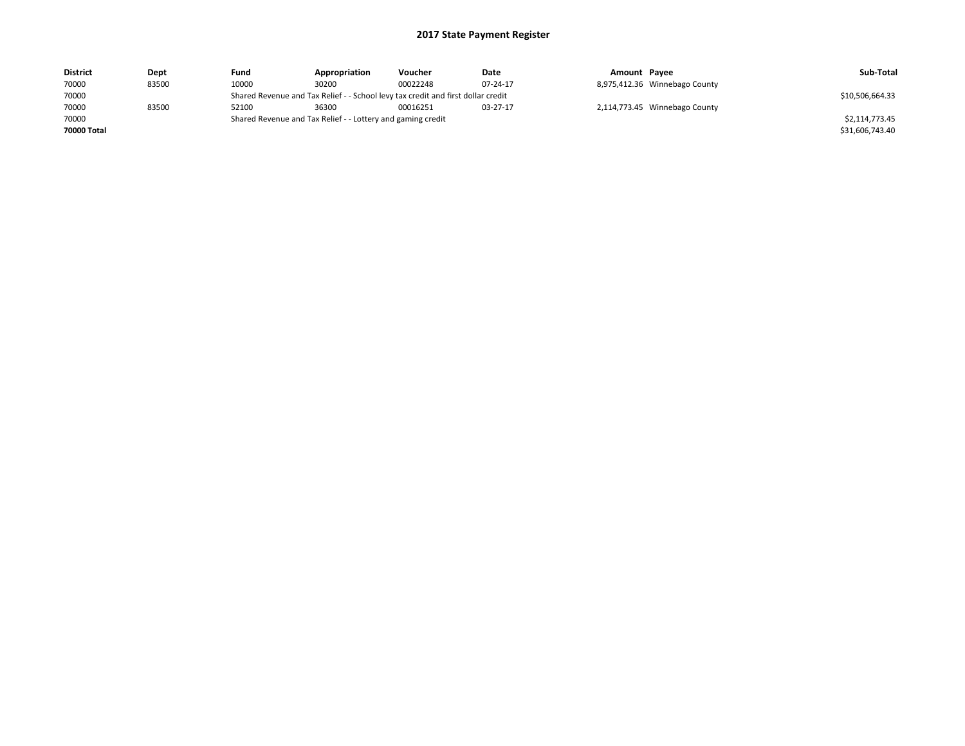| <b>District</b> | Dept  | Fund  | Appropriation                                                                    | Voucher  | Date     | Amount Payee |                               | Sub-Total       |  |  |
|-----------------|-------|-------|----------------------------------------------------------------------------------|----------|----------|--------------|-------------------------------|-----------------|--|--|
| 70000           | 83500 | 10000 | 30200                                                                            | 00022248 | 07-24-17 |              | 8,975,412.36 Winnebago County |                 |  |  |
| 70000           |       |       | Shared Revenue and Tax Relief - - School levy tax credit and first dollar credit |          |          |              |                               |                 |  |  |
| 70000           | 83500 | 52100 | 36300                                                                            | 00016251 | 03-27-17 |              | 2,114,773.45 Winnebago County |                 |  |  |
| 70000           |       |       | Shared Revenue and Tax Relief - - Lottery and gaming credit                      |          |          |              |                               | \$2,114,773.45  |  |  |
| 70000 Total     |       |       |                                                                                  |          |          |              |                               | \$31,606,743.40 |  |  |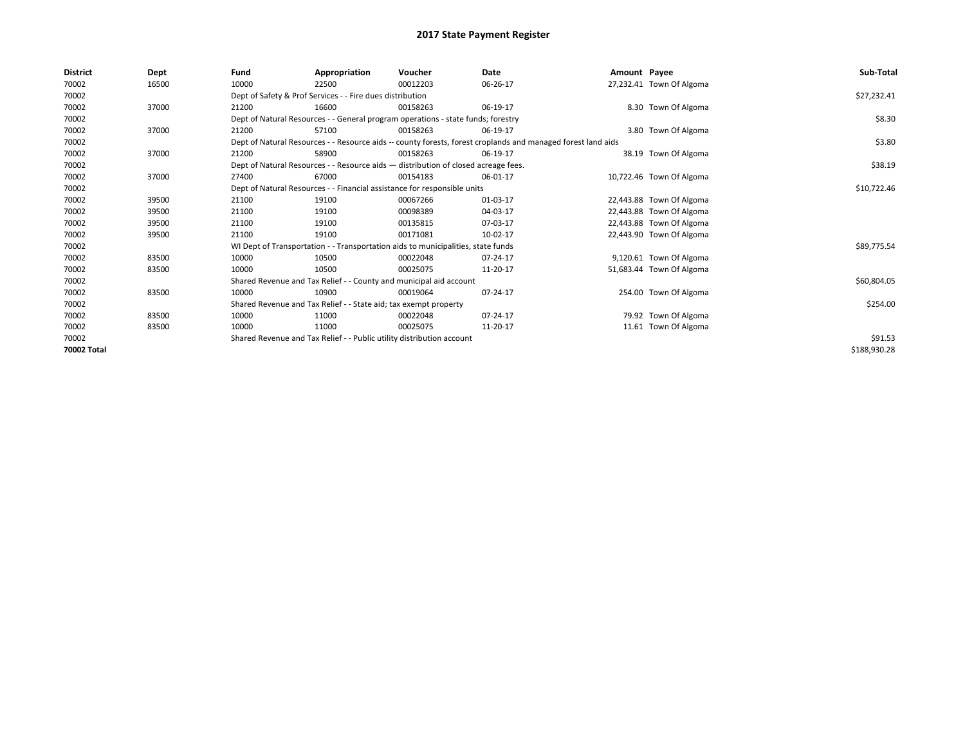| <b>District</b> | Dept  | Fund                                                                               | Appropriation                                                                    | Voucher  | Date                                                                                                         | Amount Payee |                          | Sub-Total    |
|-----------------|-------|------------------------------------------------------------------------------------|----------------------------------------------------------------------------------|----------|--------------------------------------------------------------------------------------------------------------|--------------|--------------------------|--------------|
| 70002           | 16500 | 10000                                                                              | 22500                                                                            | 00012203 | 06-26-17                                                                                                     |              | 27,232.41 Town Of Algoma |              |
| 70002           |       |                                                                                    | Dept of Safety & Prof Services - - Fire dues distribution                        |          |                                                                                                              |              |                          | \$27,232.41  |
| 70002           | 37000 | 21200                                                                              | 16600                                                                            | 00158263 | 06-19-17                                                                                                     |              | 8.30 Town Of Algoma      |              |
| 70002           |       |                                                                                    | Dept of Natural Resources - - General program operations - state funds; forestry |          |                                                                                                              |              |                          | \$8.30       |
| 70002           | 37000 | 21200                                                                              | 57100                                                                            | 00158263 | 06-19-17                                                                                                     |              | 3.80 Town Of Algoma      |              |
| 70002           |       |                                                                                    |                                                                                  |          | Dept of Natural Resources - - Resource aids -- county forests, forest croplands and managed forest land aids |              |                          | \$3.80       |
| 70002           | 37000 | 21200                                                                              | 58900                                                                            | 00158263 | 06-19-17                                                                                                     |              | 38.19 Town Of Algoma     |              |
| 70002           |       | Dept of Natural Resources - - Resource aids - distribution of closed acreage fees. |                                                                                  | \$38.19  |                                                                                                              |              |                          |              |
| 70002           | 37000 | 27400                                                                              | 67000                                                                            | 00154183 | 06-01-17                                                                                                     |              | 10,722.46 Town Of Algoma |              |
| 70002           |       |                                                                                    | Dept of Natural Resources - - Financial assistance for responsible units         |          |                                                                                                              |              |                          | \$10,722.46  |
| 70002           | 39500 | 21100                                                                              | 19100                                                                            | 00067266 | 01-03-17                                                                                                     |              | 22,443.88 Town Of Algoma |              |
| 70002           | 39500 | 21100                                                                              | 19100                                                                            | 00098389 | 04-03-17                                                                                                     |              | 22,443.88 Town Of Algoma |              |
| 70002           | 39500 | 21100                                                                              | 19100                                                                            | 00135815 | 07-03-17                                                                                                     |              | 22,443.88 Town Of Algoma |              |
| 70002           | 39500 | 21100                                                                              | 19100                                                                            | 00171081 | 10-02-17                                                                                                     |              | 22,443.90 Town Of Algoma |              |
| 70002           |       |                                                                                    | WI Dept of Transportation - - Transportation aids to municipalities, state funds |          |                                                                                                              |              |                          | \$89,775.54  |
| 70002           | 83500 | 10000                                                                              | 10500                                                                            | 00022048 | 07-24-17                                                                                                     |              | 9,120.61 Town Of Algoma  |              |
| 70002           | 83500 | 10000                                                                              | 10500                                                                            | 00025075 | 11-20-17                                                                                                     |              | 51,683.44 Town Of Algoma |              |
| 70002           |       |                                                                                    | Shared Revenue and Tax Relief - - County and municipal aid account               |          |                                                                                                              |              |                          | \$60,804.05  |
| 70002           | 83500 | 10000                                                                              | 10900                                                                            | 00019064 | 07-24-17                                                                                                     |              | 254.00 Town Of Algoma    |              |
| 70002           |       |                                                                                    | Shared Revenue and Tax Relief - - State aid; tax exempt property                 |          |                                                                                                              |              |                          | \$254.00     |
| 70002           | 83500 | 10000                                                                              | 11000                                                                            | 00022048 | 07-24-17                                                                                                     |              | 79.92 Town Of Algoma     |              |
| 70002           | 83500 | 10000                                                                              | 11000                                                                            | 00025075 | 11-20-17                                                                                                     |              | 11.61 Town Of Algoma     |              |
| 70002           |       | Shared Revenue and Tax Relief - - Public utility distribution account              |                                                                                  | \$91.53  |                                                                                                              |              |                          |              |
| 70002 Total     |       |                                                                                    |                                                                                  |          |                                                                                                              |              |                          | \$188,930.28 |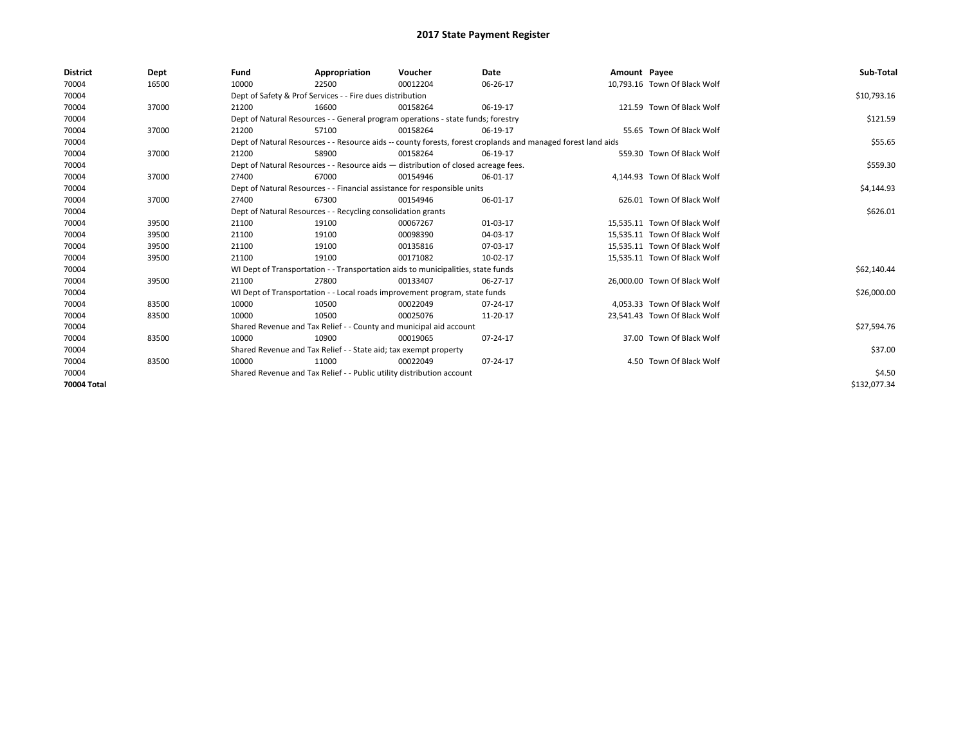| <b>District</b> | Dept  | Fund  | Appropriation                                                                                                | Voucher  | Date     | Amount Payee |                              | Sub-Total    |  |  |  |
|-----------------|-------|-------|--------------------------------------------------------------------------------------------------------------|----------|----------|--------------|------------------------------|--------------|--|--|--|
| 70004           | 16500 | 10000 | 22500                                                                                                        | 00012204 | 06-26-17 |              | 10,793.16 Town Of Black Wolf |              |  |  |  |
| 70004           |       |       | Dept of Safety & Prof Services - - Fire dues distribution                                                    |          |          |              |                              | \$10,793.16  |  |  |  |
| 70004           | 37000 | 21200 | 16600                                                                                                        | 00158264 | 06-19-17 |              | 121.59 Town Of Black Wolf    |              |  |  |  |
| 70004           |       |       | Dept of Natural Resources - - General program operations - state funds; forestry                             |          |          |              |                              |              |  |  |  |
| 70004           | 37000 | 21200 | 57100                                                                                                        | 00158264 | 06-19-17 |              | 55.65 Town Of Black Wolf     |              |  |  |  |
| 70004           |       |       | Dept of Natural Resources - - Resource aids -- county forests, forest croplands and managed forest land aids |          |          |              |                              |              |  |  |  |
| 70004           | 37000 | 21200 | 58900                                                                                                        | 00158264 | 06-19-17 |              | 559.30 Town Of Black Wolf    |              |  |  |  |
| 70004           |       |       | Dept of Natural Resources - - Resource aids - distribution of closed acreage fees.                           |          |          |              |                              | \$559.30     |  |  |  |
| 70004           | 37000 | 27400 | 67000                                                                                                        | 00154946 | 06-01-17 |              | 4,144.93 Town Of Black Wolf  |              |  |  |  |
| 70004           |       |       | Dept of Natural Resources - - Financial assistance for responsible units                                     |          |          |              |                              | \$4,144.93   |  |  |  |
| 70004           | 37000 | 27400 | 67300                                                                                                        | 00154946 | 06-01-17 |              | 626.01 Town Of Black Wolf    |              |  |  |  |
| 70004           |       |       | Dept of Natural Resources - - Recycling consolidation grants                                                 |          |          |              |                              |              |  |  |  |
| 70004           | 39500 | 21100 | 19100                                                                                                        | 00067267 | 01-03-17 |              | 15,535.11 Town Of Black Wolf |              |  |  |  |
| 70004           | 39500 | 21100 | 19100                                                                                                        | 00098390 | 04-03-17 |              | 15,535.11 Town Of Black Wolf |              |  |  |  |
| 70004           | 39500 | 21100 | 19100                                                                                                        | 00135816 | 07-03-17 |              | 15,535.11 Town Of Black Wolf |              |  |  |  |
| 70004           | 39500 | 21100 | 19100                                                                                                        | 00171082 | 10-02-17 |              | 15,535.11 Town Of Black Wolf |              |  |  |  |
| 70004           |       |       | WI Dept of Transportation - - Transportation aids to municipalities, state funds                             |          |          |              |                              | \$62,140.44  |  |  |  |
| 70004           | 39500 | 21100 | 27800                                                                                                        | 00133407 | 06-27-17 |              | 26,000,00 Town Of Black Wolf |              |  |  |  |
| 70004           |       |       | WI Dept of Transportation - - Local roads improvement program, state funds                                   |          |          |              |                              | \$26,000.00  |  |  |  |
| 70004           | 83500 | 10000 | 10500                                                                                                        | 00022049 | 07-24-17 |              | 4,053.33 Town Of Black Wolf  |              |  |  |  |
| 70004           | 83500 | 10000 | 10500                                                                                                        | 00025076 | 11-20-17 |              | 23.541.43 Town Of Black Wolf |              |  |  |  |
| 70004           |       |       | Shared Revenue and Tax Relief - - County and municipal aid account                                           |          |          |              |                              | \$27,594.76  |  |  |  |
| 70004           | 83500 | 10000 | 10900                                                                                                        | 00019065 | 07-24-17 |              | 37.00 Town Of Black Wolf     |              |  |  |  |
| 70004           |       |       | Shared Revenue and Tax Relief - - State aid; tax exempt property                                             |          |          |              |                              | \$37.00      |  |  |  |
| 70004           | 83500 | 10000 | 11000                                                                                                        | 00022049 | 07-24-17 |              | 4.50 Town Of Black Wolf      |              |  |  |  |
| 70004           |       |       | Shared Revenue and Tax Relief - - Public utility distribution account                                        |          |          |              |                              |              |  |  |  |
| 70004 Total     |       |       |                                                                                                              |          |          |              |                              | \$132,077.34 |  |  |  |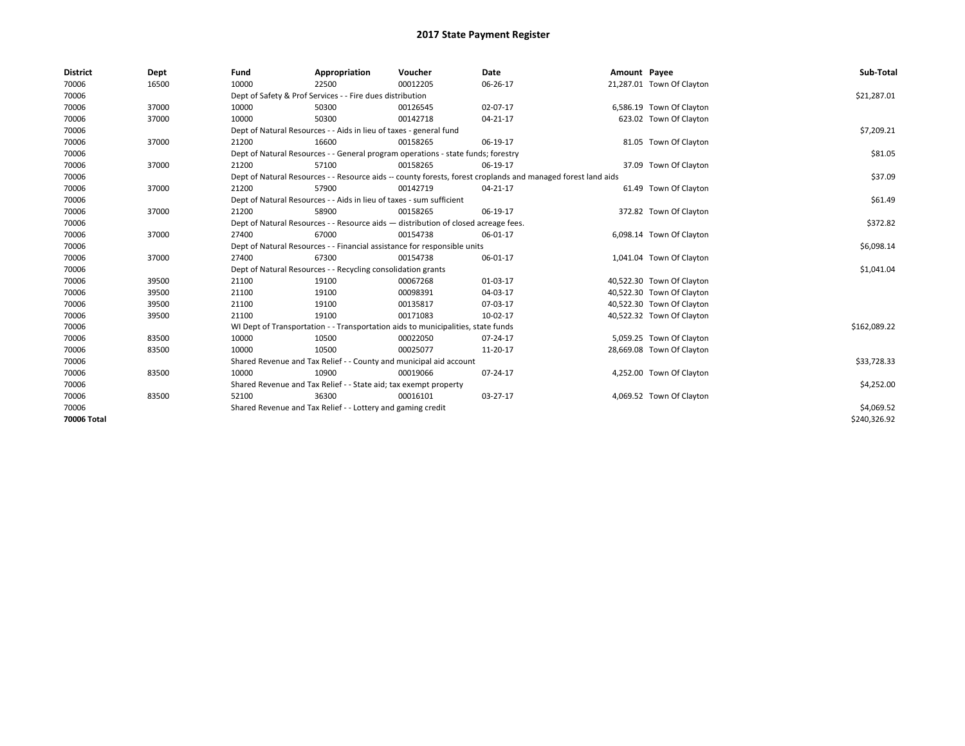| <b>District</b> | Dept  | Fund  | Appropriation                                                                                                | Voucher  | Date       | Amount Payee |                           | Sub-Total    |  |  |
|-----------------|-------|-------|--------------------------------------------------------------------------------------------------------------|----------|------------|--------------|---------------------------|--------------|--|--|
| 70006           | 16500 | 10000 | 22500                                                                                                        | 00012205 | 06-26-17   |              | 21,287.01 Town Of Clayton |              |  |  |
| 70006           |       |       | Dept of Safety & Prof Services - - Fire dues distribution                                                    |          |            |              |                           | \$21,287.01  |  |  |
| 70006           | 37000 | 10000 | 50300                                                                                                        | 00126545 | 02-07-17   |              | 6,586.19 Town Of Clayton  |              |  |  |
| 70006           | 37000 | 10000 | 50300                                                                                                        | 00142718 | 04-21-17   |              | 623.02 Town Of Clayton    |              |  |  |
| 70006           |       |       | Dept of Natural Resources - - Aids in lieu of taxes - general fund                                           |          |            |              |                           | \$7,209.21   |  |  |
| 70006           | 37000 | 21200 | 16600                                                                                                        | 00158265 | 06-19-17   |              | 81.05 Town Of Clayton     |              |  |  |
| 70006           |       |       | Dept of Natural Resources - - General program operations - state funds; forestry                             |          | \$81.05    |              |                           |              |  |  |
| 70006           | 37000 | 21200 | 57100                                                                                                        | 00158265 | 06-19-17   |              | 37.09 Town Of Clayton     |              |  |  |
| 70006           |       |       | Dept of Natural Resources - - Resource aids -- county forests, forest croplands and managed forest land aids |          | \$37.09    |              |                           |              |  |  |
| 70006           | 37000 | 21200 | 57900                                                                                                        | 00142719 | 04-21-17   |              | 61.49 Town Of Clayton     |              |  |  |
| 70006           |       |       | Dept of Natural Resources - - Aids in lieu of taxes - sum sufficient                                         |          |            |              |                           | \$61.49      |  |  |
| 70006           | 37000 | 21200 | 58900                                                                                                        | 00158265 | 06-19-17   |              | 372.82 Town Of Clayton    |              |  |  |
| 70006           |       |       | Dept of Natural Resources - - Resource aids - distribution of closed acreage fees.                           |          |            |              |                           |              |  |  |
| 70006           | 37000 | 27400 | 67000                                                                                                        | 00154738 | 06-01-17   |              | 6,098.14 Town Of Clayton  |              |  |  |
| 70006           |       |       | Dept of Natural Resources - - Financial assistance for responsible units                                     |          |            |              |                           | \$6,098.14   |  |  |
| 70006           | 37000 | 27400 | 67300                                                                                                        | 00154738 | 06-01-17   |              | 1,041.04 Town Of Clayton  |              |  |  |
| 70006           |       |       | Dept of Natural Resources - - Recycling consolidation grants                                                 |          |            |              |                           | \$1,041.04   |  |  |
| 70006           | 39500 | 21100 | 19100                                                                                                        | 00067268 | 01-03-17   |              | 40,522.30 Town Of Clayton |              |  |  |
| 70006           | 39500 | 21100 | 19100                                                                                                        | 00098391 | 04-03-17   |              | 40,522.30 Town Of Clayton |              |  |  |
| 70006           | 39500 | 21100 | 19100                                                                                                        | 00135817 | 07-03-17   |              | 40,522.30 Town Of Clayton |              |  |  |
| 70006           | 39500 | 21100 | 19100                                                                                                        | 00171083 | 10-02-17   |              | 40,522.32 Town Of Clayton |              |  |  |
| 70006           |       |       | WI Dept of Transportation - - Transportation aids to municipalities, state funds                             |          |            |              |                           | \$162,089.22 |  |  |
| 70006           | 83500 | 10000 | 10500                                                                                                        | 00022050 | 07-24-17   |              | 5,059.25 Town Of Clayton  |              |  |  |
| 70006           | 83500 | 10000 | 10500                                                                                                        | 00025077 | 11-20-17   |              | 28,669.08 Town Of Clayton |              |  |  |
| 70006           |       |       | Shared Revenue and Tax Relief - - County and municipal aid account                                           |          |            |              |                           | \$33,728.33  |  |  |
| 70006           | 83500 | 10000 | 10900                                                                                                        | 00019066 | 07-24-17   |              | 4,252.00 Town Of Clayton  |              |  |  |
| 70006           |       |       | Shared Revenue and Tax Relief - - State aid; tax exempt property                                             |          |            |              |                           | \$4,252.00   |  |  |
| 70006           | 83500 | 52100 | 36300                                                                                                        | 00016101 | 03-27-17   |              | 4,069.52 Town Of Clayton  |              |  |  |
| 70006           |       |       | Shared Revenue and Tax Relief - - Lottery and gaming credit                                                  |          | \$4,069.52 |              |                           |              |  |  |
| 70006 Total     |       |       |                                                                                                              |          |            |              |                           | \$240,326.92 |  |  |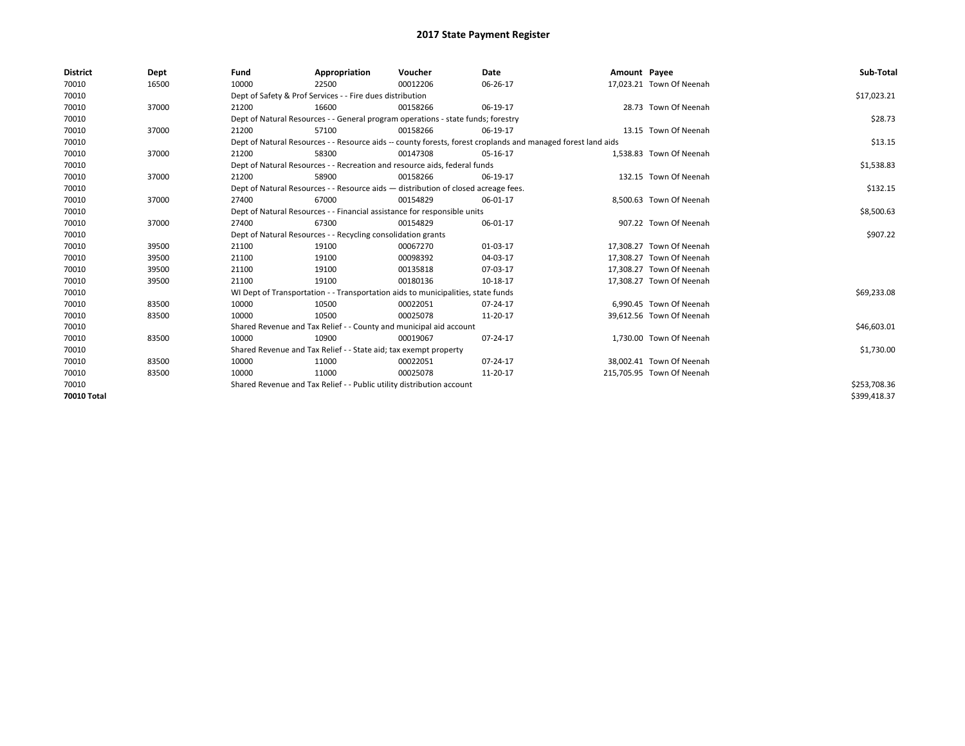| <b>District</b> | Dept  | Fund  | Appropriation                                                                                                | Voucher  | Date     | Amount Payee |                           | Sub-Total    |  |  |
|-----------------|-------|-------|--------------------------------------------------------------------------------------------------------------|----------|----------|--------------|---------------------------|--------------|--|--|
| 70010           | 16500 | 10000 | 22500                                                                                                        | 00012206 | 06-26-17 |              | 17,023.21 Town Of Neenah  |              |  |  |
| 70010           |       |       | Dept of Safety & Prof Services - - Fire dues distribution                                                    |          |          |              |                           | \$17,023.21  |  |  |
| 70010           | 37000 | 21200 | 16600                                                                                                        | 00158266 | 06-19-17 |              | 28.73 Town Of Neenah      |              |  |  |
| 70010           |       |       | Dept of Natural Resources - - General program operations - state funds; forestry                             |          |          |              |                           | \$28.73      |  |  |
| 70010           | 37000 | 21200 | 57100                                                                                                        | 00158266 | 06-19-17 |              | 13.15 Town Of Neenah      |              |  |  |
| 70010           |       |       | Dept of Natural Resources - - Resource aids -- county forests, forest croplands and managed forest land aids |          |          |              |                           | \$13.15      |  |  |
| 70010           | 37000 | 21200 | 58300                                                                                                        | 00147308 | 05-16-17 |              | 1,538.83 Town Of Neenah   |              |  |  |
| 70010           |       |       | Dept of Natural Resources - - Recreation and resource aids, federal funds                                    |          |          |              |                           | \$1,538.83   |  |  |
| 70010           | 37000 | 21200 | 58900                                                                                                        | 00158266 | 06-19-17 |              | 132.15 Town Of Neenah     |              |  |  |
| 70010           |       |       | Dept of Natural Resources - - Resource aids - distribution of closed acreage fees.                           |          |          |              |                           | \$132.15     |  |  |
| 70010           | 37000 | 27400 | 67000                                                                                                        | 00154829 | 06-01-17 |              | 8.500.63 Town Of Neenah   |              |  |  |
| 70010           |       |       | Dept of Natural Resources - - Financial assistance for responsible units                                     |          |          |              |                           | \$8,500.63   |  |  |
| 70010           | 37000 | 27400 | 67300                                                                                                        | 00154829 | 06-01-17 |              | 907.22 Town Of Neenah     |              |  |  |
| 70010           |       |       | Dept of Natural Resources - - Recycling consolidation grants                                                 |          |          |              |                           | \$907.22     |  |  |
| 70010           | 39500 | 21100 | 19100                                                                                                        | 00067270 | 01-03-17 |              | 17,308.27 Town Of Neenah  |              |  |  |
| 70010           | 39500 | 21100 | 19100                                                                                                        | 00098392 | 04-03-17 |              | 17.308.27 Town Of Neenah  |              |  |  |
| 70010           | 39500 | 21100 | 19100                                                                                                        | 00135818 | 07-03-17 |              | 17,308.27 Town Of Neenah  |              |  |  |
| 70010           | 39500 | 21100 | 19100                                                                                                        | 00180136 | 10-18-17 |              | 17,308.27 Town Of Neenah  |              |  |  |
| 70010           |       |       | WI Dept of Transportation - - Transportation aids to municipalities, state funds                             |          |          |              |                           | \$69,233.08  |  |  |
| 70010           | 83500 | 10000 | 10500                                                                                                        | 00022051 | 07-24-17 |              | 6,990.45 Town Of Neenah   |              |  |  |
| 70010           | 83500 | 10000 | 10500                                                                                                        | 00025078 | 11-20-17 |              | 39,612.56 Town Of Neenah  |              |  |  |
| 70010           |       |       | Shared Revenue and Tax Relief - - County and municipal aid account                                           |          |          |              |                           | \$46,603.01  |  |  |
| 70010           | 83500 | 10000 | 10900                                                                                                        | 00019067 | 07-24-17 |              | 1,730.00 Town Of Neenah   |              |  |  |
| 70010           |       |       | Shared Revenue and Tax Relief - - State aid; tax exempt property                                             |          |          |              |                           | \$1,730.00   |  |  |
| 70010           | 83500 | 10000 | 11000                                                                                                        | 00022051 | 07-24-17 |              | 38.002.41 Town Of Neenah  |              |  |  |
| 70010           | 83500 | 10000 | 11000                                                                                                        | 00025078 | 11-20-17 |              | 215,705.95 Town Of Neenah |              |  |  |
| 70010           |       |       | Shared Revenue and Tax Relief - - Public utility distribution account                                        |          |          |              |                           |              |  |  |
| 70010 Total     |       |       |                                                                                                              |          |          |              |                           | \$399,418.37 |  |  |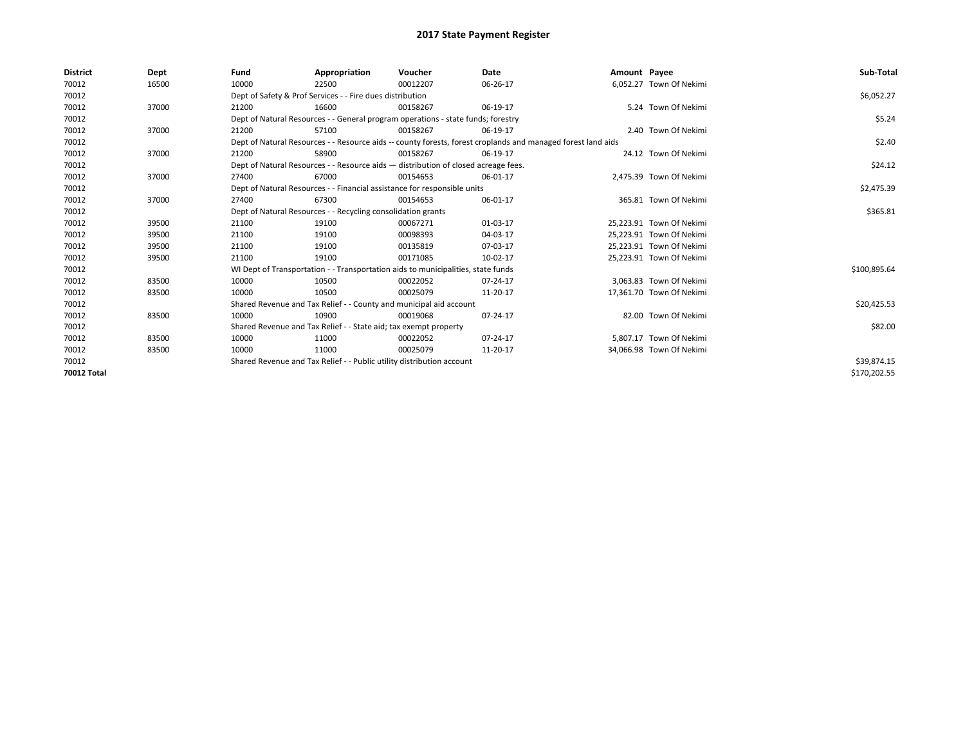| <b>District</b> | Dept  | Fund  | Appropriation                                                                                                | Voucher  | Date     | Amount Payee |                          | Sub-Total    |  |  |  |
|-----------------|-------|-------|--------------------------------------------------------------------------------------------------------------|----------|----------|--------------|--------------------------|--------------|--|--|--|
| 70012           | 16500 | 10000 | 22500                                                                                                        | 00012207 | 06-26-17 |              | 6.052.27 Town Of Nekimi  |              |  |  |  |
| 70012           |       |       | Dept of Safety & Prof Services - - Fire dues distribution                                                    |          |          |              |                          | \$6,052.27   |  |  |  |
| 70012           | 37000 | 21200 | 16600                                                                                                        | 00158267 | 06-19-17 |              | 5.24 Town Of Nekimi      |              |  |  |  |
| 70012           |       |       | Dept of Natural Resources - - General program operations - state funds; forestry                             |          |          |              |                          | \$5.24       |  |  |  |
| 70012           | 37000 | 21200 | 57100                                                                                                        | 00158267 | 06-19-17 |              | 2.40 Town Of Nekimi      |              |  |  |  |
| 70012           |       |       | Dept of Natural Resources - - Resource aids -- county forests, forest croplands and managed forest land aids |          |          |              |                          |              |  |  |  |
| 70012           | 37000 | 21200 | 58900                                                                                                        | 00158267 | 06-19-17 |              | 24.12 Town Of Nekimi     |              |  |  |  |
| 70012           |       |       | Dept of Natural Resources - - Resource aids - distribution of closed acreage fees.                           |          |          |              |                          | \$24.12      |  |  |  |
| 70012           | 37000 | 27400 | 67000                                                                                                        | 00154653 | 06-01-17 |              | 2,475.39 Town Of Nekimi  |              |  |  |  |
| 70012           |       |       | Dept of Natural Resources - - Financial assistance for responsible units                                     |          |          |              |                          | \$2,475.39   |  |  |  |
| 70012           | 37000 | 27400 | 67300                                                                                                        | 00154653 | 06-01-17 |              | 365.81 Town Of Nekimi    |              |  |  |  |
| 70012           |       |       | Dept of Natural Resources - - Recycling consolidation grants                                                 |          |          |              |                          |              |  |  |  |
| 70012           | 39500 | 21100 | 19100                                                                                                        | 00067271 | 01-03-17 |              | 25.223.91 Town Of Nekimi |              |  |  |  |
| 70012           | 39500 | 21100 | 19100                                                                                                        | 00098393 | 04-03-17 |              | 25,223.91 Town Of Nekimi |              |  |  |  |
| 70012           | 39500 | 21100 | 19100                                                                                                        | 00135819 | 07-03-17 |              | 25,223.91 Town Of Nekimi |              |  |  |  |
| 70012           | 39500 | 21100 | 19100                                                                                                        | 00171085 | 10-02-17 |              | 25,223.91 Town Of Nekimi |              |  |  |  |
| 70012           |       |       | WI Dept of Transportation - - Transportation aids to municipalities, state funds                             |          |          |              |                          | \$100,895.64 |  |  |  |
| 70012           | 83500 | 10000 | 10500                                                                                                        | 00022052 | 07-24-17 |              | 3.063.83 Town Of Nekimi  |              |  |  |  |
| 70012           | 83500 | 10000 | 10500                                                                                                        | 00025079 | 11-20-17 |              | 17,361.70 Town Of Nekimi |              |  |  |  |
| 70012           |       |       | Shared Revenue and Tax Relief - - County and municipal aid account                                           |          |          |              |                          | \$20,425.53  |  |  |  |
| 70012           | 83500 | 10000 | 10900                                                                                                        | 00019068 | 07-24-17 |              | 82.00 Town Of Nekimi     |              |  |  |  |
| 70012           |       |       | Shared Revenue and Tax Relief - - State aid; tax exempt property                                             |          |          |              |                          | \$82.00      |  |  |  |
| 70012           | 83500 | 10000 | 11000                                                                                                        | 00022052 | 07-24-17 |              | 5.807.17 Town Of Nekimi  |              |  |  |  |
| 70012           | 83500 | 10000 | 11000                                                                                                        | 00025079 | 11-20-17 |              | 34,066.98 Town Of Nekimi |              |  |  |  |
| 70012           |       |       | Shared Revenue and Tax Relief - - Public utility distribution account                                        |          |          |              |                          | \$39,874.15  |  |  |  |
| 70012 Total     |       |       |                                                                                                              |          |          |              |                          | \$170,202.55 |  |  |  |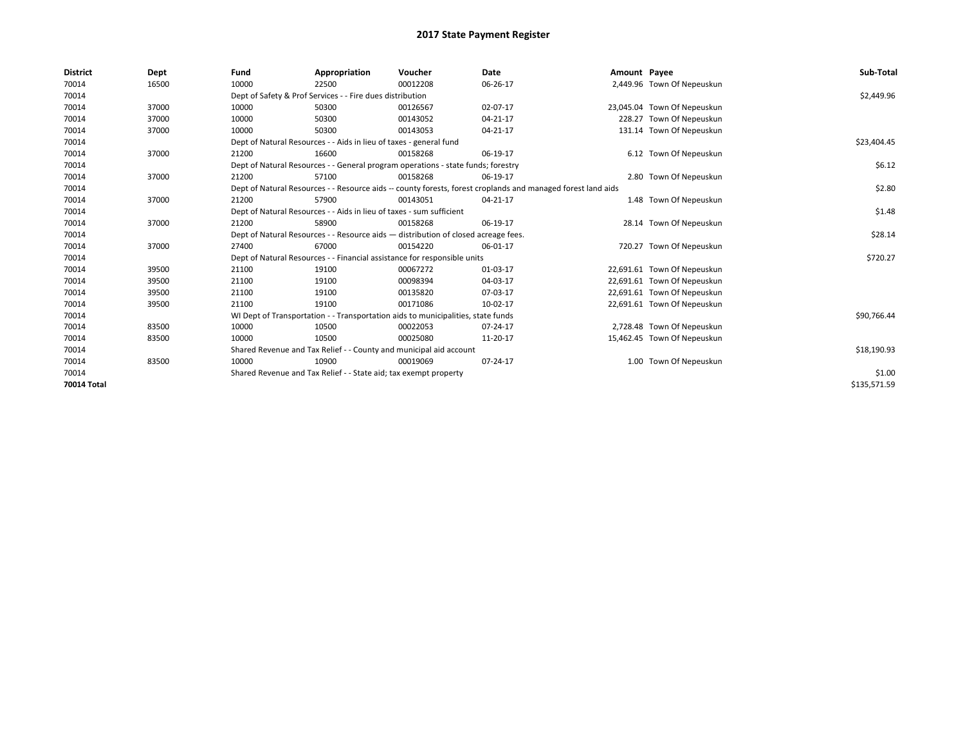| <b>District</b> | Dept  | Fund                                                                 | Appropriation                                                                      | Voucher  | Date                                                                                                         | Amount Payee |                             | Sub-Total    |
|-----------------|-------|----------------------------------------------------------------------|------------------------------------------------------------------------------------|----------|--------------------------------------------------------------------------------------------------------------|--------------|-----------------------------|--------------|
| 70014           | 16500 | 10000                                                                | 22500                                                                              | 00012208 | 06-26-17                                                                                                     |              | 2,449.96 Town Of Nepeuskun  |              |
| 70014           |       |                                                                      | Dept of Safety & Prof Services - - Fire dues distribution                          |          |                                                                                                              |              |                             | \$2,449.96   |
| 70014           | 37000 | 10000                                                                | 50300                                                                              | 00126567 | 02-07-17                                                                                                     |              | 23,045.04 Town Of Nepeuskun |              |
| 70014           | 37000 | 10000                                                                | 50300                                                                              | 00143052 | 04-21-17                                                                                                     |              | 228.27 Town Of Nepeuskun    |              |
| 70014           | 37000 | 10000                                                                | 50300                                                                              | 00143053 | 04-21-17                                                                                                     |              | 131.14 Town Of Nepeuskun    |              |
| 70014           |       |                                                                      | Dept of Natural Resources - - Aids in lieu of taxes - general fund                 |          |                                                                                                              |              |                             | \$23,404.45  |
| 70014           | 37000 | 21200                                                                | 16600                                                                              | 00158268 | 06-19-17                                                                                                     |              | 6.12 Town Of Nepeuskun      |              |
| 70014           |       |                                                                      | Dept of Natural Resources - - General program operations - state funds; forestry   |          |                                                                                                              |              |                             | \$6.12       |
| 70014           | 37000 | 21200                                                                | 57100                                                                              | 00158268 | 06-19-17                                                                                                     |              | 2.80 Town Of Nepeuskun      |              |
| 70014           |       |                                                                      |                                                                                    |          | Dept of Natural Resources - - Resource aids -- county forests, forest croplands and managed forest land aids |              |                             | \$2.80       |
| 70014           | 37000 | 21200                                                                | 57900                                                                              | 00143051 | 04-21-17                                                                                                     |              | 1.48 Town Of Nepeuskun      |              |
| 70014           |       | Dept of Natural Resources - - Aids in lieu of taxes - sum sufficient |                                                                                    | \$1.48   |                                                                                                              |              |                             |              |
| 70014           | 37000 | 21200                                                                | 58900                                                                              | 00158268 | 06-19-17                                                                                                     |              | 28.14 Town Of Nepeuskun     |              |
| 70014           |       |                                                                      | Dept of Natural Resources - - Resource aids - distribution of closed acreage fees. |          |                                                                                                              |              |                             | \$28.14      |
| 70014           | 37000 | 27400                                                                | 67000                                                                              | 00154220 | 06-01-17                                                                                                     |              | 720.27 Town Of Nepeuskun    |              |
| 70014           |       |                                                                      | Dept of Natural Resources - - Financial assistance for responsible units           |          |                                                                                                              |              |                             | \$720.27     |
| 70014           | 39500 | 21100                                                                | 19100                                                                              | 00067272 | 01-03-17                                                                                                     |              | 22,691.61 Town Of Nepeuskun |              |
| 70014           | 39500 | 21100                                                                | 19100                                                                              | 00098394 | 04-03-17                                                                                                     |              | 22,691.61 Town Of Nepeuskun |              |
| 70014           | 39500 | 21100                                                                | 19100                                                                              | 00135820 | 07-03-17                                                                                                     |              | 22,691.61 Town Of Nepeuskun |              |
| 70014           | 39500 | 21100                                                                | 19100                                                                              | 00171086 | 10-02-17                                                                                                     |              | 22,691.61 Town Of Nepeuskun |              |
| 70014           |       |                                                                      | WI Dept of Transportation - - Transportation aids to municipalities, state funds   |          |                                                                                                              |              |                             | \$90,766.44  |
| 70014           | 83500 | 10000                                                                | 10500                                                                              | 00022053 | 07-24-17                                                                                                     |              | 2,728.48 Town Of Nepeuskun  |              |
| 70014           | 83500 | 10000                                                                | 10500                                                                              | 00025080 | 11-20-17                                                                                                     |              | 15,462.45 Town Of Nepeuskun |              |
| 70014           |       |                                                                      | Shared Revenue and Tax Relief - - County and municipal aid account                 |          |                                                                                                              |              |                             | \$18,190.93  |
| 70014           | 83500 | 10000                                                                | 10900                                                                              | 00019069 | 07-24-17                                                                                                     |              | 1.00 Town Of Nepeuskun      |              |
| 70014           |       | Shared Revenue and Tax Relief - - State aid; tax exempt property     |                                                                                    | \$1.00   |                                                                                                              |              |                             |              |
| 70014 Total     |       |                                                                      |                                                                                    |          |                                                                                                              |              |                             | \$135,571.59 |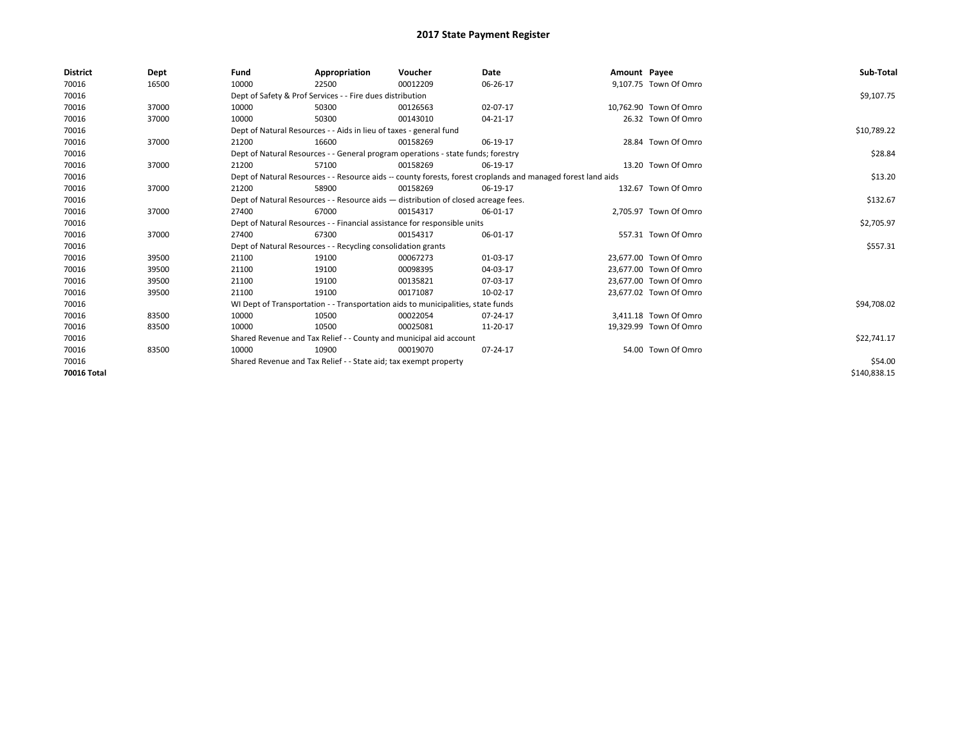| <b>District</b> | Dept  | Fund  | Appropriation                                                                      | Voucher  | Date                                                                                                         | Amount Payee |                        | Sub-Total    |
|-----------------|-------|-------|------------------------------------------------------------------------------------|----------|--------------------------------------------------------------------------------------------------------------|--------------|------------------------|--------------|
| 70016           | 16500 | 10000 | 22500                                                                              | 00012209 | 06-26-17                                                                                                     |              | 9,107.75 Town Of Omro  |              |
| 70016           |       |       | Dept of Safety & Prof Services - - Fire dues distribution                          |          |                                                                                                              |              |                        | \$9,107.75   |
| 70016           | 37000 | 10000 | 50300                                                                              | 00126563 | 02-07-17                                                                                                     |              | 10,762.90 Town Of Omro |              |
| 70016           | 37000 | 10000 | 50300                                                                              | 00143010 | 04-21-17                                                                                                     |              | 26.32 Town Of Omro     |              |
| 70016           |       |       | Dept of Natural Resources - - Aids in lieu of taxes - general fund                 |          |                                                                                                              |              |                        | \$10,789.22  |
| 70016           | 37000 | 21200 | 16600                                                                              | 00158269 | 06-19-17                                                                                                     |              | 28.84 Town Of Omro     |              |
| 70016           |       |       | Dept of Natural Resources - - General program operations - state funds; forestry   |          |                                                                                                              |              |                        | \$28.84      |
| 70016           | 37000 | 21200 | 57100                                                                              | 00158269 | 06-19-17                                                                                                     |              | 13.20 Town Of Omro     |              |
| 70016           |       |       |                                                                                    |          | Dept of Natural Resources - - Resource aids -- county forests, forest croplands and managed forest land aids |              |                        | \$13.20      |
| 70016           | 37000 | 21200 | 58900                                                                              | 00158269 | 06-19-17                                                                                                     |              | 132.67 Town Of Omro    |              |
| 70016           |       |       | Dept of Natural Resources - - Resource aids - distribution of closed acreage fees. |          |                                                                                                              |              |                        | \$132.67     |
| 70016           | 37000 | 27400 | 67000                                                                              | 00154317 | 06-01-17                                                                                                     |              | 2,705.97 Town Of Omro  |              |
| 70016           |       |       | Dept of Natural Resources - - Financial assistance for responsible units           |          |                                                                                                              |              |                        | \$2,705.97   |
| 70016           | 37000 | 27400 | 67300                                                                              | 00154317 | 06-01-17                                                                                                     |              | 557.31 Town Of Omro    |              |
| 70016           |       |       | Dept of Natural Resources - - Recycling consolidation grants                       |          |                                                                                                              |              |                        | \$557.31     |
| 70016           | 39500 | 21100 | 19100                                                                              | 00067273 | 01-03-17                                                                                                     |              | 23,677.00 Town Of Omro |              |
| 70016           | 39500 | 21100 | 19100                                                                              | 00098395 | 04-03-17                                                                                                     |              | 23,677.00 Town Of Omro |              |
| 70016           | 39500 | 21100 | 19100                                                                              | 00135821 | 07-03-17                                                                                                     |              | 23,677.00 Town Of Omro |              |
| 70016           | 39500 | 21100 | 19100                                                                              | 00171087 | 10-02-17                                                                                                     |              | 23,677.02 Town Of Omro |              |
| 70016           |       |       | WI Dept of Transportation - - Transportation aids to municipalities, state funds   |          |                                                                                                              |              |                        | \$94,708.02  |
| 70016           | 83500 | 10000 | 10500                                                                              | 00022054 | 07-24-17                                                                                                     |              | 3,411.18 Town Of Omro  |              |
| 70016           | 83500 | 10000 | 10500                                                                              | 00025081 | 11-20-17                                                                                                     |              | 19,329.99 Town Of Omro |              |
| 70016           |       |       | Shared Revenue and Tax Relief - - County and municipal aid account                 |          |                                                                                                              |              |                        | \$22,741.17  |
| 70016           | 83500 | 10000 | 10900                                                                              | 00019070 | 07-24-17                                                                                                     |              | 54.00 Town Of Omro     |              |
| 70016           |       |       | Shared Revenue and Tax Relief - - State aid; tax exempt property                   |          |                                                                                                              |              |                        | \$54.00      |
| 70016 Total     |       |       |                                                                                    |          |                                                                                                              |              |                        | \$140,838.15 |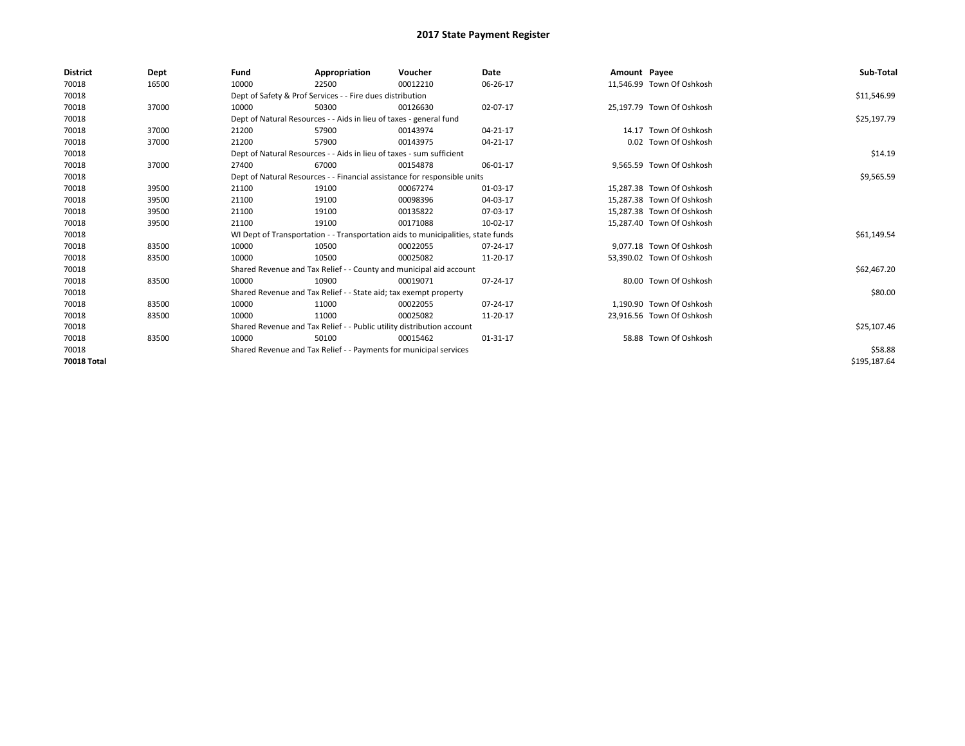| <b>District</b> | Dept  | Fund  | Appropriation                                                                    | Voucher  | Date     | Amount Payee |                           | Sub-Total    |
|-----------------|-------|-------|----------------------------------------------------------------------------------|----------|----------|--------------|---------------------------|--------------|
| 70018           | 16500 | 10000 | 22500                                                                            | 00012210 | 06-26-17 |              | 11,546.99 Town Of Oshkosh |              |
| 70018           |       |       | Dept of Safety & Prof Services - - Fire dues distribution                        |          |          |              |                           | \$11,546.99  |
| 70018           | 37000 | 10000 | 50300                                                                            | 00126630 | 02-07-17 |              | 25,197.79 Town Of Oshkosh |              |
| 70018           |       |       | Dept of Natural Resources - - Aids in lieu of taxes - general fund               |          |          |              |                           | \$25,197.79  |
| 70018           | 37000 | 21200 | 57900                                                                            | 00143974 | 04-21-17 |              | 14.17 Town Of Oshkosh     |              |
| 70018           | 37000 | 21200 | 57900                                                                            | 00143975 | 04-21-17 |              | 0.02 Town Of Oshkosh      |              |
| 70018           |       |       | Dept of Natural Resources - - Aids in lieu of taxes - sum sufficient             |          |          |              |                           | \$14.19      |
| 70018           | 37000 | 27400 | 67000                                                                            | 00154878 | 06-01-17 |              | 9,565.59 Town Of Oshkosh  |              |
| 70018           |       |       | Dept of Natural Resources - - Financial assistance for responsible units         |          |          |              |                           | \$9,565.59   |
| 70018           | 39500 | 21100 | 19100                                                                            | 00067274 | 01-03-17 |              | 15,287.38 Town Of Oshkosh |              |
| 70018           | 39500 | 21100 | 19100                                                                            | 00098396 | 04-03-17 |              | 15.287.38 Town Of Oshkosh |              |
| 70018           | 39500 | 21100 | 19100                                                                            | 00135822 | 07-03-17 |              | 15,287.38 Town Of Oshkosh |              |
| 70018           | 39500 | 21100 | 19100                                                                            | 00171088 | 10-02-17 |              | 15.287.40 Town Of Oshkosh |              |
| 70018           |       |       | WI Dept of Transportation - - Transportation aids to municipalities, state funds |          |          |              |                           | \$61,149.54  |
| 70018           | 83500 | 10000 | 10500                                                                            | 00022055 | 07-24-17 |              | 9,077.18 Town Of Oshkosh  |              |
| 70018           | 83500 | 10000 | 10500                                                                            | 00025082 | 11-20-17 |              | 53,390.02 Town Of Oshkosh |              |
| 70018           |       |       | Shared Revenue and Tax Relief - - County and municipal aid account               |          |          |              |                           | \$62,467.20  |
| 70018           | 83500 | 10000 | 10900                                                                            | 00019071 | 07-24-17 |              | 80.00 Town Of Oshkosh     |              |
| 70018           |       |       | Shared Revenue and Tax Relief - - State aid; tax exempt property                 |          |          |              |                           | \$80.00      |
| 70018           | 83500 | 10000 | 11000                                                                            | 00022055 | 07-24-17 |              | 1,190.90 Town Of Oshkosh  |              |
| 70018           | 83500 | 10000 | 11000                                                                            | 00025082 | 11-20-17 |              | 23,916.56 Town Of Oshkosh |              |
| 70018           |       |       | Shared Revenue and Tax Relief - - Public utility distribution account            |          |          |              |                           | \$25,107.46  |
| 70018           | 83500 | 10000 | 50100                                                                            | 00015462 | 01-31-17 |              | 58.88 Town Of Oshkosh     |              |
| 70018           |       |       | Shared Revenue and Tax Relief - - Payments for municipal services                |          |          |              |                           | \$58.88      |
| 70018 Total     |       |       |                                                                                  |          |          |              |                           | \$195,187.64 |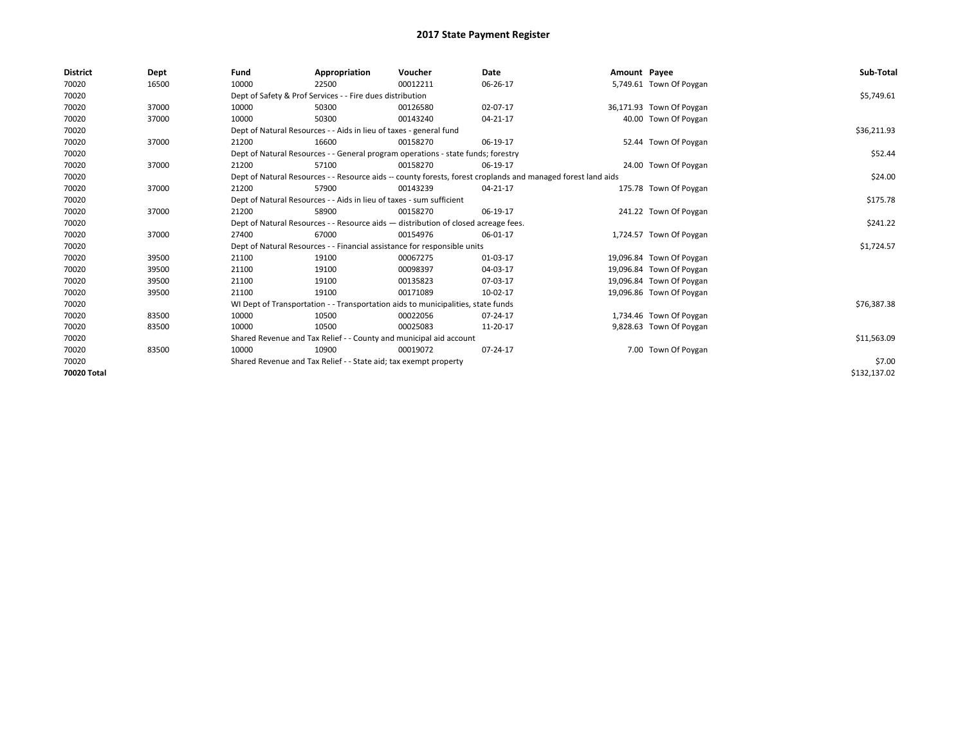| <b>District</b> | Dept  | Fund  | Appropriation                                                                                                | Voucher  | Date     | Amount Payee |                          | Sub-Total    |
|-----------------|-------|-------|--------------------------------------------------------------------------------------------------------------|----------|----------|--------------|--------------------------|--------------|
| 70020           | 16500 | 10000 | 22500                                                                                                        | 00012211 | 06-26-17 |              | 5,749.61 Town Of Poygan  |              |
| 70020           |       |       | Dept of Safety & Prof Services - - Fire dues distribution                                                    |          |          |              |                          | \$5,749.61   |
| 70020           | 37000 | 10000 | 50300                                                                                                        | 00126580 | 02-07-17 |              | 36,171.93 Town Of Poygan |              |
| 70020           | 37000 | 10000 | 50300                                                                                                        | 00143240 | 04-21-17 |              | 40.00 Town Of Poygan     |              |
| 70020           |       |       | Dept of Natural Resources - - Aids in lieu of taxes - general fund                                           |          |          |              |                          | \$36,211.93  |
| 70020           | 37000 | 21200 | 16600                                                                                                        | 00158270 | 06-19-17 |              | 52.44 Town Of Poygan     |              |
| 70020           |       |       | Dept of Natural Resources - - General program operations - state funds; forestry                             |          |          |              |                          | \$52.44      |
| 70020           | 37000 | 21200 | 57100                                                                                                        | 00158270 | 06-19-17 |              | 24.00 Town Of Poygan     |              |
| 70020           |       |       | Dept of Natural Resources - - Resource aids -- county forests, forest croplands and managed forest land aids |          |          |              |                          | \$24.00      |
| 70020           | 37000 | 21200 | 57900                                                                                                        | 00143239 | 04-21-17 |              | 175.78 Town Of Poygan    |              |
| 70020           |       |       | Dept of Natural Resources - - Aids in lieu of taxes - sum sufficient                                         |          |          |              |                          | \$175.78     |
| 70020           | 37000 | 21200 | 58900                                                                                                        | 00158270 | 06-19-17 |              | 241.22 Town Of Poygan    |              |
| 70020           |       |       | Dept of Natural Resources - - Resource aids - distribution of closed acreage fees.                           |          |          |              |                          | \$241.22     |
| 70020           | 37000 | 27400 | 67000                                                                                                        | 00154976 | 06-01-17 |              | 1,724.57 Town Of Poygan  |              |
| 70020           |       |       | Dept of Natural Resources - - Financial assistance for responsible units                                     |          |          |              |                          | \$1,724.57   |
| 70020           | 39500 | 21100 | 19100                                                                                                        | 00067275 | 01-03-17 |              | 19,096.84 Town Of Poygan |              |
| 70020           | 39500 | 21100 | 19100                                                                                                        | 00098397 | 04-03-17 |              | 19,096.84 Town Of Poygan |              |
| 70020           | 39500 | 21100 | 19100                                                                                                        | 00135823 | 07-03-17 |              | 19,096.84 Town Of Poygan |              |
| 70020           | 39500 | 21100 | 19100                                                                                                        | 00171089 | 10-02-17 |              | 19,096.86 Town Of Poygan |              |
| 70020           |       |       | WI Dept of Transportation - - Transportation aids to municipalities, state funds                             |          |          |              |                          | \$76,387.38  |
| 70020           | 83500 | 10000 | 10500                                                                                                        | 00022056 | 07-24-17 |              | 1,734.46 Town Of Poygan  |              |
| 70020           | 83500 | 10000 | 10500                                                                                                        | 00025083 | 11-20-17 |              | 9,828.63 Town Of Poygan  |              |
| 70020           |       |       | Shared Revenue and Tax Relief - - County and municipal aid account                                           |          |          |              |                          | \$11,563.09  |
| 70020           | 83500 | 10000 | 10900                                                                                                        | 00019072 | 07-24-17 |              | 7.00 Town Of Poygan      |              |
| 70020           |       |       | Shared Revenue and Tax Relief - - State aid; tax exempt property                                             |          |          |              |                          | \$7.00       |
| 70020 Total     |       |       |                                                                                                              |          |          |              |                          | \$132,137.02 |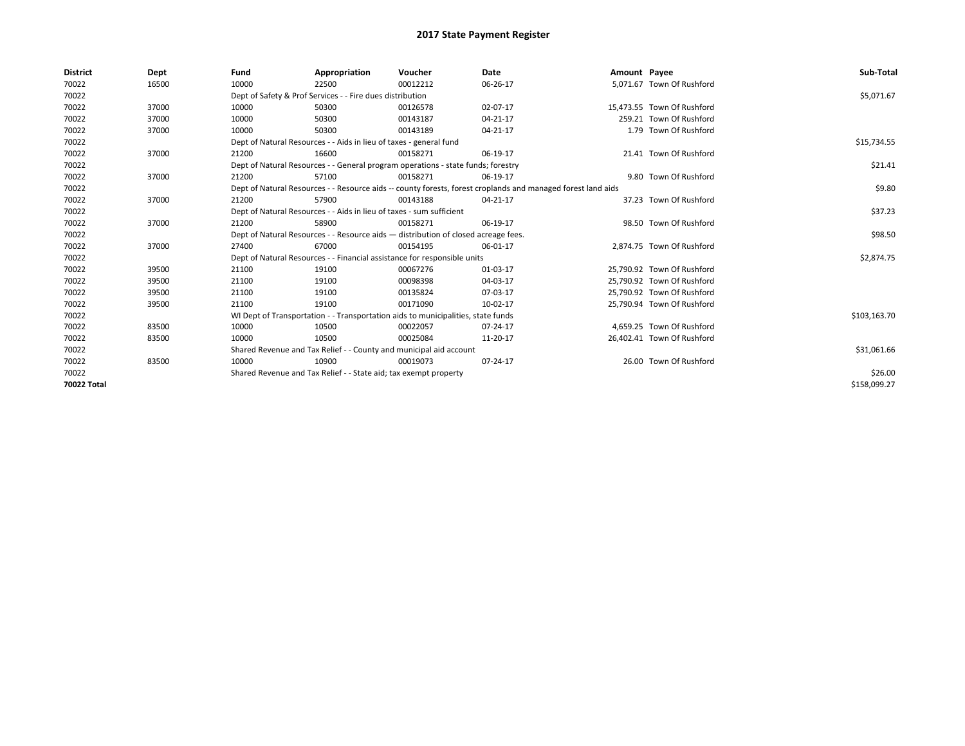| <b>District</b> | Dept  | Fund  | Appropriation                                                                                                | Voucher  | <b>Date</b> | Amount Payee |                            | Sub-Total    |  |  |
|-----------------|-------|-------|--------------------------------------------------------------------------------------------------------------|----------|-------------|--------------|----------------------------|--------------|--|--|
| 70022           | 16500 | 10000 | 22500                                                                                                        | 00012212 | 06-26-17    |              | 5.071.67 Town Of Rushford  |              |  |  |
| 70022           |       |       | Dept of Safety & Prof Services - - Fire dues distribution                                                    |          |             |              |                            | \$5,071.67   |  |  |
| 70022           | 37000 | 10000 | 50300                                                                                                        | 00126578 | 02-07-17    |              | 15.473.55 Town Of Rushford |              |  |  |
| 70022           | 37000 | 10000 | 50300                                                                                                        | 00143187 | 04-21-17    |              | 259.21 Town Of Rushford    |              |  |  |
| 70022           | 37000 | 10000 | 50300                                                                                                        | 00143189 | 04-21-17    |              | 1.79 Town Of Rushford      |              |  |  |
| 70022           |       |       | Dept of Natural Resources - - Aids in lieu of taxes - general fund                                           |          |             |              |                            | \$15,734.55  |  |  |
| 70022           | 37000 | 21200 | 16600                                                                                                        | 00158271 | 06-19-17    |              | 21.41 Town Of Rushford     |              |  |  |
| 70022           |       |       | Dept of Natural Resources - - General program operations - state funds; forestry                             |          |             |              |                            | \$21.41      |  |  |
| 70022           | 37000 | 21200 | 57100                                                                                                        | 00158271 | 06-19-17    |              | 9.80 Town Of Rushford      |              |  |  |
| 70022           |       |       | Dept of Natural Resources - - Resource aids -- county forests, forest croplands and managed forest land aids |          |             |              |                            | \$9.80       |  |  |
| 70022           | 37000 | 21200 | 57900                                                                                                        | 00143188 | 04-21-17    |              | 37.23 Town Of Rushford     |              |  |  |
| 70022           |       |       | Dept of Natural Resources - - Aids in lieu of taxes - sum sufficient                                         |          |             |              |                            |              |  |  |
| 70022           | 37000 | 21200 | 58900                                                                                                        | 00158271 | 06-19-17    |              | 98.50 Town Of Rushford     |              |  |  |
| 70022           |       |       | Dept of Natural Resources - - Resource aids - distribution of closed acreage fees.                           |          |             |              |                            | \$98.50      |  |  |
| 70022           | 37000 | 27400 | 67000                                                                                                        | 00154195 | 06-01-17    |              | 2.874.75 Town Of Rushford  |              |  |  |
| 70022           |       |       | Dept of Natural Resources - - Financial assistance for responsible units                                     |          |             |              |                            | \$2,874.75   |  |  |
| 70022           | 39500 | 21100 | 19100                                                                                                        | 00067276 | 01-03-17    |              | 25,790.92 Town Of Rushford |              |  |  |
| 70022           | 39500 | 21100 | 19100                                                                                                        | 00098398 | 04-03-17    |              | 25.790.92 Town Of Rushford |              |  |  |
| 70022           | 39500 | 21100 | 19100                                                                                                        | 00135824 | 07-03-17    |              | 25.790.92 Town Of Rushford |              |  |  |
| 70022           | 39500 | 21100 | 19100                                                                                                        | 00171090 | 10-02-17    |              | 25,790.94 Town Of Rushford |              |  |  |
| 70022           |       |       | WI Dept of Transportation - - Transportation aids to municipalities, state funds                             |          |             |              |                            | \$103,163.70 |  |  |
| 70022           | 83500 | 10000 | 10500                                                                                                        | 00022057 | 07-24-17    |              | 4,659.25 Town Of Rushford  |              |  |  |
| 70022           | 83500 | 10000 | 10500                                                                                                        | 00025084 | 11-20-17    |              | 26,402.41 Town Of Rushford |              |  |  |
| 70022           |       |       | Shared Revenue and Tax Relief - - County and municipal aid account                                           |          |             |              |                            | \$31,061.66  |  |  |
| 70022           | 83500 | 10000 | 10900                                                                                                        | 00019073 | 07-24-17    |              | 26.00 Town Of Rushford     |              |  |  |
| 70022           |       |       | Shared Revenue and Tax Relief - - State aid; tax exempt property                                             |          |             |              |                            | \$26.00      |  |  |
| 70022 Total     |       |       |                                                                                                              |          |             |              |                            | \$158,099.27 |  |  |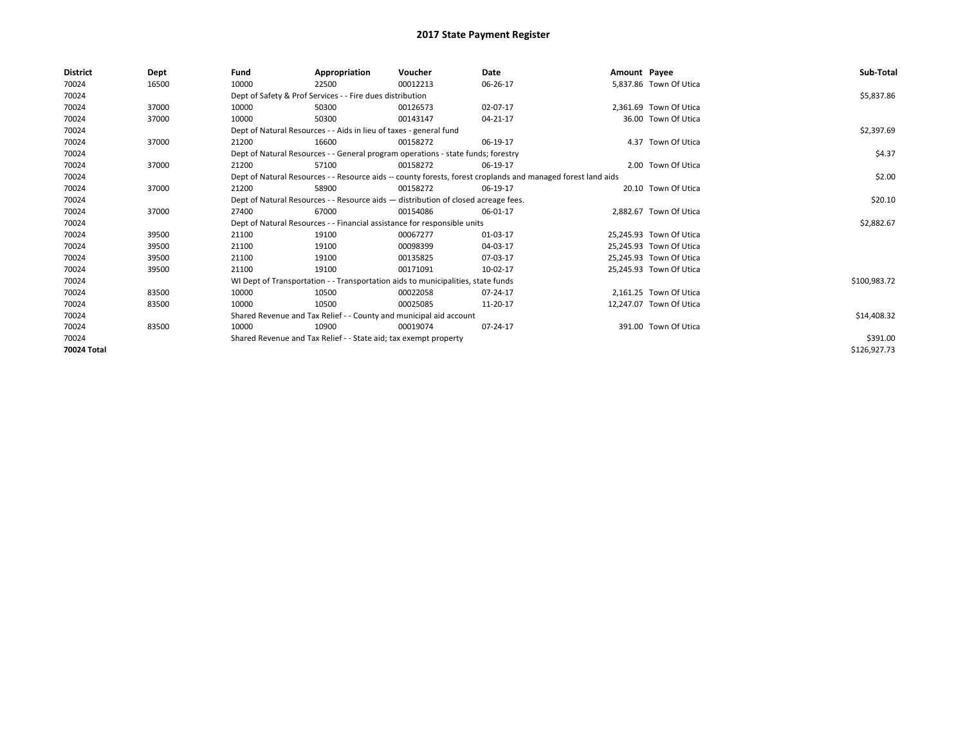| District    | Dept  | Fund  | Appropriation                                                      | Voucher                                                                            | Date                                                                                                         | Amount Payee |                         | Sub-Total    |
|-------------|-------|-------|--------------------------------------------------------------------|------------------------------------------------------------------------------------|--------------------------------------------------------------------------------------------------------------|--------------|-------------------------|--------------|
| 70024       | 16500 | 10000 | 22500                                                              | 00012213                                                                           | 06-26-17                                                                                                     |              | 5,837.86 Town Of Utica  |              |
| 70024       |       |       | Dept of Safety & Prof Services - - Fire dues distribution          |                                                                                    |                                                                                                              |              |                         | \$5,837.86   |
| 70024       | 37000 | 10000 | 50300                                                              | 00126573                                                                           | 02-07-17                                                                                                     |              | 2.361.69 Town Of Utica  |              |
| 70024       | 37000 | 10000 | 50300                                                              | 00143147                                                                           | 04-21-17                                                                                                     |              | 36.00 Town Of Utica     |              |
| 70024       |       |       | Dept of Natural Resources - - Aids in lieu of taxes - general fund |                                                                                    |                                                                                                              |              |                         | \$2,397.69   |
| 70024       | 37000 | 21200 | 16600                                                              | 00158272                                                                           | 06-19-17                                                                                                     |              | 4.37 Town Of Utica      |              |
| 70024       |       |       |                                                                    | Dept of Natural Resources - - General program operations - state funds; forestry   |                                                                                                              |              |                         | \$4.37       |
| 70024       | 37000 | 21200 | 57100                                                              | 00158272                                                                           | 06-19-17                                                                                                     |              | 2.00 Town Of Utica      |              |
| 70024       |       |       |                                                                    |                                                                                    | Dept of Natural Resources - - Resource aids -- county forests, forest croplands and managed forest land aids |              |                         | \$2.00       |
| 70024       | 37000 | 21200 | 58900                                                              | 00158272                                                                           | 06-19-17                                                                                                     |              | 20.10 Town Of Utica     |              |
| 70024       |       |       |                                                                    | Dept of Natural Resources - - Resource aids - distribution of closed acreage fees. |                                                                                                              |              |                         | \$20.10      |
| 70024       | 37000 | 27400 | 67000                                                              | 00154086                                                                           | 06-01-17                                                                                                     |              | 2.882.67 Town Of Utica  |              |
| 70024       |       |       |                                                                    | Dept of Natural Resources - - Financial assistance for responsible units           |                                                                                                              |              |                         | \$2,882.67   |
| 70024       | 39500 | 21100 | 19100                                                              | 00067277                                                                           | 01-03-17                                                                                                     |              | 25,245.93 Town Of Utica |              |
| 70024       | 39500 | 21100 | 19100                                                              | 00098399                                                                           | 04-03-17                                                                                                     |              | 25,245.93 Town Of Utica |              |
| 70024       | 39500 | 21100 | 19100                                                              | 00135825                                                                           | 07-03-17                                                                                                     |              | 25,245.93 Town Of Utica |              |
| 70024       | 39500 | 21100 | 19100                                                              | 00171091                                                                           | 10-02-17                                                                                                     |              | 25.245.93 Town Of Utica |              |
| 70024       |       |       |                                                                    | WI Dept of Transportation - - Transportation aids to municipalities, state funds   |                                                                                                              |              |                         | \$100,983.72 |
| 70024       | 83500 | 10000 | 10500                                                              | 00022058                                                                           | 07-24-17                                                                                                     |              | 2,161.25 Town Of Utica  |              |
| 70024       | 83500 | 10000 | 10500                                                              | 00025085                                                                           | 11-20-17                                                                                                     |              | 12,247.07 Town Of Utica |              |
| 70024       |       |       |                                                                    | Shared Revenue and Tax Relief - - County and municipal aid account                 |                                                                                                              |              |                         | \$14,408.32  |
| 70024       | 83500 | 10000 | 10900                                                              | 00019074                                                                           | 07-24-17                                                                                                     |              | 391.00 Town Of Utica    |              |
| 70024       |       |       | Shared Revenue and Tax Relief - - State aid; tax exempt property   |                                                                                    |                                                                                                              |              |                         | \$391.00     |
| 70024 Total |       |       |                                                                    |                                                                                    |                                                                                                              |              |                         | \$126,927.73 |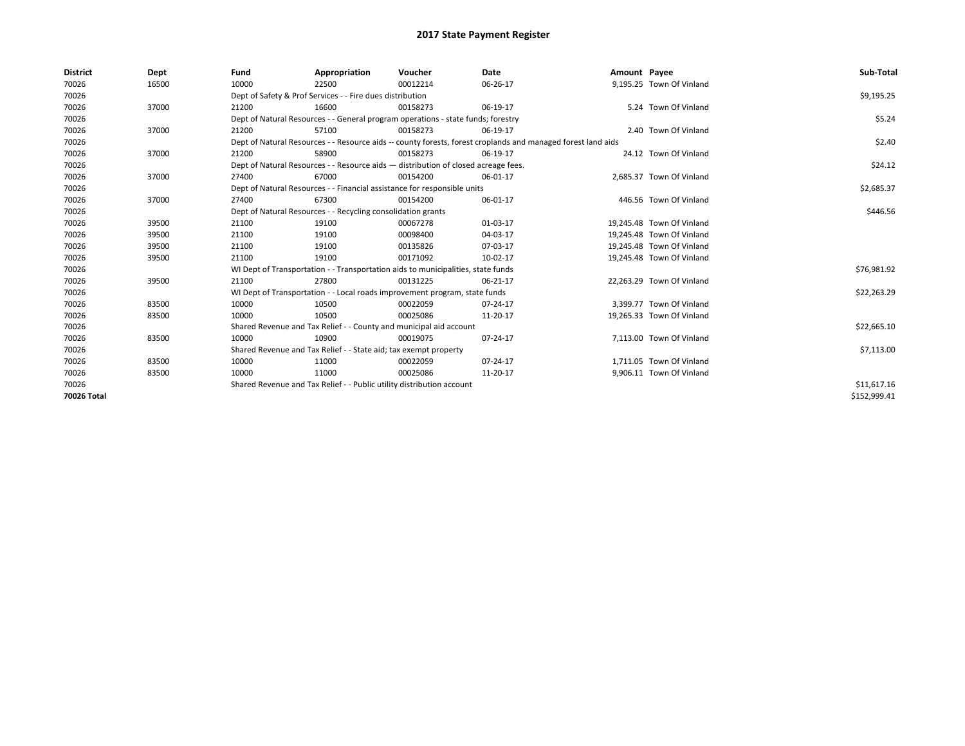| <b>District</b> | Dept  | Fund  | Appropriation                                                                                                | Voucher  | Date     | Amount Payee |                           | Sub-Total    |
|-----------------|-------|-------|--------------------------------------------------------------------------------------------------------------|----------|----------|--------------|---------------------------|--------------|
| 70026           | 16500 | 10000 | 22500                                                                                                        | 00012214 | 06-26-17 |              | 9,195.25 Town Of Vinland  |              |
| 70026           |       |       | Dept of Safety & Prof Services - - Fire dues distribution                                                    |          |          |              |                           | \$9,195.25   |
| 70026           | 37000 | 21200 | 16600                                                                                                        | 00158273 | 06-19-17 |              | 5.24 Town Of Vinland      |              |
| 70026           |       |       | Dept of Natural Resources - - General program operations - state funds; forestry                             |          |          |              |                           | \$5.24       |
| 70026           | 37000 | 21200 | 57100                                                                                                        | 00158273 | 06-19-17 |              | 2.40 Town Of Vinland      |              |
| 70026           |       |       | Dept of Natural Resources - - Resource aids -- county forests, forest croplands and managed forest land aids |          |          |              |                           | \$2.40       |
| 70026           | 37000 | 21200 | 58900                                                                                                        | 00158273 | 06-19-17 |              | 24.12 Town Of Vinland     |              |
| 70026           |       |       | Dept of Natural Resources - - Resource aids - distribution of closed acreage fees.                           |          |          |              |                           | \$24.12      |
| 70026           | 37000 | 27400 | 67000                                                                                                        | 00154200 | 06-01-17 |              | 2,685.37 Town Of Vinland  |              |
| 70026           |       |       | Dept of Natural Resources - - Financial assistance for responsible units                                     |          |          |              |                           | \$2,685.37   |
| 70026           | 37000 | 27400 | 67300                                                                                                        | 00154200 | 06-01-17 |              | 446.56 Town Of Vinland    |              |
| 70026           |       |       | Dept of Natural Resources - - Recycling consolidation grants                                                 |          |          |              |                           | \$446.56     |
| 70026           | 39500 | 21100 | 19100                                                                                                        | 00067278 | 01-03-17 |              | 19,245.48 Town Of Vinland |              |
| 70026           | 39500 | 21100 | 19100                                                                                                        | 00098400 | 04-03-17 |              | 19,245.48 Town Of Vinland |              |
| 70026           | 39500 | 21100 | 19100                                                                                                        | 00135826 | 07-03-17 |              | 19,245.48 Town Of Vinland |              |
| 70026           | 39500 | 21100 | 19100                                                                                                        | 00171092 | 10-02-17 |              | 19,245.48 Town Of Vinland |              |
| 70026           |       |       | WI Dept of Transportation - - Transportation aids to municipalities, state funds                             |          |          |              |                           | \$76,981.92  |
| 70026           | 39500 | 21100 | 27800                                                                                                        | 00131225 | 06-21-17 |              | 22,263.29 Town Of Vinland |              |
| 70026           |       |       | WI Dept of Transportation - - Local roads improvement program, state funds                                   |          |          |              |                           | \$22,263.29  |
| 70026           | 83500 | 10000 | 10500                                                                                                        | 00022059 | 07-24-17 |              | 3,399.77 Town Of Vinland  |              |
| 70026           | 83500 | 10000 | 10500                                                                                                        | 00025086 | 11-20-17 |              | 19,265.33 Town Of Vinland |              |
| 70026           |       |       | Shared Revenue and Tax Relief - - County and municipal aid account                                           |          |          |              |                           | \$22,665.10  |
| 70026           | 83500 | 10000 | 10900                                                                                                        | 00019075 | 07-24-17 |              | 7,113.00 Town Of Vinland  |              |
| 70026           |       |       | Shared Revenue and Tax Relief - - State aid; tax exempt property                                             |          |          |              |                           | \$7,113.00   |
| 70026           | 83500 | 10000 | 11000                                                                                                        | 00022059 | 07-24-17 |              | 1,711.05 Town Of Vinland  |              |
| 70026           | 83500 | 10000 | 11000                                                                                                        | 00025086 | 11-20-17 |              | 9,906.11 Town Of Vinland  |              |
| 70026           |       |       | Shared Revenue and Tax Relief - - Public utility distribution account                                        |          |          |              |                           | \$11,617.16  |
| 70026 Total     |       |       |                                                                                                              |          |          |              |                           | \$152,999.41 |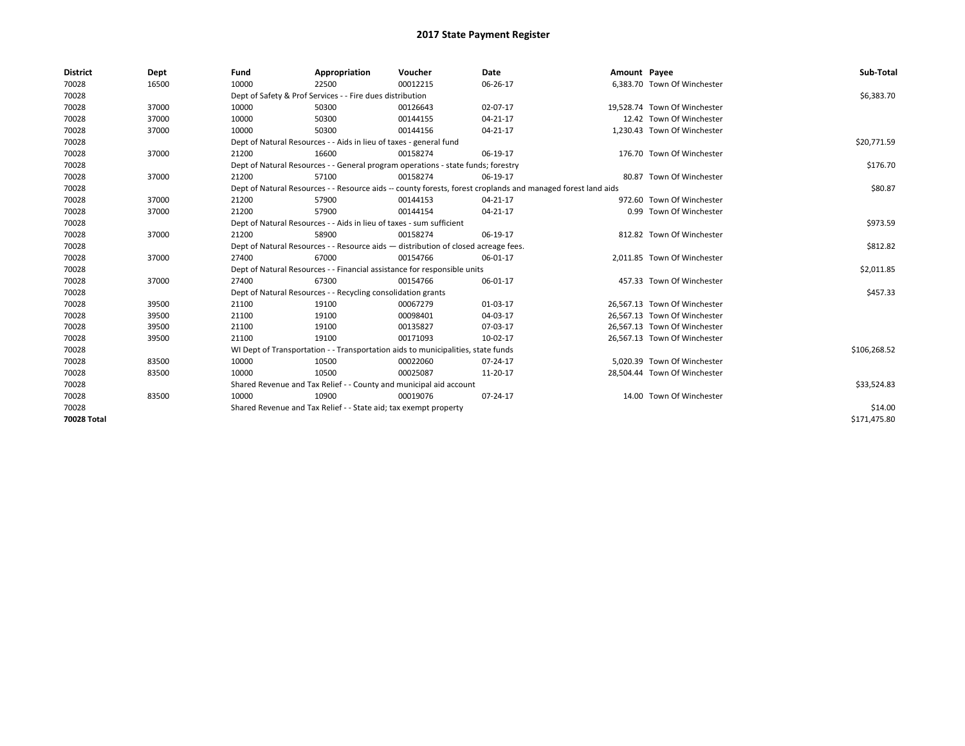| <b>District</b> | Dept  | Fund                                                             | Appropriation                                                                      | Voucher  | <b>Date</b>                                                                                                  | Amount Payee |                              | Sub-Total    |
|-----------------|-------|------------------------------------------------------------------|------------------------------------------------------------------------------------|----------|--------------------------------------------------------------------------------------------------------------|--------------|------------------------------|--------------|
| 70028           | 16500 | 10000                                                            | 22500                                                                              | 00012215 | 06-26-17                                                                                                     |              | 6,383.70 Town Of Winchester  |              |
| 70028           |       |                                                                  | Dept of Safety & Prof Services - - Fire dues distribution                          |          |                                                                                                              |              |                              | \$6,383.70   |
| 70028           | 37000 | 10000                                                            | 50300                                                                              | 00126643 | 02-07-17                                                                                                     |              | 19.528.74 Town Of Winchester |              |
| 70028           | 37000 | 10000                                                            | 50300                                                                              | 00144155 | 04-21-17                                                                                                     |              | 12.42 Town Of Winchester     |              |
| 70028           | 37000 | 10000                                                            | 50300                                                                              | 00144156 | 04-21-17                                                                                                     |              | 1,230.43 Town Of Winchester  |              |
| 70028           |       |                                                                  | Dept of Natural Resources - - Aids in lieu of taxes - general fund                 |          |                                                                                                              |              |                              | \$20,771.59  |
| 70028           | 37000 | 21200                                                            | 16600                                                                              | 00158274 | 06-19-17                                                                                                     |              | 176.70 Town Of Winchester    |              |
| 70028           |       |                                                                  | Dept of Natural Resources - - General program operations - state funds; forestry   |          |                                                                                                              |              |                              | \$176.70     |
| 70028           | 37000 | 21200                                                            | 57100                                                                              | 00158274 | 06-19-17                                                                                                     |              | 80.87 Town Of Winchester     |              |
| 70028           |       |                                                                  |                                                                                    |          | Dept of Natural Resources - - Resource aids -- county forests, forest croplands and managed forest land aids |              |                              | \$80.87      |
| 70028           | 37000 | 21200                                                            | 57900                                                                              | 00144153 | 04-21-17                                                                                                     |              | 972.60 Town Of Winchester    |              |
| 70028           | 37000 | 21200                                                            | 57900                                                                              | 00144154 | 04-21-17                                                                                                     |              | 0.99 Town Of Winchester      |              |
| 70028           |       |                                                                  | Dept of Natural Resources - - Aids in lieu of taxes - sum sufficient               |          |                                                                                                              |              |                              | \$973.59     |
| 70028           | 37000 | 21200                                                            | 58900                                                                              | 00158274 | 06-19-17                                                                                                     |              | 812.82 Town Of Winchester    |              |
| 70028           |       |                                                                  | Dept of Natural Resources - - Resource aids - distribution of closed acreage fees. |          |                                                                                                              |              |                              | \$812.82     |
| 70028           | 37000 | 27400                                                            | 67000                                                                              | 00154766 | 06-01-17                                                                                                     |              | 2.011.85 Town Of Winchester  |              |
| 70028           |       |                                                                  | Dept of Natural Resources - - Financial assistance for responsible units           |          |                                                                                                              |              |                              | \$2,011.85   |
| 70028           | 37000 | 27400                                                            | 67300                                                                              | 00154766 | 06-01-17                                                                                                     |              | 457.33 Town Of Winchester    |              |
| 70028           |       |                                                                  | Dept of Natural Resources - - Recycling consolidation grants                       |          |                                                                                                              |              |                              | \$457.33     |
| 70028           | 39500 | 21100                                                            | 19100                                                                              | 00067279 | 01-03-17                                                                                                     |              | 26,567.13 Town Of Winchester |              |
| 70028           | 39500 | 21100                                                            | 19100                                                                              | 00098401 | 04-03-17                                                                                                     |              | 26,567.13 Town Of Winchester |              |
| 70028           | 39500 | 21100                                                            | 19100                                                                              | 00135827 | 07-03-17                                                                                                     |              | 26,567.13 Town Of Winchester |              |
| 70028           | 39500 | 21100                                                            | 19100                                                                              | 00171093 | 10-02-17                                                                                                     |              | 26,567.13 Town Of Winchester |              |
| 70028           |       |                                                                  | WI Dept of Transportation - - Transportation aids to municipalities, state funds   |          |                                                                                                              |              |                              | \$106,268.52 |
| 70028           | 83500 | 10000                                                            | 10500                                                                              | 00022060 | 07-24-17                                                                                                     |              | 5.020.39 Town Of Winchester  |              |
| 70028           | 83500 | 10000                                                            | 10500                                                                              | 00025087 | 11-20-17                                                                                                     |              | 28,504.44 Town Of Winchester |              |
| 70028           |       |                                                                  | Shared Revenue and Tax Relief - - County and municipal aid account                 |          |                                                                                                              |              |                              | \$33,524.83  |
| 70028           | 83500 | 10000                                                            | 10900                                                                              | 00019076 | 07-24-17                                                                                                     |              | 14.00 Town Of Winchester     |              |
| 70028           |       | Shared Revenue and Tax Relief - - State aid; tax exempt property |                                                                                    | \$14.00  |                                                                                                              |              |                              |              |
| 70028 Total     |       |                                                                  |                                                                                    |          |                                                                                                              |              |                              | \$171,475.80 |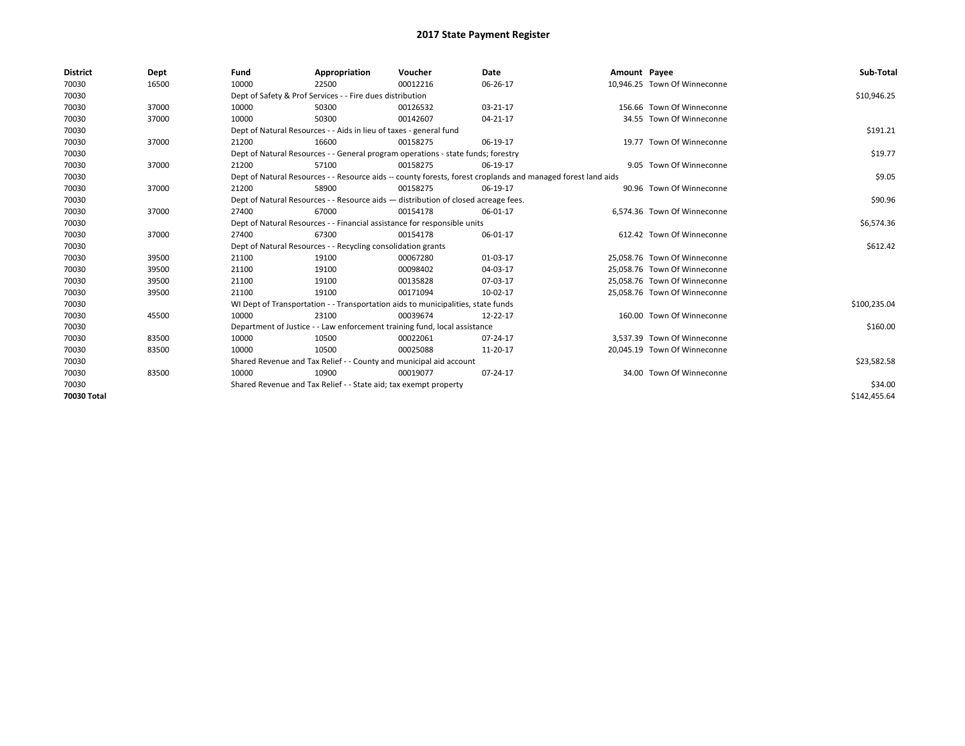| <b>District</b> | Dept  | Fund  | Appropriation                                                                      | Voucher  | Date                                                                                                         | Amount Payee |                              | Sub-Total    |
|-----------------|-------|-------|------------------------------------------------------------------------------------|----------|--------------------------------------------------------------------------------------------------------------|--------------|------------------------------|--------------|
| 70030           | 16500 | 10000 | 22500                                                                              | 00012216 | 06-26-17                                                                                                     |              | 10,946.25 Town Of Winneconne |              |
| 70030           |       |       | Dept of Safety & Prof Services - - Fire dues distribution                          |          |                                                                                                              |              |                              | \$10,946.25  |
| 70030           | 37000 | 10000 | 50300                                                                              | 00126532 | 03-21-17                                                                                                     |              | 156.66 Town Of Winneconne    |              |
| 70030           | 37000 | 10000 | 50300                                                                              | 00142607 | 04-21-17                                                                                                     |              | 34.55 Town Of Winneconne     |              |
| 70030           |       |       | Dept of Natural Resources - - Aids in lieu of taxes - general fund                 |          |                                                                                                              |              |                              | \$191.21     |
| 70030           | 37000 | 21200 | 16600                                                                              | 00158275 | 06-19-17                                                                                                     |              | 19.77 Town Of Winneconne     |              |
| 70030           |       |       | Dept of Natural Resources - - General program operations - state funds; forestry   |          |                                                                                                              |              |                              | \$19.77      |
| 70030           | 37000 | 21200 | 57100                                                                              | 00158275 | 06-19-17                                                                                                     |              | 9.05 Town Of Winneconne      |              |
| 70030           |       |       |                                                                                    |          | Dept of Natural Resources - - Resource aids -- county forests, forest croplands and managed forest land aids |              |                              | \$9.05       |
| 70030           | 37000 | 21200 | 58900                                                                              | 00158275 | 06-19-17                                                                                                     |              | 90.96 Town Of Winneconne     |              |
| 70030           |       |       | Dept of Natural Resources - - Resource aids - distribution of closed acreage fees. |          |                                                                                                              |              |                              | \$90.96      |
| 70030           | 37000 | 27400 | 67000                                                                              | 00154178 | 06-01-17                                                                                                     |              | 6.574.36 Town Of Winneconne  |              |
| 70030           |       |       | Dept of Natural Resources - - Financial assistance for responsible units           |          |                                                                                                              |              |                              | \$6,574.36   |
| 70030           | 37000 | 27400 | 67300                                                                              | 00154178 | 06-01-17                                                                                                     |              | 612.42 Town Of Winneconne    |              |
| 70030           |       |       | Dept of Natural Resources - - Recycling consolidation grants                       |          |                                                                                                              |              |                              | \$612.42     |
| 70030           | 39500 | 21100 | 19100                                                                              | 00067280 | 01-03-17                                                                                                     |              | 25.058.76 Town Of Winneconne |              |
| 70030           | 39500 | 21100 | 19100                                                                              | 00098402 | 04-03-17                                                                                                     |              | 25,058.76 Town Of Winneconne |              |
| 70030           | 39500 | 21100 | 19100                                                                              | 00135828 | 07-03-17                                                                                                     |              | 25,058.76 Town Of Winneconne |              |
| 70030           | 39500 | 21100 | 19100                                                                              | 00171094 | 10-02-17                                                                                                     |              | 25,058.76 Town Of Winneconne |              |
| 70030           |       |       | WI Dept of Transportation - - Transportation aids to municipalities, state funds   |          |                                                                                                              |              |                              | \$100,235.04 |
| 70030           | 45500 | 10000 | 23100                                                                              | 00039674 | 12-22-17                                                                                                     |              | 160.00 Town Of Winneconne    |              |
| 70030           |       |       | Department of Justice - - Law enforcement training fund, local assistance          |          |                                                                                                              |              |                              | \$160.00     |
| 70030           | 83500 | 10000 | 10500                                                                              | 00022061 | 07-24-17                                                                                                     |              | 3,537.39 Town Of Winneconne  |              |
| 70030           | 83500 | 10000 | 10500                                                                              | 00025088 | 11-20-17                                                                                                     |              | 20,045.19 Town Of Winneconne |              |
| 70030           |       |       | Shared Revenue and Tax Relief - - County and municipal aid account                 |          |                                                                                                              |              |                              | \$23,582.58  |
| 70030           | 83500 | 10000 | 10900                                                                              | 00019077 | 07-24-17                                                                                                     |              | 34.00 Town Of Winneconne     |              |
| 70030           |       |       | Shared Revenue and Tax Relief - - State aid; tax exempt property                   |          |                                                                                                              |              |                              | \$34.00      |
| 70030 Total     |       |       |                                                                                    |          |                                                                                                              |              |                              | \$142.455.64 |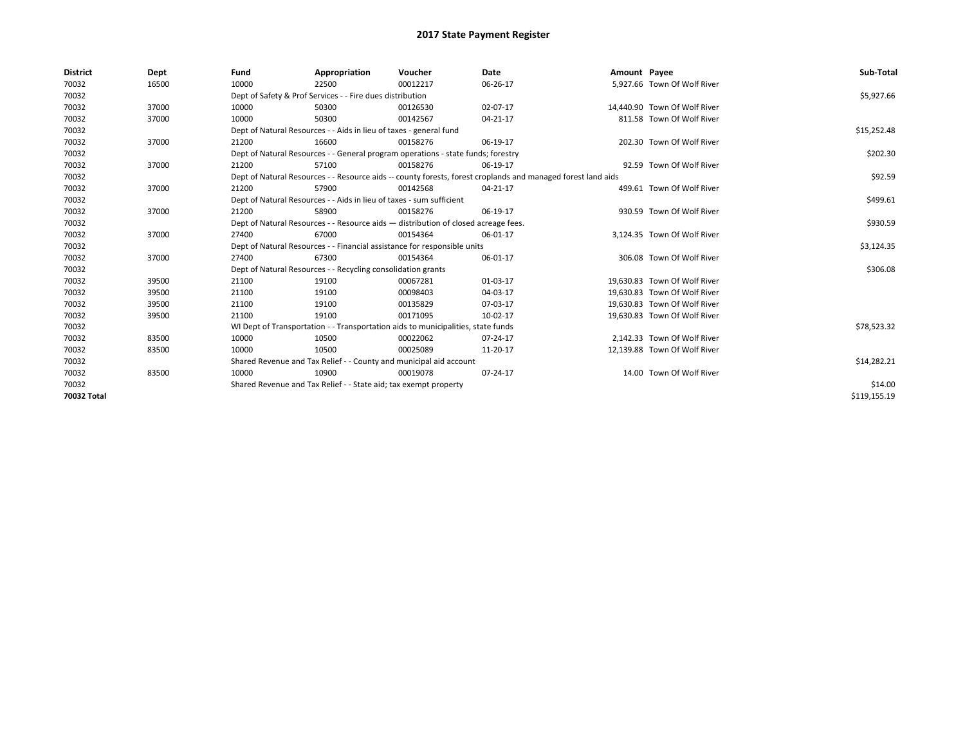| <b>District</b> | Dept  | Fund  | Appropriation                                                                                                | Voucher  | Date     | Amount Payee |                              | Sub-Total    |
|-----------------|-------|-------|--------------------------------------------------------------------------------------------------------------|----------|----------|--------------|------------------------------|--------------|
| 70032           | 16500 | 10000 | 22500                                                                                                        | 00012217 | 06-26-17 |              | 5,927.66 Town Of Wolf River  |              |
| 70032           |       |       | Dept of Safety & Prof Services - - Fire dues distribution                                                    |          |          |              |                              | \$5,927.66   |
| 70032           | 37000 | 10000 | 50300                                                                                                        | 00126530 | 02-07-17 |              | 14.440.90 Town Of Wolf River |              |
| 70032           | 37000 | 10000 | 50300                                                                                                        | 00142567 | 04-21-17 |              | 811.58 Town Of Wolf River    |              |
| 70032           |       |       | Dept of Natural Resources - - Aids in lieu of taxes - general fund                                           |          |          |              |                              | \$15,252.48  |
| 70032           | 37000 | 21200 | 16600                                                                                                        | 00158276 | 06-19-17 |              | 202.30 Town Of Wolf River    |              |
| 70032           |       |       | Dept of Natural Resources - - General program operations - state funds; forestry                             |          |          |              |                              | \$202.30     |
| 70032           | 37000 | 21200 | 57100                                                                                                        | 00158276 | 06-19-17 |              | 92.59 Town Of Wolf River     |              |
| 70032           |       |       | Dept of Natural Resources - - Resource aids -- county forests, forest croplands and managed forest land aids |          |          |              |                              | \$92.59      |
| 70032           | 37000 | 21200 | 57900                                                                                                        | 00142568 | 04-21-17 |              | 499.61 Town Of Wolf River    |              |
| 70032           |       |       | Dept of Natural Resources - - Aids in lieu of taxes - sum sufficient                                         |          |          |              |                              | \$499.61     |
| 70032           | 37000 | 21200 | 58900                                                                                                        | 00158276 | 06-19-17 |              | 930.59 Town Of Wolf River    |              |
| 70032           |       |       | Dept of Natural Resources - - Resource aids - distribution of closed acreage fees.                           |          |          |              |                              | \$930.59     |
| 70032           | 37000 | 27400 | 67000                                                                                                        | 00154364 | 06-01-17 |              | 3,124.35 Town Of Wolf River  |              |
| 70032           |       |       | Dept of Natural Resources - - Financial assistance for responsible units                                     |          |          |              |                              | \$3,124.35   |
| 70032           | 37000 | 27400 | 67300                                                                                                        | 00154364 | 06-01-17 |              | 306.08 Town Of Wolf River    |              |
| 70032           |       |       | Dept of Natural Resources - - Recycling consolidation grants                                                 |          |          |              |                              | \$306.08     |
| 70032           | 39500 | 21100 | 19100                                                                                                        | 00067281 | 01-03-17 |              | 19.630.83 Town Of Wolf River |              |
| 70032           | 39500 | 21100 | 19100                                                                                                        | 00098403 | 04-03-17 |              | 19.630.83 Town Of Wolf River |              |
| 70032           | 39500 | 21100 | 19100                                                                                                        | 00135829 | 07-03-17 |              | 19,630.83 Town Of Wolf River |              |
| 70032           | 39500 | 21100 | 19100                                                                                                        | 00171095 | 10-02-17 |              | 19,630.83 Town Of Wolf River |              |
| 70032           |       |       | WI Dept of Transportation - - Transportation aids to municipalities, state funds                             |          |          |              |                              | \$78,523.32  |
| 70032           | 83500 | 10000 | 10500                                                                                                        | 00022062 | 07-24-17 |              | 2.142.33 Town Of Wolf River  |              |
| 70032           | 83500 | 10000 | 10500                                                                                                        | 00025089 | 11-20-17 |              | 12,139.88 Town Of Wolf River |              |
| 70032           |       |       | Shared Revenue and Tax Relief - - County and municipal aid account                                           |          |          |              |                              | \$14,282.21  |
| 70032           | 83500 | 10000 | 10900                                                                                                        | 00019078 | 07-24-17 |              | 14.00 Town Of Wolf River     |              |
| 70032           |       |       | Shared Revenue and Tax Relief - - State aid; tax exempt property                                             |          |          |              |                              | \$14.00      |
| 70032 Total     |       |       |                                                                                                              |          |          |              |                              | \$119.155.19 |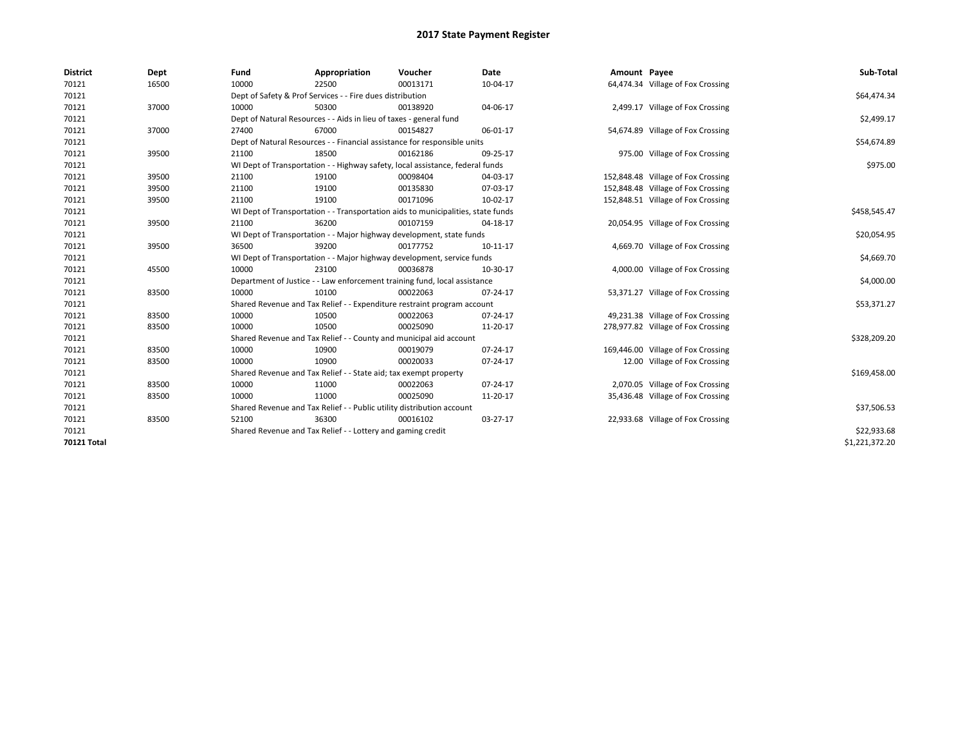| <b>District</b>    | Dept  | Fund  | Appropriation                                                                    | Voucher  | Date     | Amount Payee |                                    | Sub-Total      |  |
|--------------------|-------|-------|----------------------------------------------------------------------------------|----------|----------|--------------|------------------------------------|----------------|--|
| 70121              | 16500 | 10000 | 22500                                                                            | 00013171 | 10-04-17 |              | 64,474.34 Village of Fox Crossing  |                |  |
| 70121              |       |       | Dept of Safety & Prof Services - - Fire dues distribution                        |          |          |              |                                    | \$64,474.34    |  |
| 70121              | 37000 | 10000 | 50300                                                                            | 00138920 | 04-06-17 |              | 2,499.17 Village of Fox Crossing   |                |  |
| 70121              |       |       | Dept of Natural Resources - - Aids in lieu of taxes - general fund               |          |          |              |                                    | \$2,499.17     |  |
| 70121              | 37000 | 27400 | 67000                                                                            | 00154827 | 06-01-17 |              | 54,674.89 Village of Fox Crossing  |                |  |
| 70121              |       |       | Dept of Natural Resources - - Financial assistance for responsible units         |          |          |              |                                    | \$54,674.89    |  |
| 70121              | 39500 | 21100 | 18500                                                                            | 00162186 | 09-25-17 |              | 975.00 Village of Fox Crossing     |                |  |
| 70121              |       |       | WI Dept of Transportation - - Highway safety, local assistance, federal funds    |          |          |              |                                    | \$975.00       |  |
| 70121              | 39500 | 21100 | 19100                                                                            | 00098404 | 04-03-17 |              | 152,848.48 Village of Fox Crossing |                |  |
| 70121              | 39500 | 21100 | 19100                                                                            | 00135830 | 07-03-17 |              | 152,848.48 Village of Fox Crossing |                |  |
| 70121              | 39500 | 21100 | 19100                                                                            | 00171096 | 10-02-17 |              | 152,848.51 Village of Fox Crossing |                |  |
| 70121              |       |       | WI Dept of Transportation - - Transportation aids to municipalities, state funds |          |          |              |                                    | \$458,545.47   |  |
| 70121              | 39500 | 21100 | 36200                                                                            | 00107159 | 04-18-17 |              | 20,054.95 Village of Fox Crossing  |                |  |
| 70121              |       |       | WI Dept of Transportation - - Major highway development, state funds             |          |          |              |                                    | \$20,054.95    |  |
| 70121              | 39500 | 36500 | 39200                                                                            | 00177752 | 10-11-17 |              | 4,669.70 Village of Fox Crossing   |                |  |
| 70121              |       |       | WI Dept of Transportation - - Major highway development, service funds           |          |          |              |                                    | \$4,669.70     |  |
| 70121              | 45500 | 10000 | 23100                                                                            | 00036878 | 10-30-17 |              | 4,000.00 Village of Fox Crossing   |                |  |
| 70121              |       |       | Department of Justice - - Law enforcement training fund, local assistance        |          |          |              |                                    | \$4,000.00     |  |
| 70121              | 83500 | 10000 | 10100                                                                            | 00022063 | 07-24-17 |              | 53,371.27 Village of Fox Crossing  |                |  |
| 70121              |       |       | Shared Revenue and Tax Relief - - Expenditure restraint program account          |          |          |              |                                    | \$53,371.27    |  |
| 70121              | 83500 | 10000 | 10500                                                                            | 00022063 | 07-24-17 |              | 49,231.38 Village of Fox Crossing  |                |  |
| 70121              | 83500 | 10000 | 10500                                                                            | 00025090 | 11-20-17 |              | 278,977.82 Village of Fox Crossing |                |  |
| 70121              |       |       | Shared Revenue and Tax Relief - - County and municipal aid account               |          |          |              |                                    | \$328,209.20   |  |
| 70121              | 83500 | 10000 | 10900                                                                            | 00019079 | 07-24-17 |              | 169,446.00 Village of Fox Crossing |                |  |
| 70121              | 83500 | 10000 | 10900                                                                            | 00020033 | 07-24-17 |              | 12.00 Village of Fox Crossing      |                |  |
| 70121              |       |       | Shared Revenue and Tax Relief - - State aid; tax exempt property                 |          |          |              |                                    | \$169,458.00   |  |
| 70121              | 83500 | 10000 | 11000                                                                            | 00022063 | 07-24-17 |              | 2,070.05 Village of Fox Crossing   |                |  |
| 70121              | 83500 | 10000 | 11000                                                                            | 00025090 | 11-20-17 |              | 35,436.48 Village of Fox Crossing  |                |  |
| 70121              |       |       | Shared Revenue and Tax Relief - - Public utility distribution account            |          |          |              |                                    | \$37,506.53    |  |
| 70121              | 83500 | 52100 | 36300                                                                            | 00016102 | 03-27-17 |              | 22,933.68 Village of Fox Crossing  |                |  |
| 70121              |       |       | Shared Revenue and Tax Relief - - Lottery and gaming credit                      |          |          |              |                                    |                |  |
| <b>70121 Total</b> |       |       |                                                                                  |          |          |              |                                    | \$1,221,372.20 |  |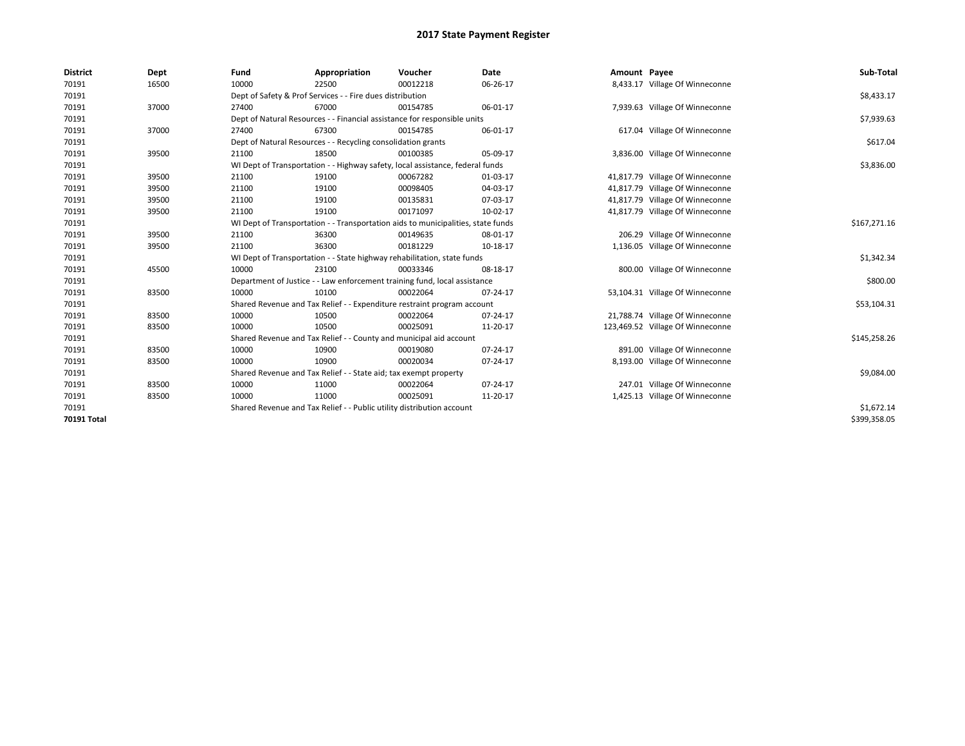| <b>District</b> | Dept  | Fund  | Appropriation                                                                    | Voucher  | Date     | Amount Payee |                                  | Sub-Total    |
|-----------------|-------|-------|----------------------------------------------------------------------------------|----------|----------|--------------|----------------------------------|--------------|
| 70191           | 16500 | 10000 | 22500                                                                            | 00012218 | 06-26-17 |              | 8,433.17 Village Of Winneconne   |              |
| 70191           |       |       | Dept of Safety & Prof Services - - Fire dues distribution                        |          |          |              |                                  | \$8,433.17   |
| 70191           | 37000 | 27400 | 67000                                                                            | 00154785 | 06-01-17 |              | 7,939.63 Village Of Winneconne   |              |
| 70191           |       |       | Dept of Natural Resources - - Financial assistance for responsible units         |          |          |              |                                  | \$7,939.63   |
| 70191           | 37000 | 27400 | 67300                                                                            | 00154785 | 06-01-17 |              | 617.04 Village Of Winneconne     |              |
| 70191           |       |       | Dept of Natural Resources - - Recycling consolidation grants                     |          |          |              |                                  | \$617.04     |
| 70191           | 39500 | 21100 | 18500                                                                            | 00100385 | 05-09-17 |              | 3,836.00 Village Of Winneconne   |              |
| 70191           |       |       | WI Dept of Transportation - - Highway safety, local assistance, federal funds    |          |          |              |                                  | \$3,836.00   |
| 70191           | 39500 | 21100 | 19100                                                                            | 00067282 | 01-03-17 |              | 41,817.79 Village Of Winneconne  |              |
| 70191           | 39500 | 21100 | 19100                                                                            | 00098405 | 04-03-17 |              | 41,817.79 Village Of Winneconne  |              |
| 70191           | 39500 | 21100 | 19100                                                                            | 00135831 | 07-03-17 |              | 41,817.79 Village Of Winneconne  |              |
| 70191           | 39500 | 21100 | 19100                                                                            | 00171097 | 10-02-17 |              | 41,817.79 Village Of Winneconne  |              |
| 70191           |       |       | WI Dept of Transportation - - Transportation aids to municipalities, state funds |          |          |              |                                  | \$167,271.16 |
| 70191           | 39500 | 21100 | 36300                                                                            | 00149635 | 08-01-17 |              | 206.29 Village Of Winneconne     |              |
| 70191           | 39500 | 21100 | 36300                                                                            | 00181229 | 10-18-17 |              | 1,136.05 Village Of Winneconne   |              |
| 70191           |       |       | WI Dept of Transportation - - State highway rehabilitation, state funds          |          |          |              |                                  | \$1,342.34   |
| 70191           | 45500 | 10000 | 23100                                                                            | 00033346 | 08-18-17 |              | 800.00 Village Of Winneconne     |              |
| 70191           |       |       | Department of Justice - - Law enforcement training fund, local assistance        |          |          |              |                                  | \$800.00     |
| 70191           | 83500 | 10000 | 10100                                                                            | 00022064 | 07-24-17 |              | 53,104.31 Village Of Winneconne  |              |
| 70191           |       |       | Shared Revenue and Tax Relief - - Expenditure restraint program account          |          |          |              |                                  | \$53,104.31  |
| 70191           | 83500 | 10000 | 10500                                                                            | 00022064 | 07-24-17 |              | 21,788.74 Village Of Winneconne  |              |
| 70191           | 83500 | 10000 | 10500                                                                            | 00025091 | 11-20-17 |              | 123,469.52 Village Of Winneconne |              |
| 70191           |       |       | Shared Revenue and Tax Relief - - County and municipal aid account               |          |          |              |                                  | \$145,258.26 |
| 70191           | 83500 | 10000 | 10900                                                                            | 00019080 | 07-24-17 |              | 891.00 Village Of Winneconne     |              |
| 70191           | 83500 | 10000 | 10900                                                                            | 00020034 | 07-24-17 |              | 8,193.00 Village Of Winneconne   |              |
| 70191           |       |       | Shared Revenue and Tax Relief - - State aid; tax exempt property                 |          |          |              |                                  | \$9,084.00   |
| 70191           | 83500 | 10000 | 11000                                                                            | 00022064 | 07-24-17 |              | 247.01 Village Of Winneconne     |              |
| 70191           | 83500 | 10000 | 11000                                                                            | 00025091 | 11-20-17 |              | 1,425.13 Village Of Winneconne   |              |
| 70191           |       |       | Shared Revenue and Tax Relief - - Public utility distribution account            |          |          |              |                                  | \$1,672.14   |
| 70191 Total     |       |       |                                                                                  |          |          |              |                                  | \$399,358.05 |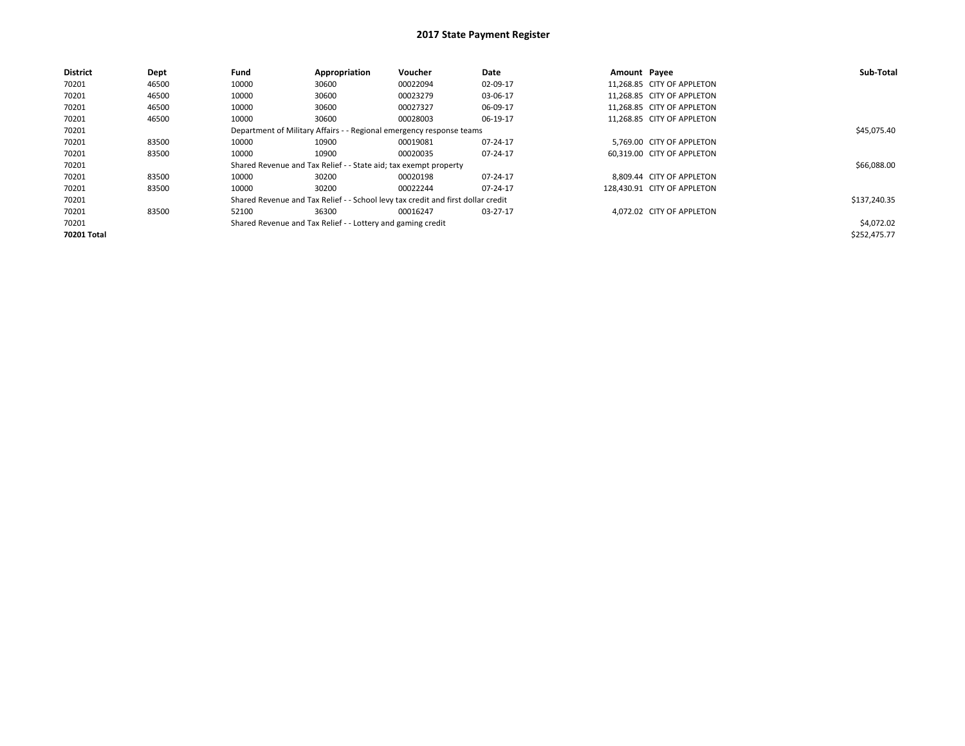| <b>District</b> | Dept  | Fund  | Appropriation                                                    | Voucher                                                                          | Date     | Amount Payee |                             | Sub-Total    |
|-----------------|-------|-------|------------------------------------------------------------------|----------------------------------------------------------------------------------|----------|--------------|-----------------------------|--------------|
| 70201           | 46500 | 10000 | 30600                                                            | 00022094                                                                         | 02-09-17 |              | 11.268.85 CITY OF APPLETON  |              |
| 70201           | 46500 | 10000 | 30600                                                            | 00023279                                                                         | 03-06-17 |              | 11.268.85 CITY OF APPLETON  |              |
| 70201           | 46500 | 10000 | 30600                                                            | 00027327                                                                         | 06-09-17 |              | 11.268.85 CITY OF APPLETON  |              |
| 70201           | 46500 | 10000 | 30600                                                            | 00028003                                                                         | 06-19-17 |              | 11.268.85 CITY OF APPLETON  |              |
| 70201           |       |       |                                                                  | Department of Military Affairs - - Regional emergency response teams             |          |              |                             | \$45,075.40  |
| 70201           | 83500 | 10000 | 10900                                                            | 00019081                                                                         | 07-24-17 |              | 5.769.00 CITY OF APPLETON   |              |
| 70201           | 83500 | 10000 | 10900                                                            | 00020035                                                                         | 07-24-17 |              | 60.319.00 CITY OF APPLETON  |              |
| 70201           |       |       | Shared Revenue and Tax Relief - - State aid; tax exempt property |                                                                                  |          |              |                             | \$66,088.00  |
| 70201           | 83500 | 10000 | 30200                                                            | 00020198                                                                         | 07-24-17 |              | 8,809.44 CITY OF APPLETON   |              |
| 70201           | 83500 | 10000 | 30200                                                            | 00022244                                                                         | 07-24-17 |              | 128.430.91 CITY OF APPLETON |              |
| 70201           |       |       |                                                                  | Shared Revenue and Tax Relief - - School levy tax credit and first dollar credit |          |              |                             | \$137,240.35 |
| 70201           | 83500 | 52100 | 36300                                                            | 00016247                                                                         | 03-27-17 |              | 4,072.02 CITY OF APPLETON   |              |
| 70201           |       |       | Shared Revenue and Tax Relief - - Lottery and gaming credit      |                                                                                  |          |              |                             | \$4,072.02   |
| 70201 Total     |       |       |                                                                  |                                                                                  |          |              |                             | \$252,475.77 |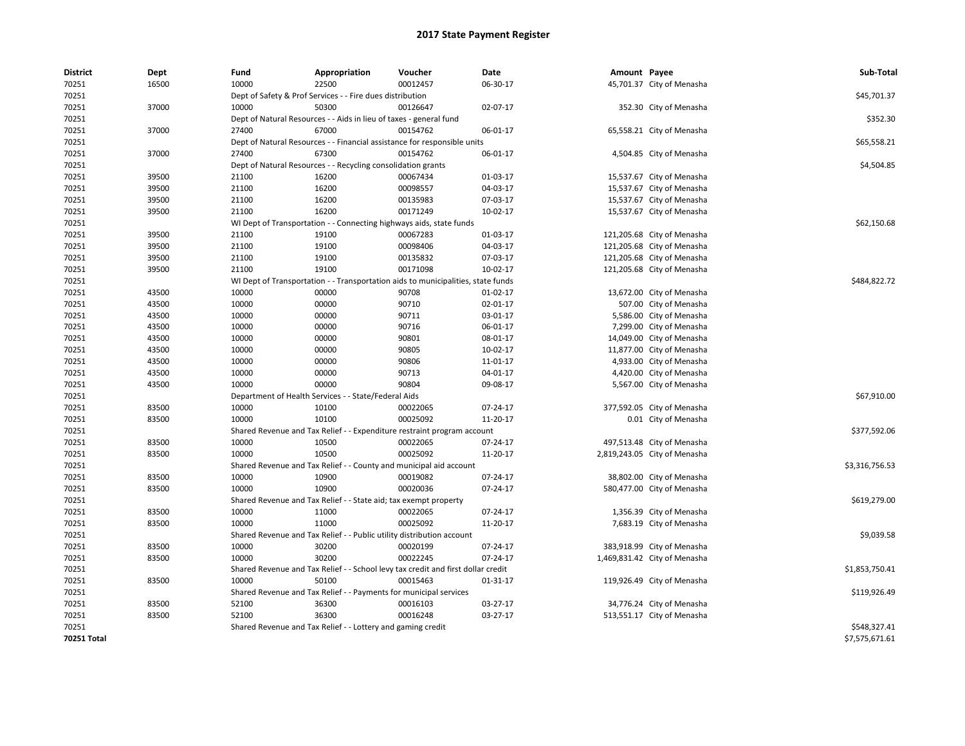| <b>District</b> | Dept  | Fund                                                      | Appropriation                                                                    | Voucher  | Date     | Amount Payee |                              | Sub-Total      |
|-----------------|-------|-----------------------------------------------------------|----------------------------------------------------------------------------------|----------|----------|--------------|------------------------------|----------------|
| 70251           | 16500 | 10000                                                     | 22500                                                                            | 00012457 | 06-30-17 |              | 45,701.37 City of Menasha    |                |
| 70251           |       | Dept of Safety & Prof Services - - Fire dues distribution | \$45,701.37                                                                      |          |          |              |                              |                |
| 70251           | 37000 | 10000                                                     | 50300                                                                            | 00126647 | 02-07-17 |              | 352.30 City of Menasha       |                |
| 70251           |       |                                                           | Dept of Natural Resources - - Aids in lieu of taxes - general fund               |          |          |              |                              | \$352.30       |
| 70251           | 37000 | 27400                                                     | 67000                                                                            | 00154762 | 06-01-17 |              | 65,558.21 City of Menasha    |                |
| 70251           |       |                                                           | Dept of Natural Resources - - Financial assistance for responsible units         |          |          |              |                              | \$65,558.21    |
| 70251           | 37000 | 27400                                                     | 67300                                                                            | 00154762 | 06-01-17 |              | 4,504.85 City of Menasha     |                |
| 70251           |       |                                                           | Dept of Natural Resources - - Recycling consolidation grants                     |          |          |              |                              | \$4,504.85     |
| 70251           | 39500 | 21100                                                     | 16200                                                                            | 00067434 | 01-03-17 |              | 15,537.67 City of Menasha    |                |
| 70251           | 39500 | 21100                                                     | 16200                                                                            | 00098557 | 04-03-17 |              | 15,537.67 City of Menasha    |                |
| 70251           | 39500 | 21100                                                     | 16200                                                                            | 00135983 | 07-03-17 |              | 15,537.67 City of Menasha    |                |
| 70251           | 39500 | 21100                                                     | 16200                                                                            | 00171249 | 10-02-17 |              | 15,537.67 City of Menasha    |                |
| 70251           |       |                                                           | WI Dept of Transportation - - Connecting highways aids, state funds              |          |          |              |                              | \$62,150.68    |
| 70251           | 39500 | 21100                                                     | 19100                                                                            | 00067283 | 01-03-17 |              | 121,205.68 City of Menasha   |                |
| 70251           | 39500 | 21100                                                     | 19100                                                                            | 00098406 | 04-03-17 |              | 121,205.68 City of Menasha   |                |
| 70251           | 39500 | 21100                                                     | 19100                                                                            | 00135832 | 07-03-17 |              | 121,205.68 City of Menasha   |                |
| 70251           | 39500 | 21100                                                     | 19100                                                                            | 00171098 | 10-02-17 |              | 121,205.68 City of Menasha   |                |
| 70251           |       |                                                           | WI Dept of Transportation - - Transportation aids to municipalities, state funds |          |          |              |                              | \$484,822.72   |
| 70251           | 43500 | 10000                                                     | 00000                                                                            | 90708    | 01-02-17 |              | 13,672.00 City of Menasha    |                |
| 70251           | 43500 | 10000                                                     | 00000                                                                            | 90710    | 02-01-17 |              | 507.00 City of Menasha       |                |
| 70251           | 43500 | 10000                                                     | 00000                                                                            | 90711    | 03-01-17 |              | 5,586.00 City of Menasha     |                |
| 70251           | 43500 | 10000                                                     | 00000                                                                            | 90716    | 06-01-17 |              | 7,299.00 City of Menasha     |                |
| 70251           | 43500 | 10000                                                     | 00000                                                                            | 90801    | 08-01-17 |              | 14,049.00 City of Menasha    |                |
| 70251           | 43500 | 10000                                                     | 00000                                                                            | 90805    | 10-02-17 |              | 11,877.00 City of Menasha    |                |
| 70251           | 43500 | 10000                                                     | 00000                                                                            | 90806    | 11-01-17 |              | 4,933.00 City of Menasha     |                |
| 70251           | 43500 | 10000                                                     | 00000                                                                            | 90713    | 04-01-17 |              | 4,420.00 City of Menasha     |                |
| 70251           | 43500 | 10000                                                     | 00000                                                                            | 90804    | 09-08-17 |              | 5,567.00 City of Menasha     |                |
| 70251           |       |                                                           | Department of Health Services - - State/Federal Aids                             |          |          |              |                              | \$67,910.00    |
| 70251           | 83500 | 10000                                                     | 10100                                                                            | 00022065 | 07-24-17 |              | 377,592.05 City of Menasha   |                |
| 70251           | 83500 | 10000                                                     | 10100                                                                            | 00025092 | 11-20-17 |              | 0.01 City of Menasha         |                |
| 70251           |       |                                                           | Shared Revenue and Tax Relief - - Expenditure restraint program account          |          |          |              |                              | \$377,592.06   |
| 70251           | 83500 | 10000                                                     | 10500                                                                            | 00022065 | 07-24-17 |              | 497,513.48 City of Menasha   |                |
| 70251           | 83500 | 10000                                                     | 10500                                                                            | 00025092 | 11-20-17 |              | 2,819,243.05 City of Menasha |                |
| 70251           |       |                                                           | Shared Revenue and Tax Relief - - County and municipal aid account               |          |          |              |                              | \$3,316,756.53 |
| 70251           | 83500 | 10000                                                     | 10900                                                                            | 00019082 | 07-24-17 |              | 38,802.00 City of Menasha    |                |
| 70251           | 83500 | 10000                                                     | 10900                                                                            | 00020036 | 07-24-17 |              | 580,477.00 City of Menasha   |                |
| 70251           |       |                                                           | Shared Revenue and Tax Relief - - State aid; tax exempt property                 |          |          |              |                              | \$619,279.00   |
| 70251           | 83500 | 10000                                                     | 11000                                                                            | 00022065 | 07-24-17 |              | 1,356.39 City of Menasha     |                |
| 70251           | 83500 | 10000                                                     | 11000                                                                            | 00025092 | 11-20-17 |              | 7,683.19 City of Menasha     |                |
| 70251           |       |                                                           | Shared Revenue and Tax Relief - - Public utility distribution account            |          |          |              |                              | \$9,039.58     |
| 70251           | 83500 | 10000                                                     | 30200                                                                            | 00020199 | 07-24-17 |              | 383,918.99 City of Menasha   |                |
| 70251           | 83500 | 10000                                                     | 30200                                                                            | 00022245 | 07-24-17 |              | 1,469,831.42 City of Menasha |                |
| 70251           |       |                                                           | Shared Revenue and Tax Relief - - School levy tax credit and first dollar credit |          |          |              |                              | \$1,853,750.41 |
| 70251           | 83500 | 10000                                                     | 50100                                                                            | 00015463 | 01-31-17 |              | 119,926.49 City of Menasha   |                |
| 70251           |       |                                                           | Shared Revenue and Tax Relief - - Payments for municipal services                |          |          |              |                              | \$119,926.49   |
| 70251           | 83500 | 52100                                                     | 36300                                                                            | 00016103 | 03-27-17 |              | 34,776.24 City of Menasha    |                |
| 70251           | 83500 | 52100                                                     | 36300                                                                            | 00016248 | 03-27-17 |              | 513,551.17 City of Menasha   |                |
| 70251           |       |                                                           | Shared Revenue and Tax Relief - - Lottery and gaming credit                      |          |          |              |                              | \$548,327.41   |
| 70251 Total     |       |                                                           |                                                                                  |          |          |              |                              | \$7,575,671.61 |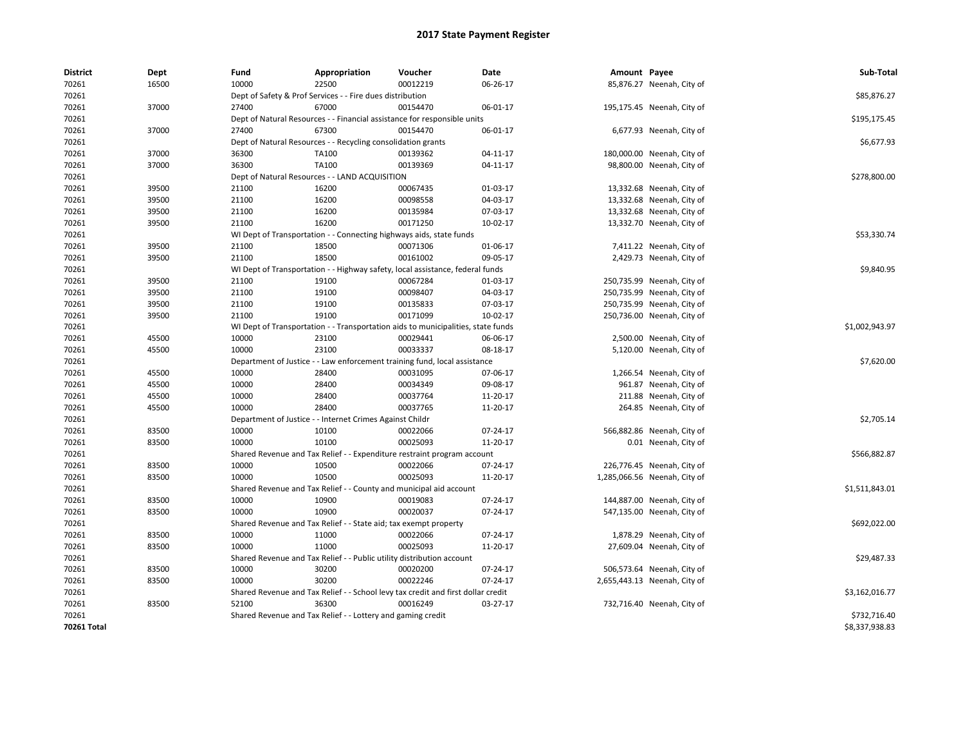| <b>District</b> | <b>Dept</b> | Fund                                                                     | Appropriation                                                                    | Voucher  | Date     | Amount Payee |                              | Sub-Total      |  |
|-----------------|-------------|--------------------------------------------------------------------------|----------------------------------------------------------------------------------|----------|----------|--------------|------------------------------|----------------|--|
| 70261           | 16500       | 10000                                                                    | 22500                                                                            | 00012219 | 06-26-17 |              | 85,876.27 Neenah, City of    |                |  |
| 70261           |             | Dept of Safety & Prof Services - - Fire dues distribution                | \$85,876.27                                                                      |          |          |              |                              |                |  |
| 70261           | 37000       | 27400                                                                    | 67000                                                                            | 00154470 | 06-01-17 |              | 195,175.45 Neenah, City of   |                |  |
| 70261           |             | Dept of Natural Resources - - Financial assistance for responsible units | \$195,175.45                                                                     |          |          |              |                              |                |  |
| 70261           | 37000       | 27400                                                                    | 67300                                                                            | 00154470 | 06-01-17 |              | 6,677.93 Neenah, City of     |                |  |
| 70261           |             |                                                                          | Dept of Natural Resources - - Recycling consolidation grants                     |          |          |              |                              |                |  |
| 70261           | 37000       | 36300                                                                    | TA100                                                                            | 00139362 | 04-11-17 |              | 180,000.00 Neenah, City of   |                |  |
| 70261           | 37000       | 36300                                                                    | TA100                                                                            | 00139369 | 04-11-17 |              | 98,800.00 Neenah, City of    |                |  |
| 70261           |             |                                                                          | Dept of Natural Resources - - LAND ACQUISITION                                   |          |          |              |                              | \$278,800.00   |  |
| 70261           | 39500       | 21100                                                                    | 16200                                                                            | 00067435 | 01-03-17 |              | 13,332.68 Neenah, City of    |                |  |
| 70261           | 39500       | 21100                                                                    | 16200                                                                            | 00098558 | 04-03-17 |              | 13,332.68 Neenah, City of    |                |  |
| 70261           | 39500       | 21100                                                                    | 16200                                                                            | 00135984 | 07-03-17 |              | 13,332.68 Neenah, City of    |                |  |
| 70261           | 39500       | 21100                                                                    | 16200                                                                            | 00171250 | 10-02-17 |              | 13,332.70 Neenah, City of    |                |  |
| 70261           |             |                                                                          | WI Dept of Transportation - - Connecting highways aids, state funds              |          |          |              |                              | \$53,330.74    |  |
| 70261           | 39500       | 21100                                                                    | 18500                                                                            | 00071306 | 01-06-17 |              | 7,411.22 Neenah, City of     |                |  |
| 70261           | 39500       | 21100                                                                    | 18500                                                                            | 00161002 | 09-05-17 |              | 2,429.73 Neenah, City of     |                |  |
| 70261           |             |                                                                          | WI Dept of Transportation - - Highway safety, local assistance, federal funds    |          |          |              |                              | \$9,840.95     |  |
| 70261           | 39500       | 21100                                                                    | 19100                                                                            | 00067284 | 01-03-17 |              | 250,735.99 Neenah, City of   |                |  |
| 70261           | 39500       | 21100                                                                    | 19100                                                                            | 00098407 | 04-03-17 |              | 250,735.99 Neenah, City of   |                |  |
| 70261           | 39500       | 21100                                                                    | 19100                                                                            | 00135833 | 07-03-17 |              | 250,735.99 Neenah, City of   |                |  |
| 70261           | 39500       | 21100                                                                    | 19100                                                                            | 00171099 | 10-02-17 |              | 250,736.00 Neenah, City of   |                |  |
| 70261           |             |                                                                          | WI Dept of Transportation - - Transportation aids to municipalities, state funds |          |          |              |                              | \$1,002,943.97 |  |
| 70261           | 45500       | 10000                                                                    | 23100                                                                            | 00029441 | 06-06-17 |              | 2,500.00 Neenah, City of     |                |  |
| 70261           | 45500       | 10000                                                                    | 23100                                                                            | 00033337 | 08-18-17 |              | 5,120.00 Neenah, City of     |                |  |
| 70261           |             |                                                                          | Department of Justice - - Law enforcement training fund, local assistance        |          |          |              |                              | \$7,620.00     |  |
| 70261           | 45500       | 10000                                                                    | 28400                                                                            | 00031095 | 07-06-17 |              | 1,266.54 Neenah, City of     |                |  |
| 70261           | 45500       | 10000                                                                    | 28400                                                                            | 00034349 | 09-08-17 |              | 961.87 Neenah, City of       |                |  |
| 70261           | 45500       | 10000                                                                    | 28400                                                                            | 00037764 | 11-20-17 |              | 211.88 Neenah, City of       |                |  |
| 70261           | 45500       | 10000                                                                    | 28400                                                                            | 00037765 | 11-20-17 |              | 264.85 Neenah, City of       |                |  |
| 70261           |             |                                                                          | Department of Justice - - Internet Crimes Against Childr                         |          |          |              |                              | \$2,705.14     |  |
| 70261           | 83500       | 10000                                                                    | 10100                                                                            | 00022066 | 07-24-17 |              | 566,882.86 Neenah, City of   |                |  |
| 70261           | 83500       | 10000                                                                    | 10100                                                                            | 00025093 | 11-20-17 |              | 0.01 Neenah, City of         |                |  |
| 70261           |             |                                                                          | Shared Revenue and Tax Relief - - Expenditure restraint program account          |          |          |              |                              | \$566,882.87   |  |
| 70261           | 83500       | 10000                                                                    | 10500                                                                            | 00022066 | 07-24-17 |              | 226,776.45 Neenah, City of   |                |  |
| 70261           | 83500       | 10000                                                                    | 10500                                                                            | 00025093 | 11-20-17 |              | 1,285,066.56 Neenah, City of |                |  |
| 70261           |             |                                                                          | Shared Revenue and Tax Relief - - County and municipal aid account               |          |          |              |                              | \$1,511,843.01 |  |
| 70261           | 83500       | 10000                                                                    | 10900                                                                            | 00019083 | 07-24-17 |              | 144,887.00 Neenah, City of   |                |  |
| 70261           | 83500       | 10000                                                                    | 10900                                                                            | 00020037 | 07-24-17 |              | 547,135.00 Neenah, City of   |                |  |
| 70261           |             |                                                                          | Shared Revenue and Tax Relief - - State aid; tax exempt property                 |          |          |              |                              | \$692,022.00   |  |
| 70261           | 83500       | 10000                                                                    | 11000                                                                            | 00022066 | 07-24-17 |              | 1,878.29 Neenah, City of     |                |  |
| 70261           | 83500       | 10000                                                                    | 11000                                                                            | 00025093 | 11-20-17 |              | 27,609.04 Neenah, City of    |                |  |
| 70261           |             |                                                                          | Shared Revenue and Tax Relief - - Public utility distribution account            |          |          |              |                              | \$29,487.33    |  |
| 70261           | 83500       | 10000                                                                    | 30200                                                                            | 00020200 | 07-24-17 |              | 506,573.64 Neenah, City of   |                |  |
| 70261           | 83500       | 10000                                                                    | 30200                                                                            | 00022246 | 07-24-17 |              | 2,655,443.13 Neenah, City of |                |  |
| 70261           |             |                                                                          | Shared Revenue and Tax Relief - - School levy tax credit and first dollar credit |          |          |              |                              | \$3,162,016.77 |  |
| 70261           | 83500       | 52100                                                                    | 36300                                                                            | 00016249 | 03-27-17 |              | 732,716.40 Neenah, City of   |                |  |
| 70261           |             |                                                                          | Shared Revenue and Tax Relief - - Lottery and gaming credit                      |          |          |              |                              | \$732,716.40   |  |
| 70261 Total     |             |                                                                          |                                                                                  |          |          |              |                              | \$8,337,938.83 |  |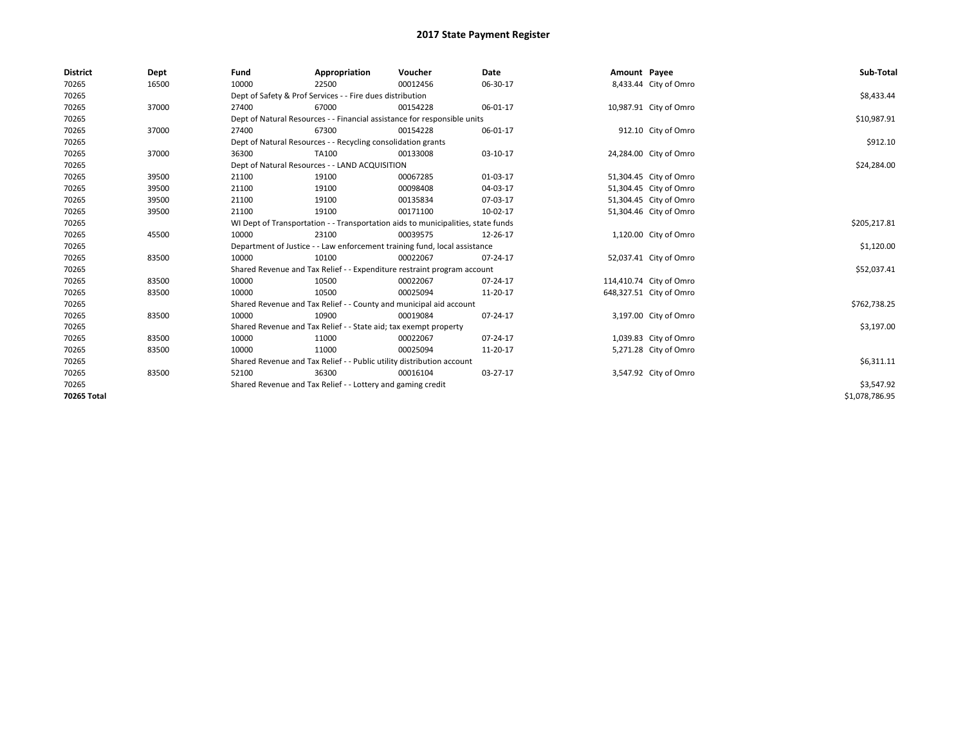| <b>District</b> | Dept  | Fund  | Appropriation                                                                    | Voucher  | Date           | Amount Payee |                         | Sub-Total      |  |
|-----------------|-------|-------|----------------------------------------------------------------------------------|----------|----------------|--------------|-------------------------|----------------|--|
| 70265           | 16500 | 10000 | 22500                                                                            | 00012456 | 06-30-17       |              | 8,433.44 City of Omro   |                |  |
| 70265           |       |       | Dept of Safety & Prof Services - - Fire dues distribution                        |          |                |              |                         | \$8,433.44     |  |
| 70265           | 37000 | 27400 | 67000                                                                            | 00154228 | 06-01-17       |              | 10,987.91 City of Omro  |                |  |
| 70265           |       |       | Dept of Natural Resources - - Financial assistance for responsible units         |          |                |              |                         | \$10,987.91    |  |
| 70265           | 37000 | 27400 | 67300                                                                            | 00154228 | 06-01-17       |              | 912.10 City of Omro     |                |  |
| 70265           |       |       | Dept of Natural Resources - - Recycling consolidation grants                     |          |                |              |                         | \$912.10       |  |
| 70265           | 37000 | 36300 | TA100                                                                            | 00133008 | 03-10-17       |              | 24,284.00 City of Omro  |                |  |
| 70265           |       |       | Dept of Natural Resources - - LAND ACQUISITION                                   |          |                |              |                         | \$24,284.00    |  |
| 70265           | 39500 | 21100 | 19100                                                                            | 00067285 | 01-03-17       |              | 51,304.45 City of Omro  |                |  |
| 70265           | 39500 | 21100 | 19100                                                                            | 00098408 | 04-03-17       |              | 51,304.45 City of Omro  |                |  |
| 70265           | 39500 | 21100 | 19100                                                                            | 00135834 | 07-03-17       |              | 51,304.45 City of Omro  |                |  |
| 70265           | 39500 | 21100 | 19100                                                                            | 00171100 | 10-02-17       |              | 51,304.46 City of Omro  |                |  |
| 70265           |       |       | WI Dept of Transportation - - Transportation aids to municipalities, state funds |          |                |              |                         | \$205,217.81   |  |
| 70265           | 45500 | 10000 | 23100                                                                            | 00039575 | 12-26-17       |              | 1,120.00 City of Omro   |                |  |
| 70265           |       |       | Department of Justice - - Law enforcement training fund, local assistance        |          |                |              |                         |                |  |
| 70265           | 83500 | 10000 | 10100                                                                            | 00022067 | $07 - 24 - 17$ |              | 52,037.41 City of Omro  |                |  |
| 70265           |       |       | Shared Revenue and Tax Relief - - Expenditure restraint program account          |          |                |              |                         | \$52,037.41    |  |
| 70265           | 83500 | 10000 | 10500                                                                            | 00022067 | 07-24-17       |              | 114,410.74 City of Omro |                |  |
| 70265           | 83500 | 10000 | 10500                                                                            | 00025094 | 11-20-17       |              | 648,327.51 City of Omro |                |  |
| 70265           |       |       | Shared Revenue and Tax Relief - - County and municipal aid account               |          |                |              |                         | \$762,738.25   |  |
| 70265           | 83500 | 10000 | 10900                                                                            | 00019084 | $07 - 24 - 17$ |              | 3,197.00 City of Omro   |                |  |
| 70265           |       |       | Shared Revenue and Tax Relief - - State aid; tax exempt property                 |          |                |              |                         | \$3,197.00     |  |
| 70265           | 83500 | 10000 | 11000                                                                            | 00022067 | 07-24-17       |              | 1,039.83 City of Omro   |                |  |
| 70265           | 83500 | 10000 | 11000                                                                            | 00025094 | 11-20-17       |              | 5,271.28 City of Omro   |                |  |
| 70265           |       |       | Shared Revenue and Tax Relief - - Public utility distribution account            |          |                |              |                         | \$6,311.11     |  |
| 70265           | 83500 | 52100 | 36300                                                                            | 00016104 | 03-27-17       |              | 3,547.92 City of Omro   |                |  |
| 70265           |       |       | Shared Revenue and Tax Relief - - Lottery and gaming credit                      |          |                |              |                         | \$3,547.92     |  |
| 70265 Total     |       |       |                                                                                  |          |                |              |                         | \$1.078.786.95 |  |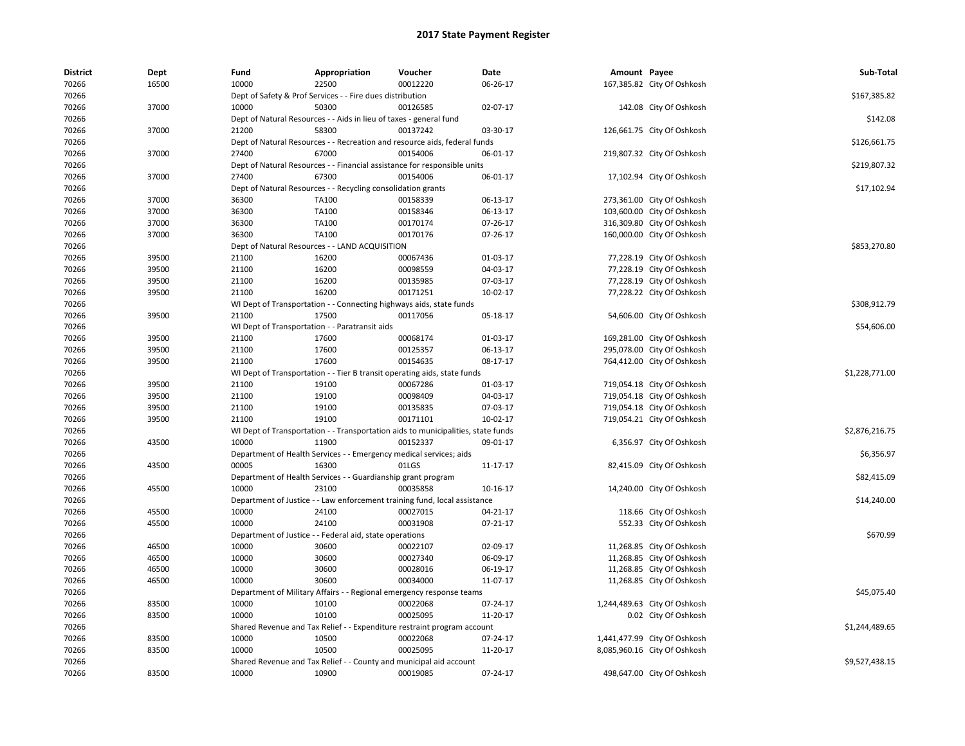| <b>District</b> | Dept  | Fund                                                               | Appropriation                                                       | Voucher                                                                                      | <b>Date</b>    | Amount Payee |                              | Sub-Total      |
|-----------------|-------|--------------------------------------------------------------------|---------------------------------------------------------------------|----------------------------------------------------------------------------------------------|----------------|--------------|------------------------------|----------------|
| 70266           | 16500 | 10000                                                              | 22500                                                               | 00012220                                                                                     | 06-26-17       |              | 167,385.82 City Of Oshkosh   |                |
| 70266           |       | Dept of Safety & Prof Services - - Fire dues distribution          |                                                                     | \$167,385.82                                                                                 |                |              |                              |                |
| 70266           | 37000 | 10000                                                              | 50300                                                               | 00126585                                                                                     | 02-07-17       |              | 142.08 City Of Oshkosh       |                |
| 70266           |       | Dept of Natural Resources - - Aids in lieu of taxes - general fund |                                                                     | \$142.08                                                                                     |                |              |                              |                |
| 70266           | 37000 | 21200                                                              | 58300                                                               | 00137242                                                                                     | 03-30-17       |              | 126,661.75 City Of Oshkosh   |                |
| 70266           |       |                                                                    |                                                                     | Dept of Natural Resources - - Recreation and resource aids, federal funds                    |                |              |                              | \$126,661.75   |
| 70266           | 37000 | 27400                                                              | 67000                                                               | 00154006                                                                                     | 06-01-17       |              | 219,807.32 City Of Oshkosh   |                |
| 70266           |       |                                                                    |                                                                     | Dept of Natural Resources - - Financial assistance for responsible units                     |                |              |                              | \$219,807.32   |
| 70266           | 37000 | 27400                                                              | 67300                                                               | 00154006                                                                                     | 06-01-17       |              | 17,102.94 City Of Oshkosh    |                |
| 70266           |       |                                                                    | Dept of Natural Resources - - Recycling consolidation grants        |                                                                                              |                |              |                              | \$17,102.94    |
| 70266           | 37000 | 36300                                                              | TA100                                                               | 00158339                                                                                     | 06-13-17       |              | 273,361.00 City Of Oshkosh   |                |
| 70266           | 37000 | 36300                                                              | TA100                                                               | 00158346                                                                                     | 06-13-17       |              | 103,600.00 City Of Oshkosh   |                |
| 70266           | 37000 | 36300                                                              | TA100                                                               | 00170174                                                                                     | 07-26-17       |              | 316,309.80 City Of Oshkosh   |                |
| 70266           | 37000 | 36300                                                              | TA100                                                               | 00170176                                                                                     | 07-26-17       |              | 160,000.00 City Of Oshkosh   |                |
| 70266           |       |                                                                    | Dept of Natural Resources - - LAND ACQUISITION                      |                                                                                              |                |              |                              | \$853,270.80   |
| 70266           | 39500 | 21100                                                              | 16200                                                               | 00067436                                                                                     | 01-03-17       |              | 77,228.19 City Of Oshkosh    |                |
| 70266           | 39500 | 21100                                                              | 16200                                                               | 00098559                                                                                     | 04-03-17       |              | 77,228.19 City Of Oshkosh    |                |
| 70266           | 39500 | 21100                                                              | 16200                                                               | 00135985                                                                                     | 07-03-17       |              | 77,228.19 City Of Oshkosh    |                |
| 70266           | 39500 | 21100                                                              | 16200                                                               | 00171251                                                                                     | 10-02-17       |              | 77,228.22 City Of Oshkosh    |                |
| 70266           |       |                                                                    | WI Dept of Transportation - - Connecting highways aids, state funds |                                                                                              |                |              |                              | \$308,912.79   |
| 70266           | 39500 | 21100                                                              | 17500                                                               | 00117056                                                                                     | 05-18-17       |              | 54,606.00 City Of Oshkosh    |                |
| 70266           |       |                                                                    | WI Dept of Transportation - - Paratransit aids                      |                                                                                              |                |              |                              | \$54,606.00    |
| 70266           | 39500 | 21100                                                              | 17600                                                               | 00068174                                                                                     | 01-03-17       |              | 169,281.00 City Of Oshkosh   |                |
| 70266           | 39500 | 21100                                                              | 17600                                                               | 00125357                                                                                     | 06-13-17       |              | 295,078.00 City Of Oshkosh   |                |
| 70266           | 39500 | 21100                                                              | 17600                                                               | 00154635                                                                                     | 08-17-17       |              | 764,412.00 City Of Oshkosh   |                |
| 70266           |       |                                                                    |                                                                     | WI Dept of Transportation - - Tier B transit operating aids, state funds                     |                |              |                              | \$1,228,771.00 |
| 70266           | 39500 | 21100                                                              | 19100                                                               | 00067286                                                                                     | 01-03-17       |              | 719,054.18 City Of Oshkosh   |                |
| 70266           | 39500 | 21100                                                              | 19100                                                               | 00098409                                                                                     | 04-03-17       |              | 719,054.18 City Of Oshkosh   |                |
| 70266           | 39500 | 21100                                                              | 19100                                                               | 00135835                                                                                     | 07-03-17       |              | 719,054.18 City Of Oshkosh   |                |
| 70266           | 39500 | 21100                                                              | 19100                                                               | 00171101                                                                                     | 10-02-17       |              | 719,054.21 City Of Oshkosh   |                |
|                 |       |                                                                    |                                                                     |                                                                                              |                |              |                              |                |
| 70266           | 43500 | 10000                                                              | 11900                                                               | WI Dept of Transportation - - Transportation aids to municipalities, state funds<br>00152337 |                |              |                              | \$2,876,216.75 |
| 70266           |       |                                                                    |                                                                     |                                                                                              | 09-01-17       |              | 6,356.97 City Of Oshkosh     | \$6,356.97     |
| 70266           |       |                                                                    | Department of Health Services - - Emergency medical services; aids  |                                                                                              |                |              |                              |                |
| 70266           | 43500 | 00005                                                              | 16300                                                               | 01LGS                                                                                        | 11-17-17       |              | 82,415.09 City Of Oshkosh    |                |
| 70266           |       |                                                                    | Department of Health Services - - Guardianship grant program        |                                                                                              |                |              |                              | \$82,415.09    |
| 70266           | 45500 | 10000                                                              | 23100                                                               | 00035858                                                                                     | 10-16-17       |              | 14,240.00 City Of Oshkosh    |                |
| 70266           |       |                                                                    |                                                                     | Department of Justice - - Law enforcement training fund, local assistance                    |                |              |                              | \$14,240.00    |
| 70266           | 45500 | 10000                                                              | 24100                                                               | 00027015                                                                                     | 04-21-17       |              | 118.66 City Of Oshkosh       |                |
| 70266           | 45500 | 10000                                                              | 24100                                                               | 00031908                                                                                     | $07 - 21 - 17$ |              | 552.33 City Of Oshkosh       |                |
| 70266           |       |                                                                    | Department of Justice - - Federal aid, state operations             |                                                                                              |                |              |                              | \$670.99       |
| 70266           | 46500 | 10000                                                              | 30600                                                               | 00022107                                                                                     | 02-09-17       |              | 11,268.85 City Of Oshkosh    |                |
| 70266           | 46500 | 10000                                                              | 30600                                                               | 00027340                                                                                     | 06-09-17       |              | 11,268.85 City Of Oshkosh    |                |
| 70266           | 46500 | 10000                                                              | 30600                                                               | 00028016                                                                                     | 06-19-17       |              | 11,268.85 City Of Oshkosh    |                |
| 70266           | 46500 | 10000                                                              | 30600                                                               | 00034000                                                                                     | 11-07-17       |              | 11,268.85 City Of Oshkosh    |                |
| 70266           |       |                                                                    |                                                                     | Department of Military Affairs - - Regional emergency response teams                         |                |              |                              | \$45,075.40    |
| 70266           | 83500 | 10000                                                              | 10100                                                               | 00022068                                                                                     | 07-24-17       |              | 1,244,489.63 City Of Oshkosh |                |
| 70266           | 83500 | 10000                                                              | 10100                                                               | 00025095                                                                                     | 11-20-17       |              | 0.02 City Of Oshkosh         |                |
| 70266           |       |                                                                    |                                                                     | Shared Revenue and Tax Relief - - Expenditure restraint program account                      |                |              |                              | \$1,244,489.65 |
| 70266           | 83500 | 10000                                                              | 10500                                                               | 00022068                                                                                     | 07-24-17       |              | 1,441,477.99 City Of Oshkosh |                |
| 70266           | 83500 | 10000                                                              | 10500                                                               | 00025095                                                                                     | 11-20-17       |              | 8,085,960.16 City Of Oshkosh |                |
| 70266           |       |                                                                    |                                                                     | Shared Revenue and Tax Relief - - County and municipal aid account                           |                |              |                              | \$9,527,438.15 |
| 70266           | 83500 | 10000                                                              | 10900                                                               | 00019085                                                                                     | 07-24-17       |              | 498,647.00 City Of Oshkosh   |                |